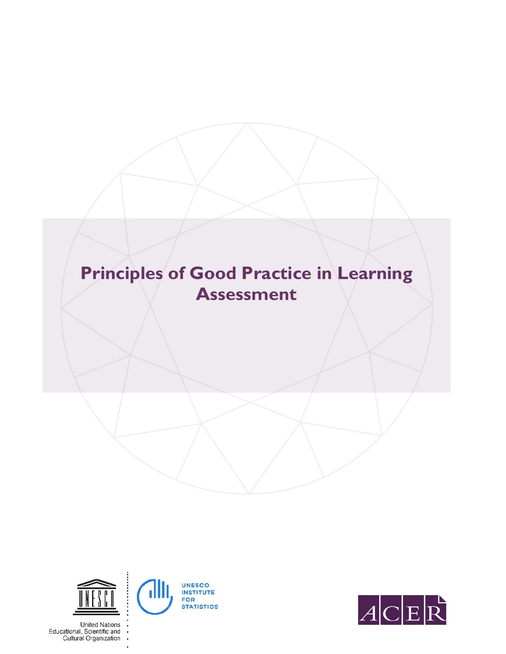# **Principles of Good Practice in Learning Assessment**



 $\bullet$ 



United Nations<br>
Educational, Scientific and<br>
Cultural Organization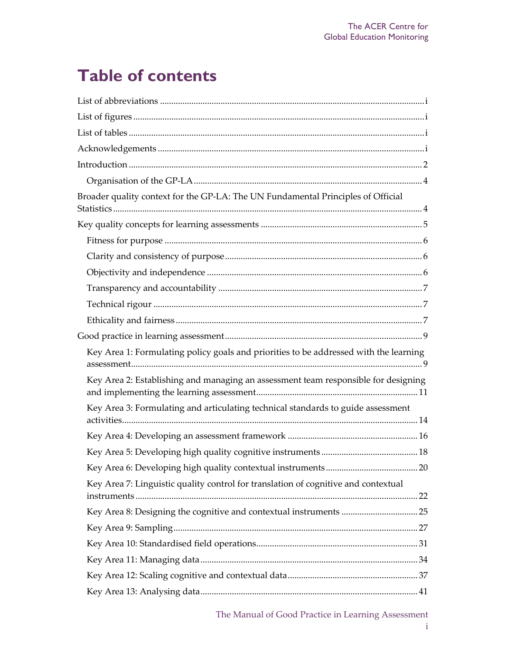# **Table of contents**

| Broader quality context for the GP-LA: The UN Fundamental Principles of Official      |  |
|---------------------------------------------------------------------------------------|--|
|                                                                                       |  |
|                                                                                       |  |
|                                                                                       |  |
|                                                                                       |  |
|                                                                                       |  |
|                                                                                       |  |
|                                                                                       |  |
|                                                                                       |  |
| Key Area 1: Formulating policy goals and priorities to be addressed with the learning |  |
| Key Area 2: Establishing and managing an assessment team responsible for designing    |  |
| Key Area 3: Formulating and articulating technical standards to guide assessment      |  |
|                                                                                       |  |
|                                                                                       |  |
|                                                                                       |  |
| Key Area 7: Linguistic quality control for translation of cognitive and contextual    |  |
|                                                                                       |  |
|                                                                                       |  |
|                                                                                       |  |
|                                                                                       |  |
|                                                                                       |  |
|                                                                                       |  |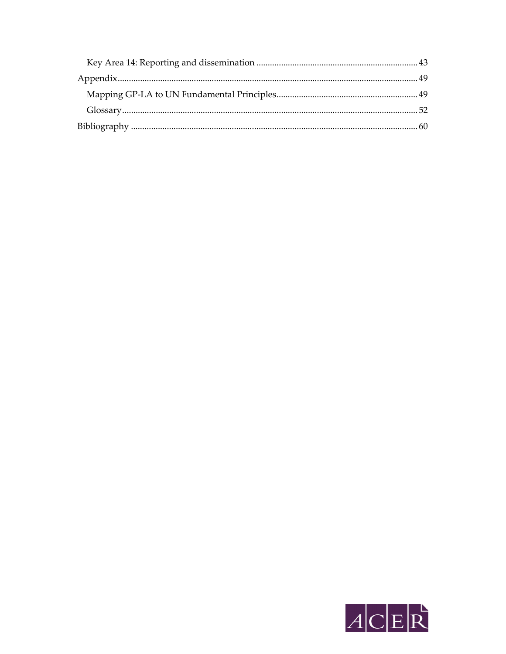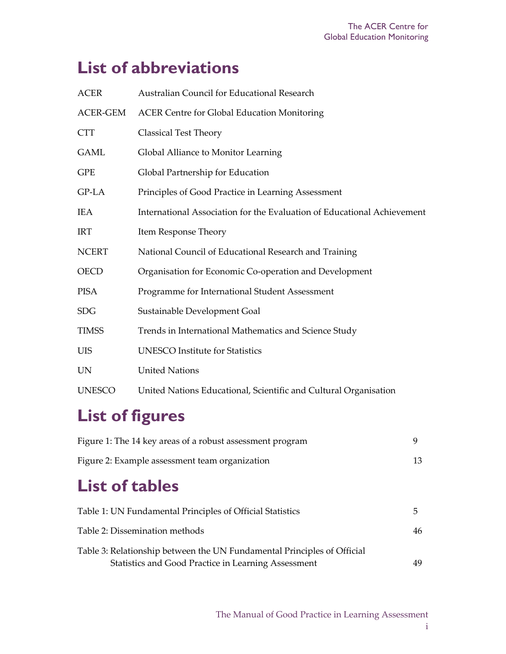# **List of abbreviations**

| <b>ACER</b>     | Australian Council for Educational Research                             |
|-----------------|-------------------------------------------------------------------------|
| <b>ACER-GEM</b> | <b>ACER Centre for Global Education Monitoring</b>                      |
| <b>CTT</b>      | Classical Test Theory                                                   |
| <b>GAML</b>     | Global Alliance to Monitor Learning                                     |
| <b>GPE</b>      | Global Partnership for Education                                        |
| GP-LA           | Principles of Good Practice in Learning Assessment                      |
| <b>IEA</b>      | International Association for the Evaluation of Educational Achievement |
| <b>IRT</b>      | Item Response Theory                                                    |
| <b>NCERT</b>    | National Council of Educational Research and Training                   |
| <b>OECD</b>     | Organisation for Economic Co-operation and Development                  |
| <b>PISA</b>     | Programme for International Student Assessment                          |
| <b>SDG</b>      | Sustainable Development Goal                                            |
| <b>TIMSS</b>    | Trends in International Mathematics and Science Study                   |
| <b>UIS</b>      | <b>UNESCO Institute for Statistics</b>                                  |
| <b>UN</b>       | <b>United Nations</b>                                                   |
| <b>UNESCO</b>   | United Nations Educational, Scientific and Cultural Organisation        |

# **List of figures**

| Figure 1: The 14 key areas of a robust assessment program                                                                      | 9  |
|--------------------------------------------------------------------------------------------------------------------------------|----|
| Figure 2: Example assessment team organization                                                                                 | 13 |
| <b>List of tables</b>                                                                                                          |    |
| Table 1: UN Fundamental Principles of Official Statistics                                                                      | 5  |
| Table 2: Dissemination methods                                                                                                 | 46 |
| Table 3: Relationship between the UN Fundamental Principles of Official<br>Statistics and Good Practice in Learning Assessment | 49 |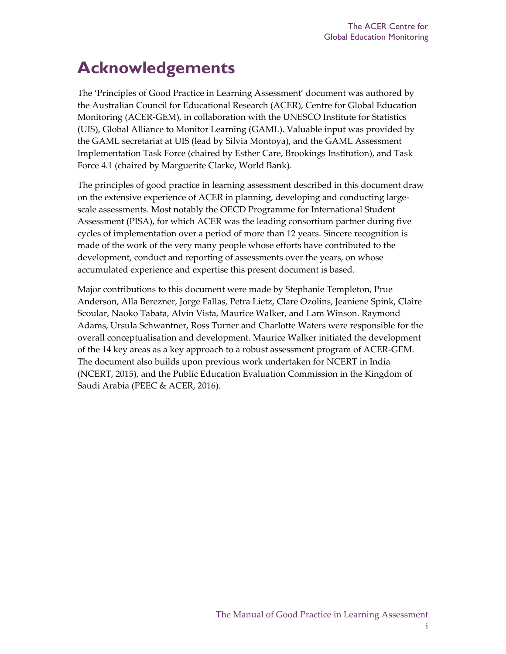# **Acknowledgements**

The 'Principles of Good Practice in Learning Assessment' document was authored by the Australian Council for Educational Research (ACER), Centre for Global Education Monitoring (ACER-GEM), in collaboration with the UNESCO Institute for Statistics (UIS), Global Alliance to Monitor Learning (GAML). Valuable input was provided by the GAML secretariat at UIS (lead by Silvia Montoya), and the GAML Assessment Implementation Task Force (chaired by Esther Care, Brookings Institution), and Task Force 4.1 (chaired by Marguerite Clarke, World Bank).

The principles of good practice in learning assessment described in this document draw on the extensive experience of ACER in planning, developing and conducting largescale assessments. Most notably the OECD Programme for International Student Assessment (PISA), for which ACER was the leading consortium partner during five cycles of implementation over a period of more than 12 years. Sincere recognition is made of the work of the very many people whose efforts have contributed to the development, conduct and reporting of assessments over the years, on whose accumulated experience and expertise this present document is based.

Major contributions to this document were made by Stephanie Templeton, Prue Anderson, Alla Berezner, Jorge Fallas, Petra Lietz, Clare Ozolins, Jeaniene Spink, Claire Scoular, Naoko Tabata, Alvin Vista, Maurice Walker, and Lam Winson. Raymond Adams, Ursula Schwantner, Ross Turner and Charlotte Waters were responsible for the overall conceptualisation and development. Maurice Walker initiated the development of the 14 key areas as a key approach to a robust assessment program of ACER-GEM. The document also builds upon previous work undertaken for NCERT in India (NCERT, 2015), and the Public Education Evaluation Commission in the Kingdom of Saudi Arabia (PEEC & ACER, 2016).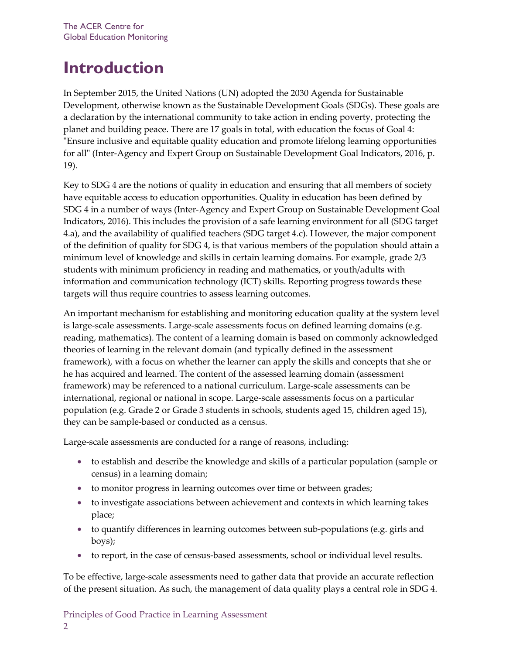# **Introduction**

In September 2015, the United Nations (UN) adopted the 2030 Agenda for Sustainable Development, otherwise known as the Sustainable Development Goals (SDGs). These goals are a declaration by the international community to take action in ending poverty, protecting the planet and building peace. There are 17 goals in total, with education the focus of Goal 4: "Ensure inclusive and equitable quality education and promote lifelong learning opportunities for all" (Inter-Agency and Expert Group on Sustainable Development Goal Indicators, 2016, p. 19).

Key to SDG 4 are the notions of quality in education and ensuring that all members of society have equitable access to education opportunities. Quality in education has been defined by SDG 4 in a number of ways (Inter-Agency and Expert Group on Sustainable Development Goal Indicators, 2016). This includes the provision of a safe learning environment for all (SDG target 4.a), and the availability of qualified teachers (SDG target 4.c). However, the major component of the definition of quality for SDG 4, is that various members of the population should attain a minimum level of knowledge and skills in certain learning domains. For example, grade 2/3 students with minimum proficiency in reading and mathematics, or youth/adults with information and communication technology (ICT) skills. Reporting progress towards these targets will thus require countries to assess learning outcomes.

An important mechanism for establishing and monitoring education quality at the system level is large-scale assessments. Large-scale assessments focus on defined learning domains (e.g. reading, mathematics). The content of a learning domain is based on commonly acknowledged theories of learning in the relevant domain (and typically defined in the assessment framework), with a focus on whether the learner can apply the skills and concepts that she or he has acquired and learned. The content of the assessed learning domain (assessment framework) may be referenced to a national curriculum. Large-scale assessments can be international, regional or national in scope. Large-scale assessments focus on a particular population (e.g. Grade 2 or Grade 3 students in schools, students aged 15, children aged 15), they can be sample-based or conducted as a census.

Large-scale assessments are conducted for a range of reasons, including:

- to establish and describe the knowledge and skills of a particular population (sample or census) in a learning domain;
- to monitor progress in learning outcomes over time or between grades;
- to investigate associations between achievement and contexts in which learning takes place;
- to quantify differences in learning outcomes between sub-populations (e.g. girls and boys);
- to report, in the case of census-based assessments, school or individual level results.

To be effective, large-scale assessments need to gather data that provide an accurate reflection of the present situation. As such, the management of data quality plays a central role in SDG 4.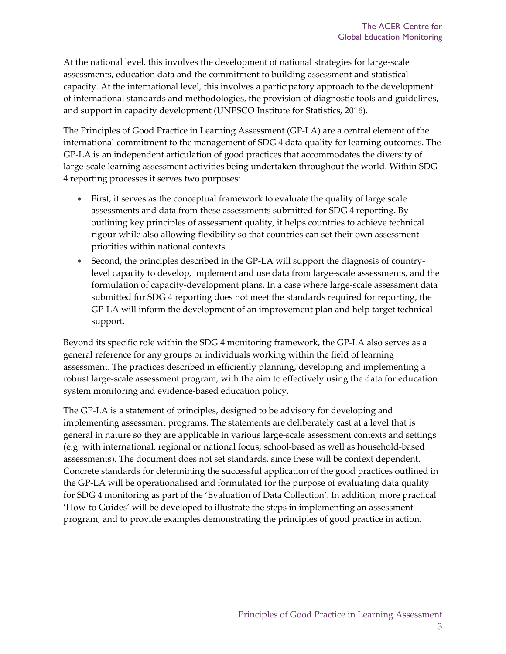At the national level, this involves the development of national strategies for large-scale assessments, education data and the commitment to building assessment and statistical capacity. At the international level, this involves a participatory approach to the development of international standards and methodologies, the provision of diagnostic tools and guidelines, and support in capacity development (UNESCO Institute for Statistics, 2016).

The Principles of Good Practice in Learning Assessment (GP-LA) are a central element of the international commitment to the management of SDG 4 data quality for learning outcomes. The GP-LA is an independent articulation of good practices that accommodates the diversity of large-scale learning assessment activities being undertaken throughout the world. Within SDG 4 reporting processes it serves two purposes:

- First, it serves as the conceptual framework to evaluate the quality of large scale assessments and data from these assessments submitted for SDG 4 reporting. By outlining key principles of assessment quality, it helps countries to achieve technical rigour while also allowing flexibility so that countries can set their own assessment priorities within national contexts.
- Second, the principles described in the GP-LA will support the diagnosis of countrylevel capacity to develop, implement and use data from large-scale assessments, and the formulation of capacity-development plans. In a case where large-scale assessment data submitted for SDG 4 reporting does not meet the standards required for reporting, the GP-LA will inform the development of an improvement plan and help target technical support.

Beyond its specific role within the SDG 4 monitoring framework, the GP-LA also serves as a general reference for any groups or individuals working within the field of learning assessment. The practices described in efficiently planning, developing and implementing a robust large-scale assessment program, with the aim to effectively using the data for education system monitoring and evidence-based education policy.

The GP-LA is a statement of principles, designed to be advisory for developing and implementing assessment programs. The statements are deliberately cast at a level that is general in nature so they are applicable in various large-scale assessment contexts and settings (e.g. with international, regional or national focus; school-based as well as household-based assessments). The document does not set standards, since these will be context dependent. Concrete standards for determining the successful application of the good practices outlined in the GP-LA will be operationalised and formulated for the purpose of evaluating data quality for SDG 4 monitoring as part of the 'Evaluation of Data Collection'. In addition, more practical 'How-to Guides' will be developed to illustrate the steps in implementing an assessment program, and to provide examples demonstrating the principles of good practice in action.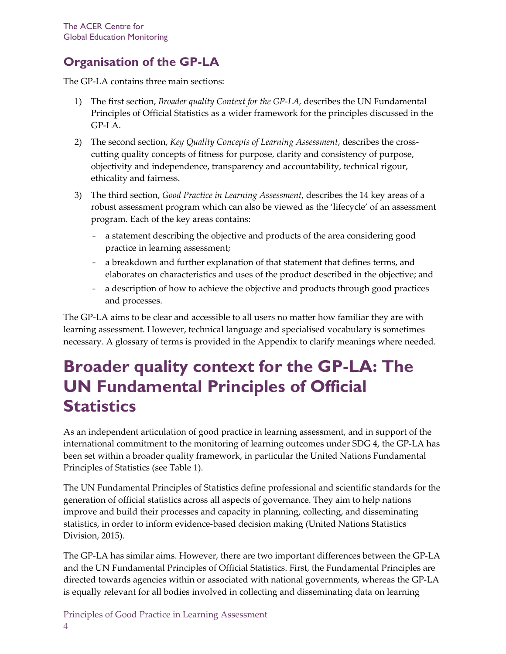# **Organisation of the GP-LA**

The GP-LA contains three main sections:

- 1) The first section, *Broader quality Context for the GP-LA,* describes the UN Fundamental Principles of Official Statistics as a wider framework for the principles discussed in the GP-LA.
- 2) The second section, *Key Quality Concepts of Learning Assessment*, describes the crosscutting quality concepts of fitness for purpose, clarity and consistency of purpose, objectivity and independence, transparency and accountability, technical rigour, ethicality and fairness.
- 3) The third section, *Good Practice in Learning Assessment*, describes the 14 key areas of a robust assessment program which can also be viewed as the 'lifecycle' of an assessment program. Each of the key areas contains:
	- a statement describing the objective and products of the area considering good practice in learning assessment;
	- a breakdown and further explanation of that statement that defines terms, and elaborates on characteristics and uses of the product described in the objective; and
	- a description of how to achieve the objective and products through good practices and processes.

The GP-LA aims to be clear and accessible to all users no matter how familiar they are with learning assessment. However, technical language and specialised vocabulary is sometimes necessary. A glossary of terms is provided in the Appendix to clarify meanings where needed.

# **Broader quality context for the GP-LA: The UN Fundamental Principles of Official Statistics**

As an independent articulation of good practice in learning assessment, and in support of the international commitment to the monitoring of learning outcomes under SDG 4, the GP-LA has been set within a broader quality framework, in particular the United Nations Fundamental Principles of Statistics (see Table 1).

The UN Fundamental Principles of Statistics define professional and scientific standards for the generation of official statistics across all aspects of governance. They aim to help nations improve and build their processes and capacity in planning, collecting, and disseminating statistics, in order to inform evidence-based decision making (United Nations Statistics Division, 2015).

The GP-LA has similar aims. However, there are two important differences between the GP-LA and the UN Fundamental Principles of Official Statistics. First, the Fundamental Principles are directed towards agencies within or associated with national governments, whereas the GP-LA is equally relevant for all bodies involved in collecting and disseminating data on learning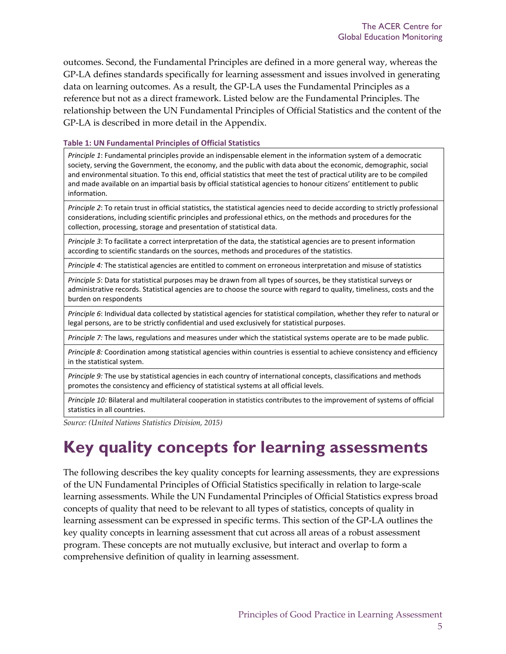outcomes. Second, the Fundamental Principles are defined in a more general way, whereas the GP-LA defines standards specifically for learning assessment and issues involved in generating data on learning outcomes. As a result, the GP-LA uses the Fundamental Principles as a reference but not as a direct framework. Listed below are the Fundamental Principles. The relationship between the UN Fundamental Principles of Official Statistics and the content of the GP-LA is described in more detail in the Appendix.

#### **Table 1: UN Fundamental Principles of Official Statistics**

*Principle 1*: Fundamental principles provide an indispensable element in the information system of a democratic society, serving the Government, the economy, and the public with data about the economic, demographic, social and environmental situation. To this end, official statistics that meet the test of practical utility are to be compiled and made available on an impartial basis by official statistical agencies to honour citizens' entitlement to public information.

*Principle 2*: To retain trust in official statistics, the statistical agencies need to decide according to strictly professional considerations, including scientific principles and professional ethics, on the methods and procedures for the collection, processing, storage and presentation of statistical data.

*Principle 3*: To facilitate a correct interpretation of the data, the statistical agencies are to present information according to scientific standards on the sources, methods and procedures of the statistics.

*Principle 4:* The statistical agencies are entitled to comment on erroneous interpretation and misuse of statistics

*Principle 5*: Data for statistical purposes may be drawn from all types of sources, be they statistical surveys or administrative records. Statistical agencies are to choose the source with regard to quality, timeliness, costs and the burden on respondents

*Principle 6*: Individual data collected by statistical agencies for statistical compilation, whether they refer to natural or legal persons, are to be strictly confidential and used exclusively for statistical purposes.

*Principle 7:* The laws, regulations and measures under which the statistical systems operate are to be made public.

*Principle 8:* Coordination among statistical agencies within countries is essential to achieve consistency and efficiency in the statistical system.

*Principle 9:* The use by statistical agencies in each country of international concepts, classifications and methods promotes the consistency and efficiency of statistical systems at all official levels.

*Principle 10:* Bilateral and multilateral cooperation in statistics contributes to the improvement of systems of official statistics in all countries.

*Source: (United Nations Statistics Division, 2015)* 

# **Key quality concepts for learning assessments**

The following describes the key quality concepts for learning assessments, they are expressions of the UN Fundamental Principles of Official Statistics specifically in relation to large-scale learning assessments. While the UN Fundamental Principles of Official Statistics express broad concepts of quality that need to be relevant to all types of statistics, concepts of quality in learning assessment can be expressed in specific terms. This section of the GP-LA outlines the key quality concepts in learning assessment that cut across all areas of a robust assessment program. These concepts are not mutually exclusive, but interact and overlap to form a comprehensive definition of quality in learning assessment.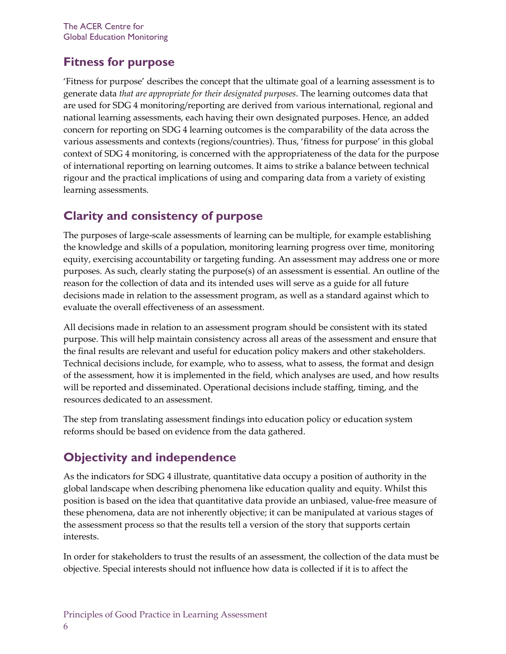# **Fitness for purpose**

'Fitness for purpose' describes the concept that the ultimate goal of a learning assessment is to generate data *that are appropriate for their designated purposes*. The learning outcomes data that are used for SDG 4 monitoring/reporting are derived from various international, regional and national learning assessments, each having their own designated purposes. Hence, an added concern for reporting on SDG 4 learning outcomes is the comparability of the data across the various assessments and contexts (regions/countries). Thus, 'fitness for purpose' in this global context of SDG 4 monitoring, is concerned with the appropriateness of the data for the purpose of international reporting on learning outcomes. It aims to strike a balance between technical rigour and the practical implications of using and comparing data from a variety of existing learning assessments.

## **Clarity and consistency of purpose**

The purposes of large-scale assessments of learning can be multiple, for example establishing the knowledge and skills of a population, monitoring learning progress over time, monitoring equity, exercising accountability or targeting funding. An assessment may address one or more purposes. As such, clearly stating the purpose(s) of an assessment is essential. An outline of the reason for the collection of data and its intended uses will serve as a guide for all future decisions made in relation to the assessment program, as well as a standard against which to evaluate the overall effectiveness of an assessment.

All decisions made in relation to an assessment program should be consistent with its stated purpose. This will help maintain consistency across all areas of the assessment and ensure that the final results are relevant and useful for education policy makers and other stakeholders. Technical decisions include, for example, who to assess, what to assess, the format and design of the assessment, how it is implemented in the field, which analyses are used, and how results will be reported and disseminated. Operational decisions include staffing, timing, and the resources dedicated to an assessment.

The step from translating assessment findings into education policy or education system reforms should be based on evidence from the data gathered.

# **Objectivity and independence**

As the indicators for SDG 4 illustrate, quantitative data occupy a position of authority in the global landscape when describing phenomena like education quality and equity. Whilst this position is based on the idea that quantitative data provide an unbiased, value-free measure of these phenomena, data are not inherently objective; it can be manipulated at various stages of the assessment process so that the results tell a version of the story that supports certain interests.

In order for stakeholders to trust the results of an assessment, the collection of the data must be objective. Special interests should not influence how data is collected if it is to affect the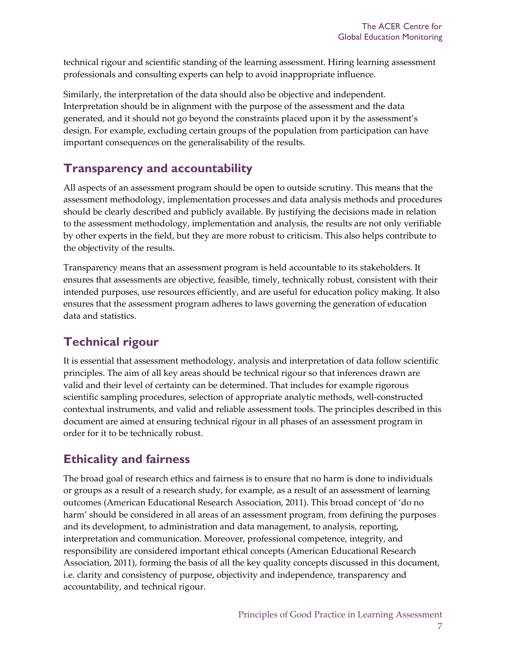technical rigour and scientific standing of the learning assessment. Hiring learning assessment professionals and consulting experts can help to avoid inappropriate influence.

Similarly, the interpretation of the data should also be objective and independent. Interpretation should be in alignment with the purpose of the assessment and the data generated, and it should not go beyond the constraints placed upon it by the assessment's design. For example, excluding certain groups of the population from participation can have important consequences on the generalisability of the results.

## **Transparency and accountability**

All aspects of an assessment program should be open to outside scrutiny. This means that the assessment methodology, implementation processes and data analysis methods and procedures should be clearly described and publicly available. By justifying the decisions made in relation to the assessment methodology, implementation and analysis, the results are not only verifiable by other experts in the field, but they are more robust to criticism. This also helps contribute to the objectivity of the results.

Transparency means that an assessment program is held accountable to its stakeholders. It ensures that assessments are objective, feasible, timely, technically robust, consistent with their intended purposes, use resources efficiently, and are useful for education policy making. It also ensures that the assessment program adheres to laws governing the generation of education data and statistics.

## **Technical rigour**

It is essential that assessment methodology, analysis and interpretation of data follow scientific principles. The aim of all key areas should be technical rigour so that inferences drawn are valid and their level of certainty can be determined. That includes for example rigorous scientific sampling procedures, selection of appropriate analytic methods, well-constructed contextual instruments, and valid and reliable assessment tools. The principles described in this document are aimed at ensuring technical rigour in all phases of an assessment program in order for it to be technically robust.

## **Ethicality and fairness**

The broad goal of research ethics and fairness is to ensure that no harm is done to individuals or groups as a result of a research study, for example, as a result of an assessment of learning outcomes (American Educational Research Association, 2011). This broad concept of 'do no harm' should be considered in all areas of an assessment program, from defining the purposes and its development, to administration and data management, to analysis, reporting, interpretation and communication. Moreover, professional competence, integrity, and responsibility are considered important ethical concepts (American Educational Research Association, 2011), forming the basis of all the key quality concepts discussed in this document, i.e. clarity and consistency of purpose, objectivity and independence, transparency and accountability, and technical rigour.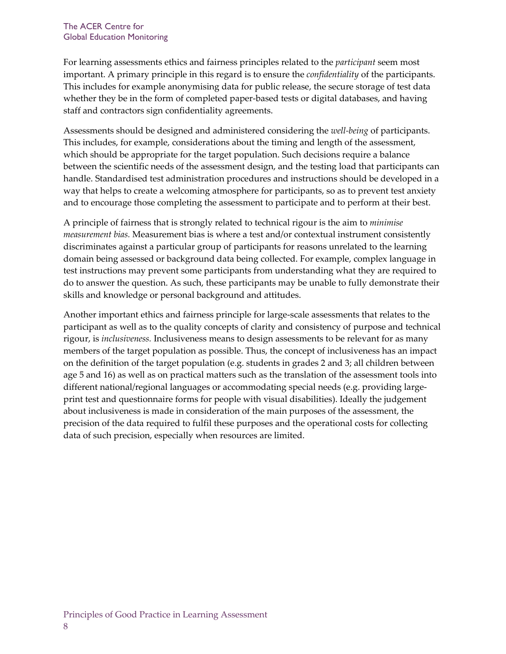#### The ACER Centre for Global Education Monitoring

For learning assessments ethics and fairness principles related to the *participant* seem most important. A primary principle in this regard is to ensure the *confidentiality* of the participants. This includes for example anonymising data for public release, the secure storage of test data whether they be in the form of completed paper-based tests or digital databases, and having staff and contractors sign confidentiality agreements.

Assessments should be designed and administered considering the *well-being* of participants. This includes, for example, considerations about the timing and length of the assessment, which should be appropriate for the target population. Such decisions require a balance between the scientific needs of the assessment design, and the testing load that participants can handle. Standardised test administration procedures and instructions should be developed in a way that helps to create a welcoming atmosphere for participants, so as to prevent test anxiety and to encourage those completing the assessment to participate and to perform at their best.

A principle of fairness that is strongly related to technical rigour is the aim to *minimise measurement bias.* Measurement bias is where a test and/or contextual instrument consistently discriminates against a particular group of participants for reasons unrelated to the learning domain being assessed or background data being collected. For example, complex language in test instructions may prevent some participants from understanding what they are required to do to answer the question. As such, these participants may be unable to fully demonstrate their skills and knowledge or personal background and attitudes.

Another important ethics and fairness principle for large-scale assessments that relates to the participant as well as to the quality concepts of clarity and consistency of purpose and technical rigour, is *inclusiveness.* Inclusiveness means to design assessments to be relevant for as many members of the target population as possible. Thus, the concept of inclusiveness has an impact on the definition of the target population (e.g. students in grades 2 and 3; all children between age 5 and 16) as well as on practical matters such as the translation of the assessment tools into different national/regional languages or accommodating special needs (e.g. providing largeprint test and questionnaire forms for people with visual disabilities). Ideally the judgement about inclusiveness is made in consideration of the main purposes of the assessment, the precision of the data required to fulfil these purposes and the operational costs for collecting data of such precision, especially when resources are limited.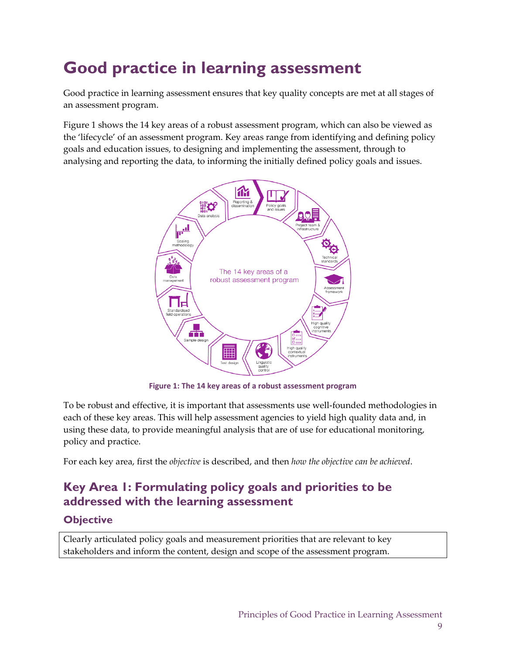# **Good practice in learning assessment**

Good practice in learning assessment ensures that key quality concepts are met at all stages of an assessment program.

Figure 1 shows the 14 key areas of a robust assessment program, which can also be viewed as the 'lifecycle' of an assessment program. Key areas range from identifying and defining policy goals and education issues, to designing and implementing the assessment, through to analysing and reporting the data, to informing the initially defined policy goals and issues.



**Figure 1: The 14 key areas of a robust assessment program**

To be robust and effective, it is important that assessments use well-founded methodologies in each of these key areas. This will help assessment agencies to yield high quality data and, in using these data, to provide meaningful analysis that are of use for educational monitoring, policy and practice.

For each key area, first the *objective* is described, and then *how the objective can be achieved*.

## **Key Area 1: Formulating policy goals and priorities to be addressed with the learning assessment**

### **Objective**

Clearly articulated policy goals and measurement priorities that are relevant to key stakeholders and inform the content, design and scope of the assessment program.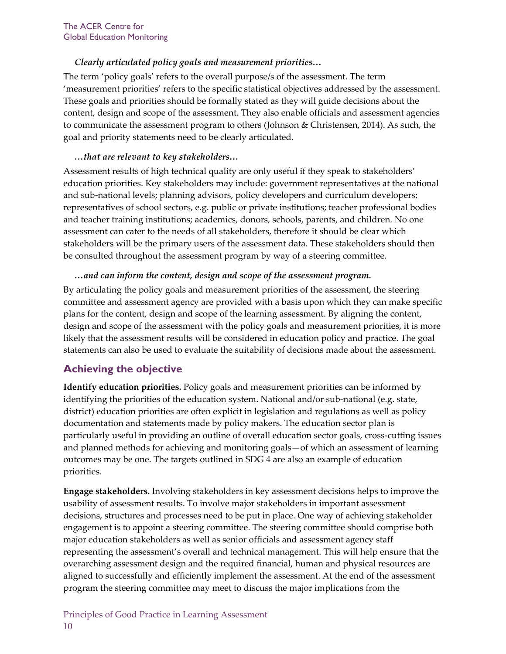#### *Clearly articulated policy goals and measurement priorities…*

The term 'policy goals' refers to the overall purpose/s of the assessment. The term 'measurement priorities' refers to the specific statistical objectives addressed by the assessment. These goals and priorities should be formally stated as they will guide decisions about the content, design and scope of the assessment. They also enable officials and assessment agencies to communicate the assessment program to others (Johnson & Christensen, 2014). As such, the goal and priority statements need to be clearly articulated.

#### *…that are relevant to key stakeholders…*

Assessment results of high technical quality are only useful if they speak to stakeholders' education priorities. Key stakeholders may include: government representatives at the national and sub-national levels; planning advisors, policy developers and curriculum developers; representatives of school sectors, e.g. public or private institutions; teacher professional bodies and teacher training institutions; academics, donors, schools, parents, and children. No one assessment can cater to the needs of all stakeholders, therefore it should be clear which stakeholders will be the primary users of the assessment data. These stakeholders should then be consulted throughout the assessment program by way of a steering committee.

#### *…and can inform the content, design and scope of the assessment program.*

By articulating the policy goals and measurement priorities of the assessment, the steering committee and assessment agency are provided with a basis upon which they can make specific plans for the content, design and scope of the learning assessment. By aligning the content, design and scope of the assessment with the policy goals and measurement priorities, it is more likely that the assessment results will be considered in education policy and practice. The goal statements can also be used to evaluate the suitability of decisions made about the assessment.

### **Achieving the objective**

**Identify education priorities.** Policy goals and measurement priorities can be informed by identifying the priorities of the education system. National and/or sub-national (e.g. state, district) education priorities are often explicit in legislation and regulations as well as policy documentation and statements made by policy makers. The education sector plan is particularly useful in providing an outline of overall education sector goals, cross-cutting issues and planned methods for achieving and monitoring goals—of which an assessment of learning outcomes may be one. The targets outlined in SDG 4 are also an example of education priorities.

**Engage stakeholders.** Involving stakeholders in key assessment decisions helps to improve the usability of assessment results. To involve major stakeholders in important assessment decisions, structures and processes need to be put in place. One way of achieving stakeholder engagement is to appoint a steering committee. The steering committee should comprise both major education stakeholders as well as senior officials and assessment agency staff representing the assessment's overall and technical management. This will help ensure that the overarching assessment design and the required financial, human and physical resources are aligned to successfully and efficiently implement the assessment. At the end of the assessment program the steering committee may meet to discuss the major implications from the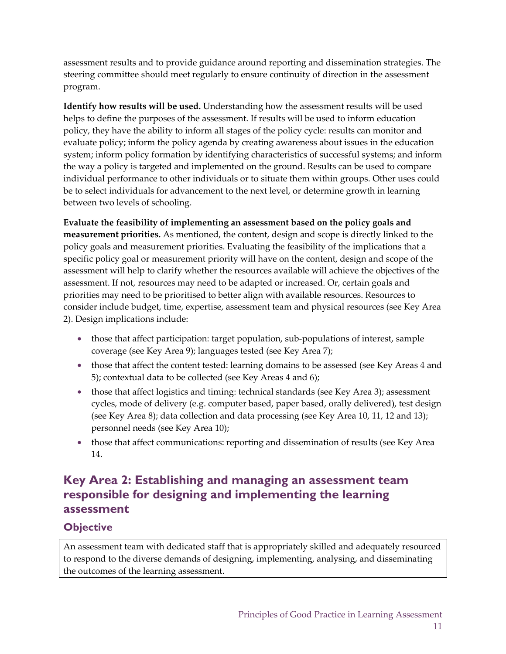assessment results and to provide guidance around reporting and dissemination strategies. The steering committee should meet regularly to ensure continuity of direction in the assessment program.

**Identify how results will be used.** Understanding how the assessment results will be used helps to define the purposes of the assessment. If results will be used to inform education policy, they have the ability to inform all stages of the policy cycle: results can monitor and evaluate policy; inform the policy agenda by creating awareness about issues in the education system; inform policy formation by identifying characteristics of successful systems; and inform the way a policy is targeted and implemented on the ground. Results can be used to compare individual performance to other individuals or to situate them within groups. Other uses could be to select individuals for advancement to the next level, or determine growth in learning between two levels of schooling.

**Evaluate the feasibility of implementing an assessment based on the policy goals and measurement priorities.** As mentioned, the content, design and scope is directly linked to the policy goals and measurement priorities. Evaluating the feasibility of the implications that a specific policy goal or measurement priority will have on the content, design and scope of the assessment will help to clarify whether the resources available will achieve the objectives of the assessment. If not, resources may need to be adapted or increased. Or, certain goals and priorities may need to be prioritised to better align with available resources. Resources to consider include budget, time, expertise, assessment team and physical resources (see Key Area 2). Design implications include:

- those that affect participation: target population, sub-populations of interest, sample coverage (see Key Area 9); languages tested (see Key Area 7);
- those that affect the content tested: learning domains to be assessed (see Key Areas 4 and 5); contextual data to be collected (see Key Areas 4 and 6);
- those that affect logistics and timing: technical standards (see Key Area 3); assessment cycles, mode of delivery (e.g. computer based, paper based, orally delivered), test design (see Key Area 8); data collection and data processing (see Key Area 10, 11, 12 and 13); personnel needs (see Key Area 10);
- those that affect communications: reporting and dissemination of results (see Key Area 14.

# **Key Area 2: Establishing and managing an assessment team responsible for designing and implementing the learning assessment**

### **Objective**

An assessment team with dedicated staff that is appropriately skilled and adequately resourced to respond to the diverse demands of designing, implementing, analysing, and disseminating the outcomes of the learning assessment.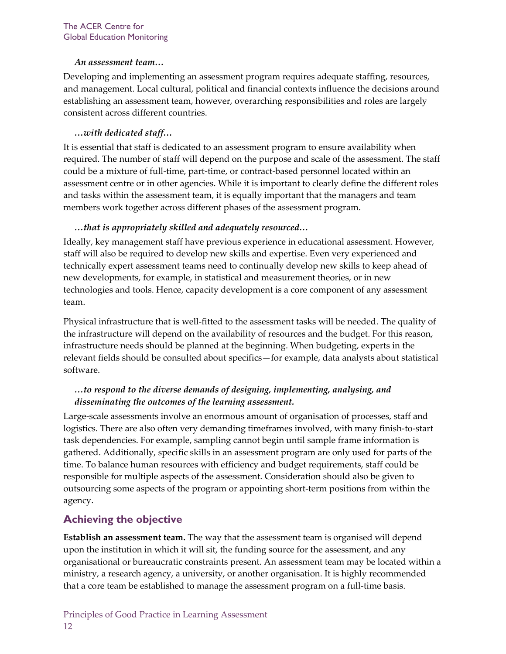#### The ACER Centre for Global Education Monitoring

#### *An assessment team…*

Developing and implementing an assessment program requires adequate staffing, resources, and management. Local cultural, political and financial contexts influence the decisions around establishing an assessment team, however, overarching responsibilities and roles are largely consistent across different countries.

#### *…with dedicated staff…*

It is essential that staff is dedicated to an assessment program to ensure availability when required. The number of staff will depend on the purpose and scale of the assessment. The staff could be a mixture of full-time, part-time, or contract-based personnel located within an assessment centre or in other agencies. While it is important to clearly define the different roles and tasks within the assessment team, it is equally important that the managers and team members work together across different phases of the assessment program.

#### *…that is appropriately skilled and adequately resourced…*

Ideally, key management staff have previous experience in educational assessment. However, staff will also be required to develop new skills and expertise. Even very experienced and technically expert assessment teams need to continually develop new skills to keep ahead of new developments, for example, in statistical and measurement theories, or in new technologies and tools. Hence, capacity development is a core component of any assessment team.

Physical infrastructure that is well-fitted to the assessment tasks will be needed. The quality of the infrastructure will depend on the availability of resources and the budget. For this reason, infrastructure needs should be planned at the beginning. When budgeting, experts in the relevant fields should be consulted about specifics—for example, data analysts about statistical software.

#### *…to respond to the diverse demands of designing, implementing, analysing, and disseminating the outcomes of the learning assessment.*

Large-scale assessments involve an enormous amount of organisation of processes, staff and logistics. There are also often very demanding timeframes involved, with many finish-to-start task dependencies. For example, sampling cannot begin until sample frame information is gathered. Additionally, specific skills in an assessment program are only used for parts of the time. To balance human resources with efficiency and budget requirements, staff could be responsible for multiple aspects of the assessment. Consideration should also be given to outsourcing some aspects of the program or appointing short-term positions from within the agency.

### **Achieving the objective**

**Establish an assessment team.** The way that the assessment team is organised will depend upon the institution in which it will sit, the funding source for the assessment, and any organisational or bureaucratic constraints present. An assessment team may be located within a ministry, a research agency, a university, or another organisation. It is highly recommended that a core team be established to manage the assessment program on a full-time basis.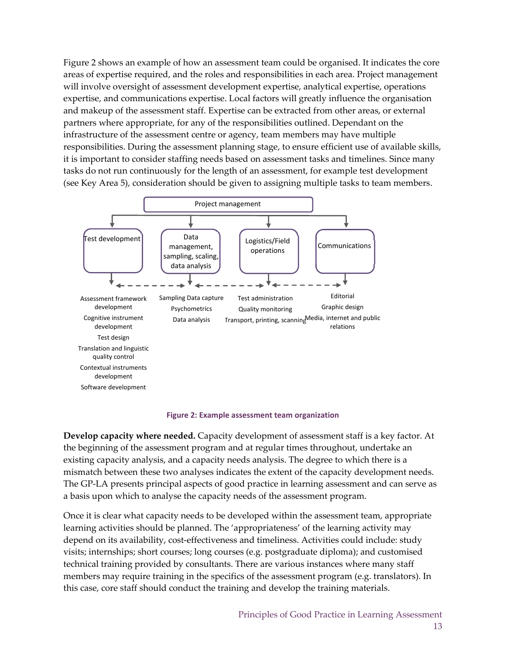Figure 2 shows an example of how an assessment team could be organised. It indicates the core areas of expertise required, and the roles and responsibilities in each area. Project management will involve oversight of assessment development expertise, analytical expertise, operations expertise, and communications expertise. Local factors will greatly influence the organisation and makeup of the assessment staff. Expertise can be extracted from other areas, or external partners where appropriate, for any of the responsibilities outlined. Dependant on the infrastructure of the assessment centre or agency, team members may have multiple responsibilities. During the assessment planning stage, to ensure efficient use of available skills, it is important to consider staffing needs based on assessment tasks and timelines. Since many tasks do not run continuously for the length of an assessment, for example test development (see Key Area 5), consideration should be given to assigning multiple tasks to team members.



#### **Figure 2: Example assessment team organization**

**Develop capacity where needed.** Capacity development of assessment staff is a key factor. At the beginning of the assessment program and at regular times throughout, undertake an existing capacity analysis, and a capacity needs analysis. The degree to which there is a mismatch between these two analyses indicates the extent of the capacity development needs. The GP-LA presents principal aspects of good practice in learning assessment and can serve as a basis upon which to analyse the capacity needs of the assessment program.

Once it is clear what capacity needs to be developed within the assessment team, appropriate learning activities should be planned. The 'appropriateness' of the learning activity may depend on its availability, cost-effectiveness and timeliness. Activities could include: study visits; internships; short courses; long courses (e.g. postgraduate diploma); and customised technical training provided by consultants. There are various instances where many staff members may require training in the specifics of the assessment program (e.g. translators). In this case, core staff should conduct the training and develop the training materials.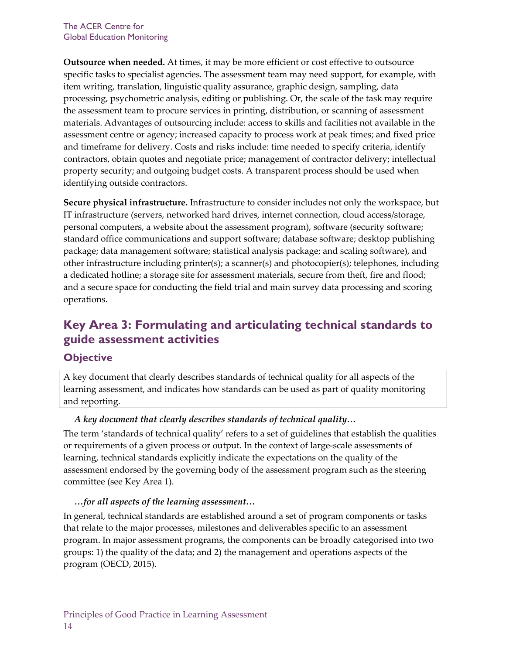**Outsource when needed.** At times, it may be more efficient or cost effective to outsource specific tasks to specialist agencies. The assessment team may need support, for example, with item writing, translation, linguistic quality assurance, graphic design, sampling, data processing, psychometric analysis, editing or publishing. Or, the scale of the task may require the assessment team to procure services in printing, distribution, or scanning of assessment materials. Advantages of outsourcing include: access to skills and facilities not available in the assessment centre or agency; increased capacity to process work at peak times; and fixed price and timeframe for delivery. Costs and risks include: time needed to specify criteria, identify contractors, obtain quotes and negotiate price; management of contractor delivery; intellectual property security; and outgoing budget costs. A transparent process should be used when identifying outside contractors.

**Secure physical infrastructure.** Infrastructure to consider includes not only the workspace, but IT infrastructure (servers, networked hard drives, internet connection, cloud access/storage, personal computers, a website about the assessment program), software (security software; standard office communications and support software; database software; desktop publishing package; data management software; statistical analysis package; and scaling software), and other infrastructure including printer(s); a scanner(s) and photocopier(s); telephones, including a dedicated hotline; a storage site for assessment materials, secure from theft, fire and flood; and a secure space for conducting the field trial and main survey data processing and scoring operations.

# **Key Area 3: Formulating and articulating technical standards to guide assessment activities**

### **Objective**

A key document that clearly describes standards of technical quality for all aspects of the learning assessment, and indicates how standards can be used as part of quality monitoring and reporting.

#### *A key document that clearly describes standards of technical quality…*

The term 'standards of technical quality' refers to a set of guidelines that establish the qualities or requirements of a given process or output. In the context of large-scale assessments of learning, technical standards explicitly indicate the expectations on the quality of the assessment endorsed by the governing body of the assessment program such as the steering committee (see Key Area 1).

#### *…for all aspects of the learning assessment…*

In general, technical standards are established around a set of program components or tasks that relate to the major processes, milestones and deliverables specific to an assessment program. In major assessment programs, the components can be broadly categorised into two groups: 1) the quality of the data; and 2) the management and operations aspects of the program (OECD, 2015).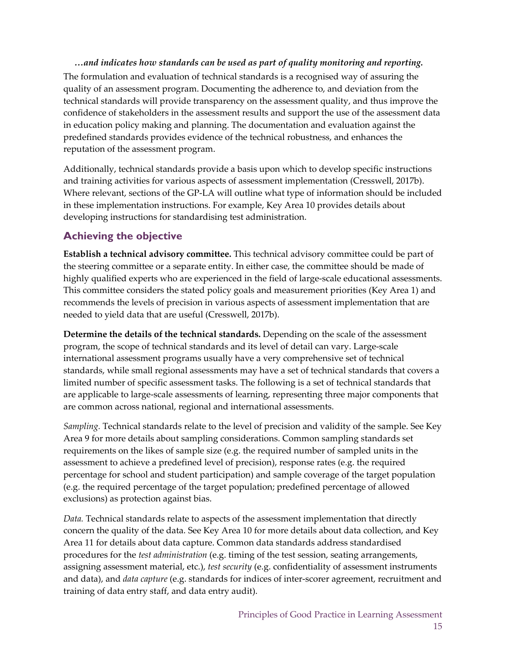*…and indicates how standards can be used as part of quality monitoring and reporting.*  The formulation and evaluation of technical standards is a recognised way of assuring the quality of an assessment program. Documenting the adherence to, and deviation from the technical standards will provide transparency on the assessment quality, and thus improve the confidence of stakeholders in the assessment results and support the use of the assessment data in education policy making and planning. The documentation and evaluation against the predefined standards provides evidence of the technical robustness, and enhances the reputation of the assessment program.

Additionally, technical standards provide a basis upon which to develop specific instructions and training activities for various aspects of assessment implementation (Cresswell, 2017b). Where relevant, sections of the GP-LA will outline what type of information should be included in these implementation instructions. For example, Key Area 10 provides details about developing instructions for standardising test administration.

## **Achieving the objective**

**Establish a technical advisory committee.** This technical advisory committee could be part of the steering committee or a separate entity. In either case, the committee should be made of highly qualified experts who are experienced in the field of large-scale educational assessments. This committee considers the stated policy goals and measurement priorities (Key Area 1) and recommends the levels of precision in various aspects of assessment implementation that are needed to yield data that are useful (Cresswell, 2017b).

**Determine the details of the technical standards.** Depending on the scale of the assessment program, the scope of technical standards and its level of detail can vary. Large-scale international assessment programs usually have a very comprehensive set of technical standards, while small regional assessments may have a set of technical standards that covers a limited number of specific assessment tasks. The following is a set of technical standards that are applicable to large-scale assessments of learning, representing three major components that are common across national, regional and international assessments.

*Sampling.* Technical standards relate to the level of precision and validity of the sample. See Key Area 9 for more details about sampling considerations. Common sampling standards set requirements on the likes of sample size (e.g. the required number of sampled units in the assessment to achieve a predefined level of precision), response rates (e.g. the required percentage for school and student participation) and sample coverage of the target population (e.g. the required percentage of the target population; predefined percentage of allowed exclusions) as protection against bias.

*Data.* Technical standards relate to aspects of the assessment implementation that directly concern the quality of the data. See Key Area 10 for more details about data collection, and Key Area 11 for details about data capture. Common data standards address standardised procedures for the *test administration* (e.g. timing of the test session, seating arrangements, assigning assessment material, etc.), *test security* (e.g. confidentiality of assessment instruments and data), and *data capture* (e.g. standards for indices of inter-scorer agreement, recruitment and training of data entry staff, and data entry audit).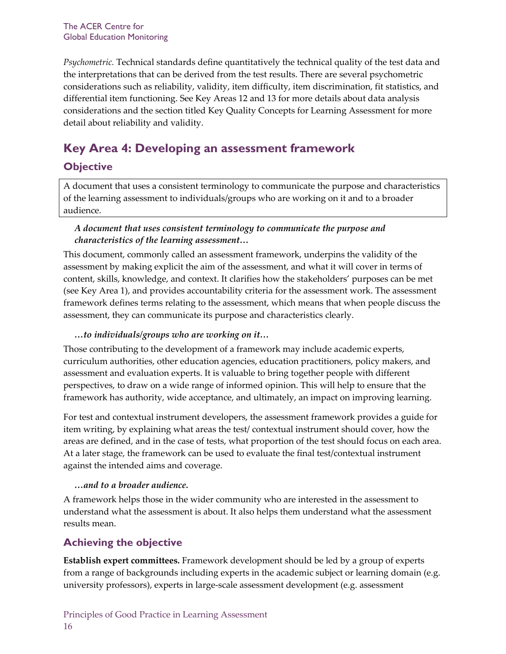*Psychometric.* Technical standards define quantitatively the technical quality of the test data and the interpretations that can be derived from the test results. There are several psychometric considerations such as reliability, validity, item difficulty, item discrimination, fit statistics, and differential item functioning. See Key Areas 12 and 13 for more details about data analysis considerations and the section titled Key Quality Concepts for Learning Assessment for more detail about reliability and validity.

# **Key Area 4: Developing an assessment framework**

## **Objective**

A document that uses a consistent terminology to communicate the purpose and characteristics of the learning assessment to individuals/groups who are working on it and to a broader audience.

#### *A document that uses consistent terminology to communicate the purpose and characteristics of the learning assessment…*

This document, commonly called an assessment framework, underpins the validity of the assessment by making explicit the aim of the assessment, and what it will cover in terms of content, skills, knowledge, and context. It clarifies how the stakeholders' purposes can be met (see Key Area 1), and provides accountability criteria for the assessment work. The assessment framework defines terms relating to the assessment, which means that when people discuss the assessment, they can communicate its purpose and characteristics clearly.

### *…to individuals/groups who are working on it…*

Those contributing to the development of a framework may include academic experts, curriculum authorities, other education agencies, education practitioners, policy makers, and assessment and evaluation experts. It is valuable to bring together people with different perspectives, to draw on a wide range of informed opinion. This will help to ensure that the framework has authority, wide acceptance, and ultimately, an impact on improving learning.

For test and contextual instrument developers, the assessment framework provides a guide for item writing, by explaining what areas the test/ contextual instrument should cover, how the areas are defined, and in the case of tests, what proportion of the test should focus on each area. At a later stage, the framework can be used to evaluate the final test/contextual instrument against the intended aims and coverage.

#### *…and to a broader audience.*

A framework helps those in the wider community who are interested in the assessment to understand what the assessment is about. It also helps them understand what the assessment results mean.

### **Achieving the objective**

**Establish expert committees.** Framework development should be led by a group of experts from a range of backgrounds including experts in the academic subject or learning domain (e.g. university professors), experts in large-scale assessment development (e.g. assessment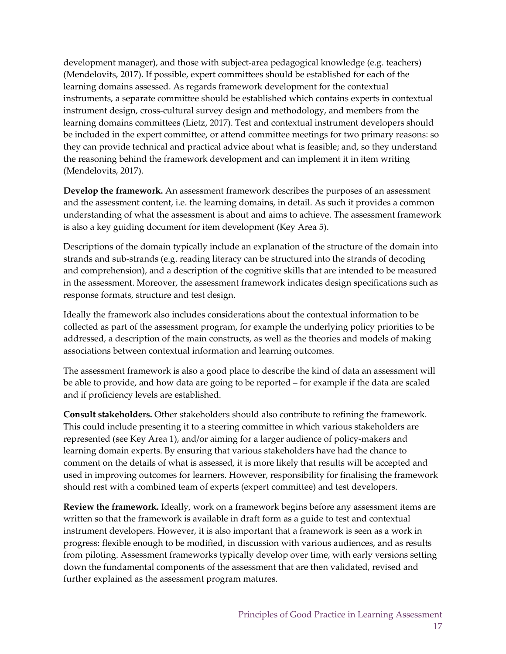development manager), and those with subject-area pedagogical knowledge (e.g. teachers) (Mendelovits, 2017). If possible, expert committees should be established for each of the learning domains assessed. As regards framework development for the contextual instruments, a separate committee should be established which contains experts in contextual instrument design, cross-cultural survey design and methodology, and members from the learning domains committees (Lietz, 2017). Test and contextual instrument developers should be included in the expert committee, or attend committee meetings for two primary reasons: so they can provide technical and practical advice about what is feasible; and, so they understand the reasoning behind the framework development and can implement it in item writing (Mendelovits, 2017).

**Develop the framework.** An assessment framework describes the purposes of an assessment and the assessment content, i.e. the learning domains, in detail. As such it provides a common understanding of what the assessment is about and aims to achieve. The assessment framework is also a key guiding document for item development (Key Area 5).

Descriptions of the domain typically include an explanation of the structure of the domain into strands and sub-strands (e.g. reading literacy can be structured into the strands of decoding and comprehension), and a description of the cognitive skills that are intended to be measured in the assessment. Moreover, the assessment framework indicates design specifications such as response formats, structure and test design.

Ideally the framework also includes considerations about the contextual information to be collected as part of the assessment program, for example the underlying policy priorities to be addressed, a description of the main constructs, as well as the theories and models of making associations between contextual information and learning outcomes.

The assessment framework is also a good place to describe the kind of data an assessment will be able to provide, and how data are going to be reported – for example if the data are scaled and if proficiency levels are established.

**Consult stakeholders.** Other stakeholders should also contribute to refining the framework. This could include presenting it to a steering committee in which various stakeholders are represented (see Key Area 1), and/or aiming for a larger audience of policy-makers and learning domain experts. By ensuring that various stakeholders have had the chance to comment on the details of what is assessed, it is more likely that results will be accepted and used in improving outcomes for learners. However, responsibility for finalising the framework should rest with a combined team of experts (expert committee) and test developers.

**Review the framework.** Ideally, work on a framework begins before any assessment items are written so that the framework is available in draft form as a guide to test and contextual instrument developers. However, it is also important that a framework is seen as a work in progress: flexible enough to be modified, in discussion with various audiences, and as results from piloting. Assessment frameworks typically develop over time, with early versions setting down the fundamental components of the assessment that are then validated, revised and further explained as the assessment program matures.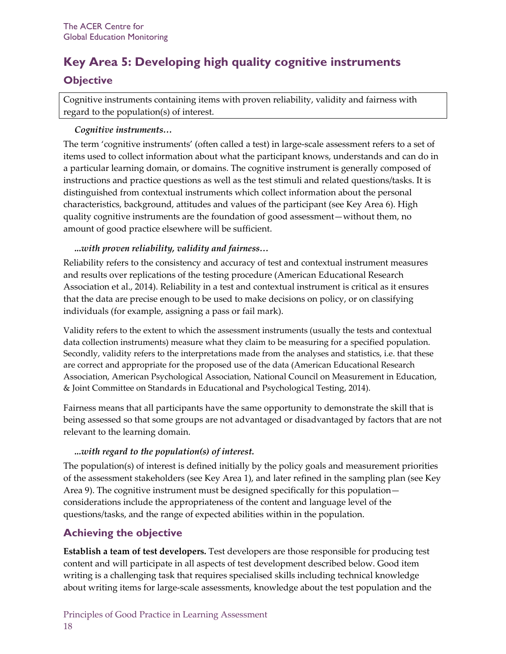# **Key Area 5: Developing high quality cognitive instruments Objective**

Cognitive instruments containing items with proven reliability, validity and fairness with regard to the population(s) of interest.

#### *Cognitive instruments…*

The term 'cognitive instruments' (often called a test) in large-scale assessment refers to a set of items used to collect information about what the participant knows, understands and can do in a particular learning domain, or domains. The cognitive instrument is generally composed of instructions and practice questions as well as the test stimuli and related questions/tasks. It is distinguished from contextual instruments which collect information about the personal characteristics, background, attitudes and values of the participant (see Key Area 6). High quality cognitive instruments are the foundation of good assessment—without them, no amount of good practice elsewhere will be sufficient.

#### *...with proven reliability, validity and fairness…*

Reliability refers to the consistency and accuracy of test and contextual instrument measures and results over replications of the testing procedure (American Educational Research Association et al., 2014). Reliability in a test and contextual instrument is critical as it ensures that the data are precise enough to be used to make decisions on policy, or on classifying individuals (for example, assigning a pass or fail mark).

Validity refers to the extent to which the assessment instruments (usually the tests and contextual data collection instruments) measure what they claim to be measuring for a specified population. Secondly, validity refers to the interpretations made from the analyses and statistics, i.e. that these are correct and appropriate for the proposed use of the data (American Educational Research Association, American Psychological Association, National Council on Measurement in Education, & Joint Committee on Standards in Educational and Psychological Testing, 2014).

Fairness means that all participants have the same opportunity to demonstrate the skill that is being assessed so that some groups are not advantaged or disadvantaged by factors that are not relevant to the learning domain.

#### *...with regard to the population(s) of interest.*

The population(s) of interest is defined initially by the policy goals and measurement priorities of the assessment stakeholders (see Key Area 1), and later refined in the sampling plan (see Key Area 9). The cognitive instrument must be designed specifically for this population considerations include the appropriateness of the content and language level of the questions/tasks, and the range of expected abilities within in the population.

### **Achieving the objective**

**Establish a team of test developers.** Test developers are those responsible for producing test content and will participate in all aspects of test development described below. Good item writing is a challenging task that requires specialised skills including technical knowledge about writing items for large-scale assessments, knowledge about the test population and the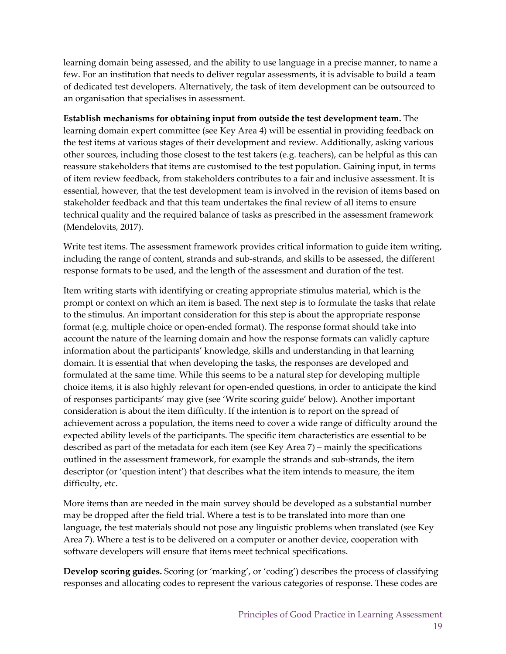learning domain being assessed, and the ability to use language in a precise manner, to name a few. For an institution that needs to deliver regular assessments, it is advisable to build a team of dedicated test developers. Alternatively, the task of item development can be outsourced to an organisation that specialises in assessment.

**Establish mechanisms for obtaining input from outside the test development team.** The learning domain expert committee (see Key Area 4) will be essential in providing feedback on the test items at various stages of their development and review. Additionally, asking various other sources, including those closest to the test takers (e.g. teachers), can be helpful as this can reassure stakeholders that items are customised to the test population. Gaining input, in terms of item review feedback, from stakeholders contributes to a fair and inclusive assessment. It is essential, however, that the test development team is involved in the revision of items based on stakeholder feedback and that this team undertakes the final review of all items to ensure technical quality and the required balance of tasks as prescribed in the assessment framework (Mendelovits, 2017).

Write test items. The assessment framework provides critical information to guide item writing, including the range of content, strands and sub-strands, and skills to be assessed, the different response formats to be used, and the length of the assessment and duration of the test.

Item writing starts with identifying or creating appropriate stimulus material, which is the prompt or context on which an item is based. The next step is to formulate the tasks that relate to the stimulus. An important consideration for this step is about the appropriate response format (e.g. multiple choice or open-ended format). The response format should take into account the nature of the learning domain and how the response formats can validly capture information about the participants' knowledge, skills and understanding in that learning domain. It is essential that when developing the tasks, the responses are developed and formulated at the same time. While this seems to be a natural step for developing multiple choice items, it is also highly relevant for open-ended questions, in order to anticipate the kind of responses participants' may give (see 'Write scoring guide' below). Another important consideration is about the item difficulty. If the intention is to report on the spread of achievement across a population, the items need to cover a wide range of difficulty around the expected ability levels of the participants. The specific item characteristics are essential to be described as part of the metadata for each item (see Key Area 7) – mainly the specifications outlined in the assessment framework, for example the strands and sub-strands, the item descriptor (or 'question intent') that describes what the item intends to measure, the item difficulty, etc.

More items than are needed in the main survey should be developed as a substantial number may be dropped after the field trial. Where a test is to be translated into more than one language, the test materials should not pose any linguistic problems when translated (see Key Area 7). Where a test is to be delivered on a computer or another device, cooperation with software developers will ensure that items meet technical specifications.

**Develop scoring guides.** Scoring (or 'marking', or 'coding') describes the process of classifying responses and allocating codes to represent the various categories of response. These codes are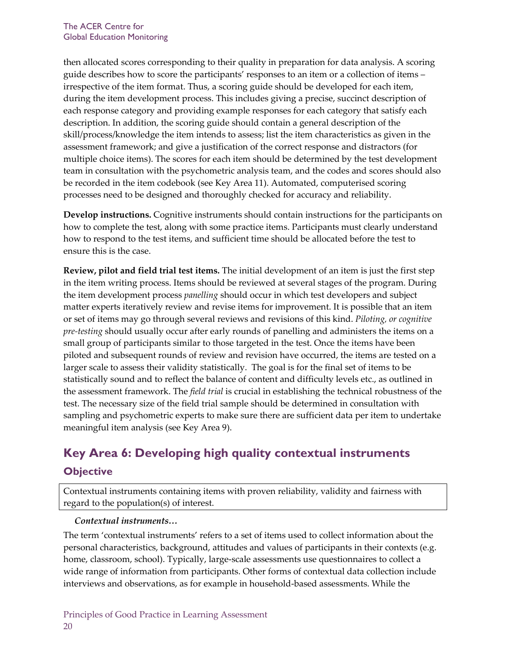then allocated scores corresponding to their quality in preparation for data analysis. A scoring guide describes how to score the participants' responses to an item or a collection of items – irrespective of the item format. Thus, a scoring guide should be developed for each item, during the item development process. This includes giving a precise, succinct description of each response category and providing example responses for each category that satisfy each description. In addition, the scoring guide should contain a general description of the skill/process/knowledge the item intends to assess; list the item characteristics as given in the assessment framework; and give a justification of the correct response and distractors (for multiple choice items). The scores for each item should be determined by the test development team in consultation with the psychometric analysis team, and the codes and scores should also be recorded in the item codebook (see Key Area 11). Automated, computerised scoring processes need to be designed and thoroughly checked for accuracy and reliability.

**Develop instructions.** Cognitive instruments should contain instructions for the participants on how to complete the test, along with some practice items. Participants must clearly understand how to respond to the test items, and sufficient time should be allocated before the test to ensure this is the case.

**Review, pilot and field trial test items.** The initial development of an item is just the first step in the item writing process. Items should be reviewed at several stages of the program. During the item development process *panelling* should occur in which test developers and subject matter experts iteratively review and revise items for improvement. It is possible that an item or set of items may go through several reviews and revisions of this kind. *Piloting, or cognitive pre-testing* should usually occur after early rounds of panelling and administers the items on a small group of participants similar to those targeted in the test. Once the items have been piloted and subsequent rounds of review and revision have occurred, the items are tested on a larger scale to assess their validity statistically. The goal is for the final set of items to be statistically sound and to reflect the balance of content and difficulty levels etc., as outlined in the assessment framework. The *field trial* is crucial in establishing the technical robustness of the test. The necessary size of the field trial sample should be determined in consultation with sampling and psychometric experts to make sure there are sufficient data per item to undertake meaningful item analysis (see Key Area 9).

# **Key Area 6: Developing high quality contextual instruments Objective**

Contextual instruments containing items with proven reliability, validity and fairness with regard to the population(s) of interest.

#### *Contextual instruments…*

The term 'contextual instruments' refers to a set of items used to collect information about the personal characteristics, background, attitudes and values of participants in their contexts (e.g. home, classroom, school). Typically, large-scale assessments use questionnaires to collect a wide range of information from participants. Other forms of contextual data collection include interviews and observations, as for example in household-based assessments. While the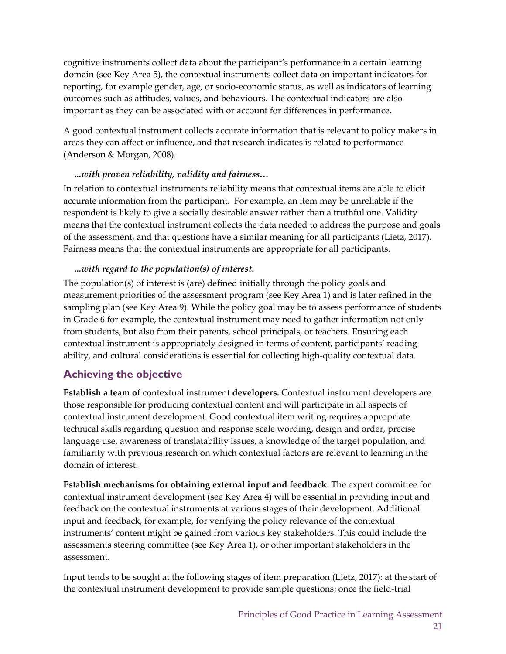cognitive instruments collect data about the participant's performance in a certain learning domain (see Key Area 5), the contextual instruments collect data on important indicators for reporting, for example gender, age, or socio-economic status, as well as indicators of learning outcomes such as attitudes, values, and behaviours. The contextual indicators are also important as they can be associated with or account for differences in performance.

A good contextual instrument collects accurate information that is relevant to policy makers in areas they can affect or influence, and that research indicates is related to performance (Anderson & Morgan, 2008).

#### *...with proven reliability, validity and fairness…*

In relation to contextual instruments reliability means that contextual items are able to elicit accurate information from the participant. For example, an item may be unreliable if the respondent is likely to give a socially desirable answer rather than a truthful one. Validity means that the contextual instrument collects the data needed to address the purpose and goals of the assessment, and that questions have a similar meaning for all participants (Lietz, 2017). Fairness means that the contextual instruments are appropriate for all participants.

#### *...with regard to the population(s) of interest.*

The population(s) of interest is (are) defined initially through the policy goals and measurement priorities of the assessment program (see Key Area 1) and is later refined in the sampling plan (see Key Area 9). While the policy goal may be to assess performance of students in Grade 6 for example, the contextual instrument may need to gather information not only from students, but also from their parents, school principals, or teachers. Ensuring each contextual instrument is appropriately designed in terms of content, participants' reading ability, and cultural considerations is essential for collecting high-quality contextual data.

## **Achieving the objective**

**Establish a team of** contextual instrument **developers.** Contextual instrument developers are those responsible for producing contextual content and will participate in all aspects of contextual instrument development. Good contextual item writing requires appropriate technical skills regarding question and response scale wording, design and order, precise language use, awareness of translatability issues, a knowledge of the target population, and familiarity with previous research on which contextual factors are relevant to learning in the domain of interest.

**Establish mechanisms for obtaining external input and feedback.** The expert committee for contextual instrument development (see Key Area 4) will be essential in providing input and feedback on the contextual instruments at various stages of their development. Additional input and feedback, for example, for verifying the policy relevance of the contextual instruments' content might be gained from various key stakeholders. This could include the assessments steering committee (see Key Area 1), or other important stakeholders in the assessment.

Input tends to be sought at the following stages of item preparation (Lietz, 2017): at the start of the contextual instrument development to provide sample questions; once the field-trial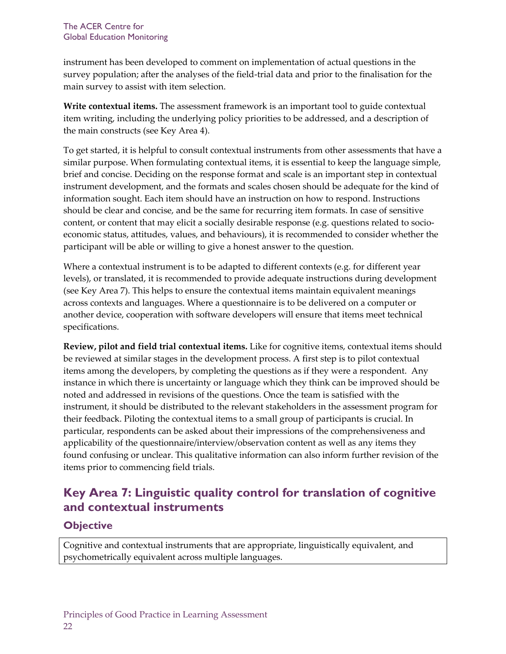instrument has been developed to comment on implementation of actual questions in the survey population; after the analyses of the field-trial data and prior to the finalisation for the main survey to assist with item selection.

**Write contextual items.** The assessment framework is an important tool to guide contextual item writing, including the underlying policy priorities to be addressed, and a description of the main constructs (see Key Area 4).

To get started, it is helpful to consult contextual instruments from other assessments that have a similar purpose. When formulating contextual items, it is essential to keep the language simple, brief and concise. Deciding on the response format and scale is an important step in contextual instrument development, and the formats and scales chosen should be adequate for the kind of information sought. Each item should have an instruction on how to respond. Instructions should be clear and concise, and be the same for recurring item formats. In case of sensitive content, or content that may elicit a socially desirable response (e.g. questions related to socioeconomic status, attitudes, values, and behaviours), it is recommended to consider whether the participant will be able or willing to give a honest answer to the question.

Where a contextual instrument is to be adapted to different contexts (e.g. for different year levels), or translated, it is recommended to provide adequate instructions during development (see Key Area 7). This helps to ensure the contextual items maintain equivalent meanings across contexts and languages. Where a questionnaire is to be delivered on a computer or another device, cooperation with software developers will ensure that items meet technical specifications.

**Review, pilot and field trial contextual items.** Like for cognitive items, contextual items should be reviewed at similar stages in the development process. A first step is to pilot contextual items among the developers, by completing the questions as if they were a respondent. Any instance in which there is uncertainty or language which they think can be improved should be noted and addressed in revisions of the questions. Once the team is satisfied with the instrument, it should be distributed to the relevant stakeholders in the assessment program for their feedback. Piloting the contextual items to a small group of participants is crucial. In particular, respondents can be asked about their impressions of the comprehensiveness and applicability of the questionnaire/interview/observation content as well as any items they found confusing or unclear. This qualitative information can also inform further revision of the items prior to commencing field trials.

# **Key Area 7: Linguistic quality control for translation of cognitive and contextual instruments**

### **Objective**

Cognitive and contextual instruments that are appropriate, linguistically equivalent, and psychometrically equivalent across multiple languages.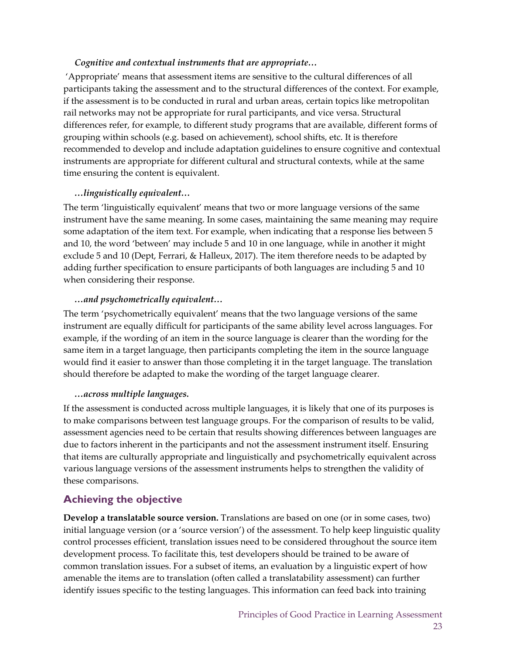#### *Cognitive and contextual instruments that are appropriate…*

 'Appropriate' means that assessment items are sensitive to the cultural differences of all participants taking the assessment and to the structural differences of the context. For example, if the assessment is to be conducted in rural and urban areas, certain topics like metropolitan rail networks may not be appropriate for rural participants, and vice versa. Structural differences refer, for example, to different study programs that are available, different forms of grouping within schools (e.g. based on achievement), school shifts, etc. It is therefore recommended to develop and include adaptation guidelines to ensure cognitive and contextual instruments are appropriate for different cultural and structural contexts, while at the same time ensuring the content is equivalent.

#### *…linguistically equivalent…*

The term 'linguistically equivalent' means that two or more language versions of the same instrument have the same meaning. In some cases, maintaining the same meaning may require some adaptation of the item text. For example, when indicating that a response lies between 5 and 10, the word 'between' may include 5 and 10 in one language, while in another it might exclude 5 and 10 (Dept, Ferrari, & Halleux, 2017). The item therefore needs to be adapted by adding further specification to ensure participants of both languages are including 5 and 10 when considering their response.

#### *…and psychometrically equivalent…*

The term 'psychometrically equivalent' means that the two language versions of the same instrument are equally difficult for participants of the same ability level across languages. For example, if the wording of an item in the source language is clearer than the wording for the same item in a target language, then participants completing the item in the source language would find it easier to answer than those completing it in the target language. The translation should therefore be adapted to make the wording of the target language clearer.

#### *…across multiple languages.*

If the assessment is conducted across multiple languages, it is likely that one of its purposes is to make comparisons between test language groups. For the comparison of results to be valid, assessment agencies need to be certain that results showing differences between languages are due to factors inherent in the participants and not the assessment instrument itself. Ensuring that items are culturally appropriate and linguistically and psychometrically equivalent across various language versions of the assessment instruments helps to strengthen the validity of these comparisons.

#### **Achieving the objective**

**Develop a translatable source version.** Translations are based on one (or in some cases, two) initial language version (or a 'source version') of the assessment. To help keep linguistic quality control processes efficient, translation issues need to be considered throughout the source item development process. To facilitate this, test developers should be trained to be aware of common translation issues. For a subset of items, an evaluation by a linguistic expert of how amenable the items are to translation (often called a translatability assessment) can further identify issues specific to the testing languages. This information can feed back into training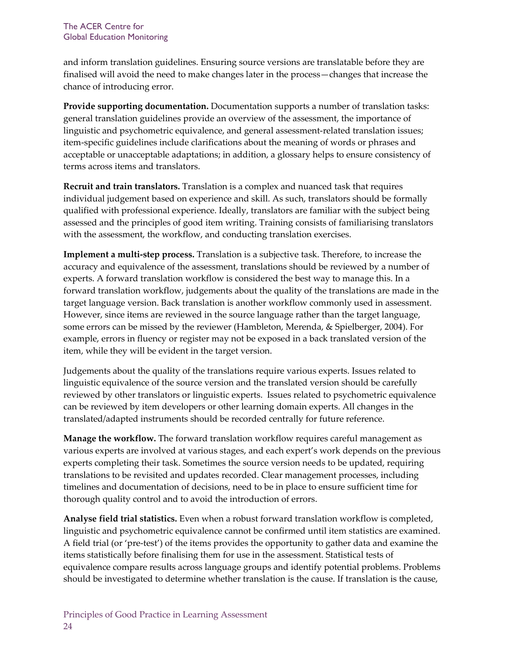and inform translation guidelines. Ensuring source versions are translatable before they are finalised will avoid the need to make changes later in the process—changes that increase the chance of introducing error.

**Provide supporting documentation.** Documentation supports a number of translation tasks: general translation guidelines provide an overview of the assessment, the importance of linguistic and psychometric equivalence, and general assessment-related translation issues; item-specific guidelines include clarifications about the meaning of words or phrases and acceptable or unacceptable adaptations; in addition, a glossary helps to ensure consistency of terms across items and translators.

**Recruit and train translators.** Translation is a complex and nuanced task that requires individual judgement based on experience and skill. As such, translators should be formally qualified with professional experience. Ideally, translators are familiar with the subject being assessed and the principles of good item writing. Training consists of familiarising translators with the assessment, the workflow, and conducting translation exercises.

**Implement a multi-step process.** Translation is a subjective task. Therefore, to increase the accuracy and equivalence of the assessment, translations should be reviewed by a number of experts. A forward translation workflow is considered the best way to manage this. In a forward translation workflow, judgements about the quality of the translations are made in the target language version. Back translation is another workflow commonly used in assessment. However, since items are reviewed in the source language rather than the target language, some errors can be missed by the reviewer (Hambleton, Merenda, & Spielberger, 2004). For example, errors in fluency or register may not be exposed in a back translated version of the item, while they will be evident in the target version.

Judgements about the quality of the translations require various experts. Issues related to linguistic equivalence of the source version and the translated version should be carefully reviewed by other translators or linguistic experts. Issues related to psychometric equivalence can be reviewed by item developers or other learning domain experts. All changes in the translated/adapted instruments should be recorded centrally for future reference.

**Manage the workflow.** The forward translation workflow requires careful management as various experts are involved at various stages, and each expert's work depends on the previous experts completing their task. Sometimes the source version needs to be updated, requiring translations to be revisited and updates recorded. Clear management processes, including timelines and documentation of decisions, need to be in place to ensure sufficient time for thorough quality control and to avoid the introduction of errors.

**Analyse field trial statistics.** Even when a robust forward translation workflow is completed, linguistic and psychometric equivalence cannot be confirmed until item statistics are examined. A field trial (or 'pre-test') of the items provides the opportunity to gather data and examine the items statistically before finalising them for use in the assessment. Statistical tests of equivalence compare results across language groups and identify potential problems. Problems should be investigated to determine whether translation is the cause. If translation is the cause,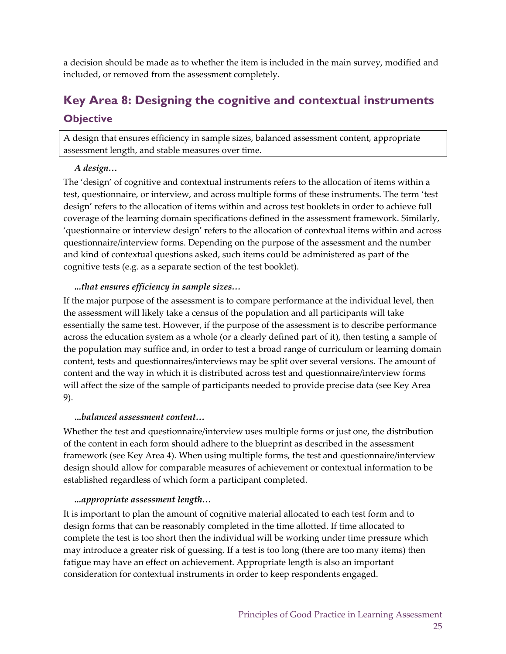a decision should be made as to whether the item is included in the main survey, modified and included, or removed from the assessment completely.

# **Key Area 8: Designing the cognitive and contextual instruments Objective**

A design that ensures efficiency in sample sizes, balanced assessment content, appropriate assessment length, and stable measures over time.

#### *A design…*

The 'design' of cognitive and contextual instruments refers to the allocation of items within a test, questionnaire, or interview, and across multiple forms of these instruments. The term 'test design' refers to the allocation of items within and across test booklets in order to achieve full coverage of the learning domain specifications defined in the assessment framework. Similarly, 'questionnaire or interview design' refers to the allocation of contextual items within and across questionnaire/interview forms. Depending on the purpose of the assessment and the number and kind of contextual questions asked, such items could be administered as part of the cognitive tests (e.g. as a separate section of the test booklet).

#### *...that ensures efficiency in sample sizes…*

If the major purpose of the assessment is to compare performance at the individual level, then the assessment will likely take a census of the population and all participants will take essentially the same test. However, if the purpose of the assessment is to describe performance across the education system as a whole (or a clearly defined part of it), then testing a sample of the population may suffice and, in order to test a broad range of curriculum or learning domain content, tests and questionnaires/interviews may be split over several versions. The amount of content and the way in which it is distributed across test and questionnaire/interview forms will affect the size of the sample of participants needed to provide precise data (see Key Area 9).

#### *...balanced assessment content…*

Whether the test and questionnaire/interview uses multiple forms or just one, the distribution of the content in each form should adhere to the blueprint as described in the assessment framework (see Key Area 4). When using multiple forms, the test and questionnaire/interview design should allow for comparable measures of achievement or contextual information to be established regardless of which form a participant completed.

#### *...appropriate assessment length…*

It is important to plan the amount of cognitive material allocated to each test form and to design forms that can be reasonably completed in the time allotted. If time allocated to complete the test is too short then the individual will be working under time pressure which may introduce a greater risk of guessing. If a test is too long (there are too many items) then fatigue may have an effect on achievement. Appropriate length is also an important consideration for contextual instruments in order to keep respondents engaged.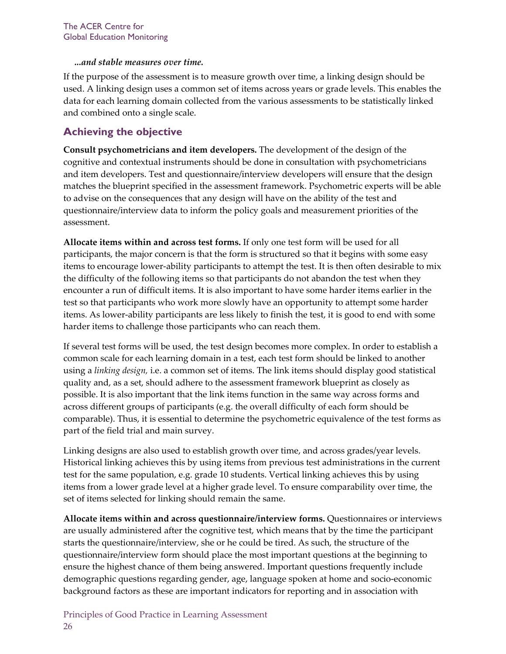#### *...and stable measures over time.*

If the purpose of the assessment is to measure growth over time, a linking design should be used. A linking design uses a common set of items across years or grade levels. This enables the data for each learning domain collected from the various assessments to be statistically linked and combined onto a single scale.

### **Achieving the objective**

**Consult psychometricians and item developers.** The development of the design of the cognitive and contextual instruments should be done in consultation with psychometricians and item developers. Test and questionnaire/interview developers will ensure that the design matches the blueprint specified in the assessment framework. Psychometric experts will be able to advise on the consequences that any design will have on the ability of the test and questionnaire/interview data to inform the policy goals and measurement priorities of the assessment.

**Allocate items within and across test forms.** If only one test form will be used for all participants, the major concern is that the form is structured so that it begins with some easy items to encourage lower-ability participants to attempt the test. It is then often desirable to mix the difficulty of the following items so that participants do not abandon the test when they encounter a run of difficult items. It is also important to have some harder items earlier in the test so that participants who work more slowly have an opportunity to attempt some harder items. As lower-ability participants are less likely to finish the test, it is good to end with some harder items to challenge those participants who can reach them.

If several test forms will be used, the test design becomes more complex. In order to establish a common scale for each learning domain in a test, each test form should be linked to another using a *linking design,* i.e. a common set of items. The link items should display good statistical quality and, as a set, should adhere to the assessment framework blueprint as closely as possible. It is also important that the link items function in the same way across forms and across different groups of participants (e.g. the overall difficulty of each form should be comparable). Thus, it is essential to determine the psychometric equivalence of the test forms as part of the field trial and main survey.

Linking designs are also used to establish growth over time, and across grades/year levels. Historical linking achieves this by using items from previous test administrations in the current test for the same population, e.g. grade 10 students. Vertical linking achieves this by using items from a lower grade level at a higher grade level. To ensure comparability over time, the set of items selected for linking should remain the same.

**Allocate items within and across questionnaire/interview forms.** Questionnaires or interviews are usually administered after the cognitive test, which means that by the time the participant starts the questionnaire/interview, she or he could be tired. As such, the structure of the questionnaire/interview form should place the most important questions at the beginning to ensure the highest chance of them being answered. Important questions frequently include demographic questions regarding gender, age, language spoken at home and socio-economic background factors as these are important indicators for reporting and in association with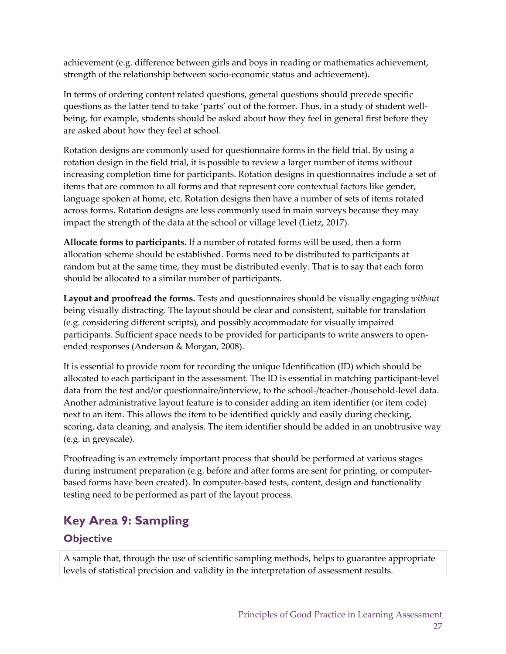achievement (e.g. difference between girls and boys in reading or mathematics achievement, strength of the relationship between socio-economic status and achievement).

In terms of ordering content related questions, general questions should precede specific questions as the latter tend to take 'parts' out of the former. Thus, in a study of student wellbeing, for example, students should be asked about how they feel in general first before they are asked about how they feel at school.

Rotation designs are commonly used for questionnaire forms in the field trial. By using a rotation design in the field trial, it is possible to review a larger number of items without increasing completion time for participants. Rotation designs in questionnaires include a set of items that are common to all forms and that represent core contextual factors like gender, language spoken at home, etc. Rotation designs then have a number of sets of items rotated across forms. Rotation designs are less commonly used in main surveys because they may impact the strength of the data at the school or village level (Lietz, 2017).

**Allocate forms to participants.** If a number of rotated forms will be used, then a form allocation scheme should be established. Forms need to be distributed to participants at random but at the same time, they must be distributed evenly. That is to say that each form should be allocated to a similar number of participants.

**Layout and proofread the forms.** Tests and questionnaires should be visually engaging *without*  being visually distracting. The layout should be clear and consistent, suitable for translation (e.g. considering different scripts), and possibly accommodate for visually impaired participants. Sufficient space needs to be provided for participants to write answers to openended responses (Anderson & Morgan, 2008).

It is essential to provide room for recording the unique Identification (ID) which should be allocated to each participant in the assessment. The ID is essential in matching participant-level data from the test and/or questionnaire/interview, to the school-/teacher-/household-level data. Another administrative layout feature is to consider adding an item identifier (or item code) next to an item. This allows the item to be identified quickly and easily during checking, scoring, data cleaning, and analysis. The item identifier should be added in an unobtrusive way (e.g. in greyscale).

Proofreading is an extremely important process that should be performed at various stages during instrument preparation (e.g. before and after forms are sent for printing, or computerbased forms have been created). In computer-based tests, content, design and functionality testing need to be performed as part of the layout process.

# **Key Area 9: Sampling**

### **Objective**

A sample that, through the use of scientific sampling methods, helps to guarantee appropriate levels of statistical precision and validity in the interpretation of assessment results.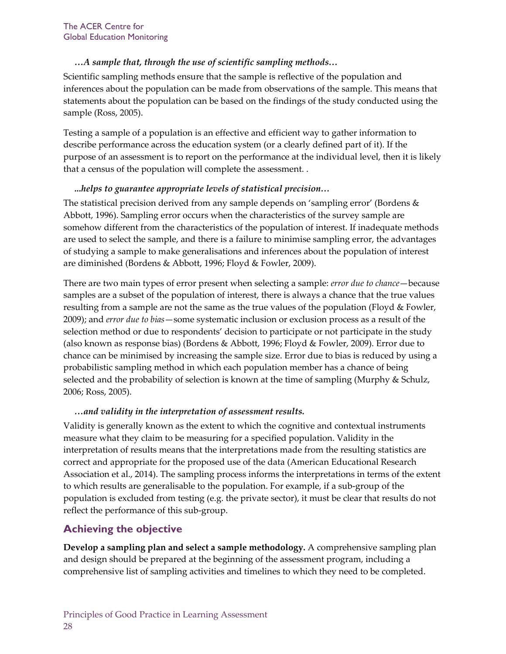#### *…A sample that, through the use of scientific sampling methods…*

Scientific sampling methods ensure that the sample is reflective of the population and inferences about the population can be made from observations of the sample. This means that statements about the population can be based on the findings of the study conducted using the sample (Ross, 2005).

Testing a sample of a population is an effective and efficient way to gather information to describe performance across the education system (or a clearly defined part of it). If the purpose of an assessment is to report on the performance at the individual level, then it is likely that a census of the population will complete the assessment. .

#### *...helps to guarantee appropriate levels of statistical precision…*

The statistical precision derived from any sample depends on 'sampling error' (Bordens & Abbott, 1996). Sampling error occurs when the characteristics of the survey sample are somehow different from the characteristics of the population of interest. If inadequate methods are used to select the sample, and there is a failure to minimise sampling error, the advantages of studying a sample to make generalisations and inferences about the population of interest are diminished (Bordens & Abbott, 1996; Floyd & Fowler, 2009).

There are two main types of error present when selecting a sample: *error due to chance*—because samples are a subset of the population of interest, there is always a chance that the true values resulting from a sample are not the same as the true values of the population (Floyd & Fowler, 2009); and *error due to bias*—some systematic inclusion or exclusion process as a result of the selection method or due to respondents' decision to participate or not participate in the study (also known as response bias) (Bordens & Abbott, 1996; Floyd & Fowler, 2009). Error due to chance can be minimised by increasing the sample size. Error due to bias is reduced by using a probabilistic sampling method in which each population member has a chance of being selected and the probability of selection is known at the time of sampling (Murphy & Schulz, 2006; Ross, 2005).

#### *…and validity in the interpretation of assessment results.*

Validity is generally known as the extent to which the cognitive and contextual instruments measure what they claim to be measuring for a specified population. Validity in the interpretation of results means that the interpretations made from the resulting statistics are correct and appropriate for the proposed use of the data (American Educational Research Association et al., 2014). The sampling process informs the interpretations in terms of the extent to which results are generalisable to the population. For example, if a sub-group of the population is excluded from testing (e.g. the private sector), it must be clear that results do not reflect the performance of this sub-group.

### **Achieving the objective**

**Develop a sampling plan and select a sample methodology.** A comprehensive sampling plan and design should be prepared at the beginning of the assessment program, including a comprehensive list of sampling activities and timelines to which they need to be completed.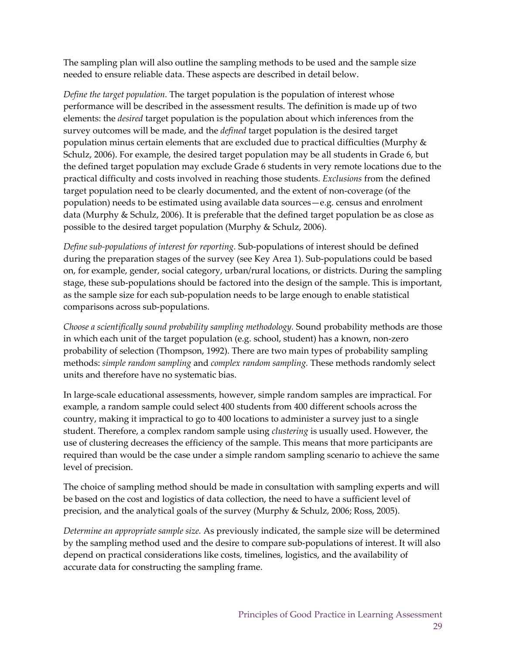The sampling plan will also outline the sampling methods to be used and the sample size needed to ensure reliable data. These aspects are described in detail below.

*Define the target population.* The target population is the population of interest whose performance will be described in the assessment results. The definition is made up of two elements: the *desired* target population is the population about which inferences from the survey outcomes will be made, and the *defined* target population is the desired target population minus certain elements that are excluded due to practical difficulties (Murphy & Schulz, 2006). For example, the desired target population may be all students in Grade 6, but the defined target population may exclude Grade 6 students in very remote locations due to the practical difficulty and costs involved in reaching those students. *Exclusions* from the defined target population need to be clearly documented, and the extent of non-coverage (of the population) needs to be estimated using available data sources—e.g. census and enrolment data (Murphy & Schulz, 2006). It is preferable that the defined target population be as close as possible to the desired target population (Murphy & Schulz, 2006).

*Define sub-populations of interest for reporting.* Sub-populations of interest should be defined during the preparation stages of the survey (see Key Area 1). Sub-populations could be based on, for example, gender, social category, urban/rural locations, or districts. During the sampling stage, these sub-populations should be factored into the design of the sample. This is important, as the sample size for each sub-population needs to be large enough to enable statistical comparisons across sub-populations.

*Choose a scientifically sound probability sampling methodology.* Sound probability methods are those in which each unit of the target population (e.g. school, student) has a known, non-zero probability of selection (Thompson, 1992). There are two main types of probability sampling methods: *simple random sampling* and *complex random sampling.* These methods randomly select units and therefore have no systematic bias.

In large-scale educational assessments, however, simple random samples are impractical. For example, a random sample could select 400 students from 400 different schools across the country, making it impractical to go to 400 locations to administer a survey just to a single student. Therefore, a complex random sample using *clustering* is usually used. However, the use of clustering decreases the efficiency of the sample. This means that more participants are required than would be the case under a simple random sampling scenario to achieve the same level of precision.

The choice of sampling method should be made in consultation with sampling experts and will be based on the cost and logistics of data collection, the need to have a sufficient level of precision, and the analytical goals of the survey (Murphy & Schulz, 2006; Ross, 2005).

*Determine an appropriate sample size.* As previously indicated, the sample size will be determined by the sampling method used and the desire to compare sub-populations of interest. It will also depend on practical considerations like costs, timelines, logistics, and the availability of accurate data for constructing the sampling frame.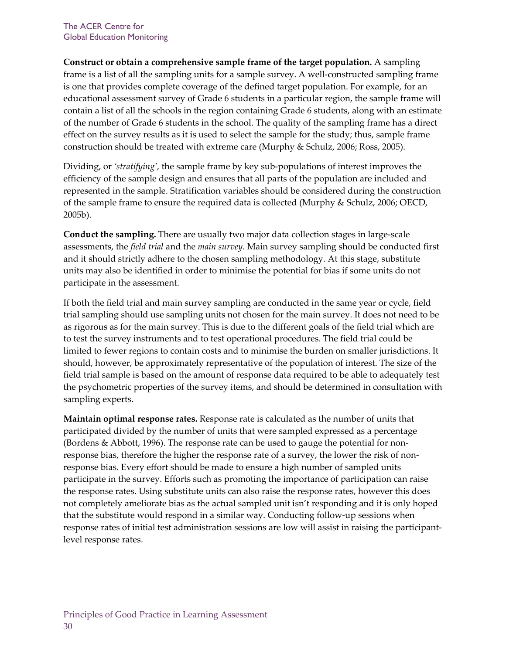**Construct or obtain a comprehensive sample frame of the target population.** A sampling frame is a list of all the sampling units for a sample survey. A well-constructed sampling frame is one that provides complete coverage of the defined target population. For example, for an educational assessment survey of Grade 6 students in a particular region, the sample frame will contain a list of all the schools in the region containing Grade 6 students, along with an estimate of the number of Grade 6 students in the school. The quality of the sampling frame has a direct effect on the survey results as it is used to select the sample for the study; thus, sample frame construction should be treated with extreme care (Murphy & Schulz, 2006; Ross, 2005).

Dividing, or *'stratifying',* the sample frame by key sub-populations of interest improves the efficiency of the sample design and ensures that all parts of the population are included and represented in the sample. Stratification variables should be considered during the construction of the sample frame to ensure the required data is collected (Murphy & Schulz, 2006; OECD, 2005b).

**Conduct the sampling.** There are usually two major data collection stages in large-scale assessments, the *field trial* and the *main survey.* Main survey sampling should be conducted first and it should strictly adhere to the chosen sampling methodology. At this stage, substitute units may also be identified in order to minimise the potential for bias if some units do not participate in the assessment.

If both the field trial and main survey sampling are conducted in the same year or cycle, field trial sampling should use sampling units not chosen for the main survey. It does not need to be as rigorous as for the main survey. This is due to the different goals of the field trial which are to test the survey instruments and to test operational procedures. The field trial could be limited to fewer regions to contain costs and to minimise the burden on smaller jurisdictions. It should, however, be approximately representative of the population of interest. The size of the field trial sample is based on the amount of response data required to be able to adequately test the psychometric properties of the survey items, and should be determined in consultation with sampling experts.

**Maintain optimal response rates.** Response rate is calculated as the number of units that participated divided by the number of units that were sampled expressed as a percentage (Bordens & Abbott, 1996). The response rate can be used to gauge the potential for nonresponse bias, therefore the higher the response rate of a survey, the lower the risk of nonresponse bias. Every effort should be made to ensure a high number of sampled units participate in the survey. Efforts such as promoting the importance of participation can raise the response rates. Using substitute units can also raise the response rates, however this does not completely ameliorate bias as the actual sampled unit isn't responding and it is only hoped that the substitute would respond in a similar way. Conducting follow-up sessions when response rates of initial test administration sessions are low will assist in raising the participantlevel response rates.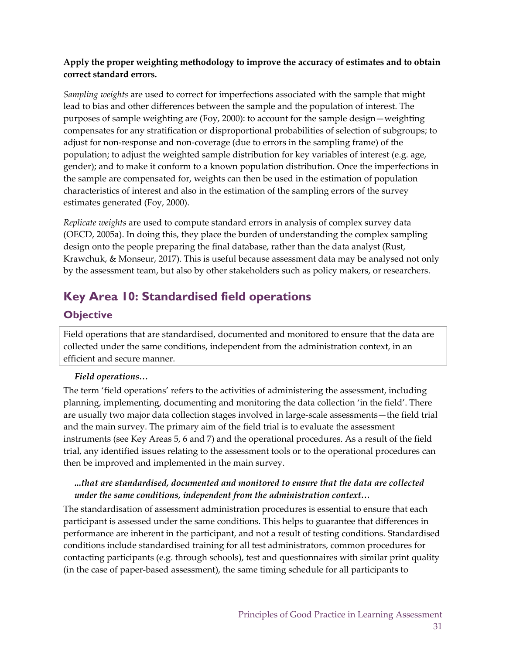#### **Apply the proper weighting methodology to improve the accuracy of estimates and to obtain correct standard errors.**

*Sampling weights* are used to correct for imperfections associated with the sample that might lead to bias and other differences between the sample and the population of interest. The purposes of sample weighting are (Foy, 2000): to account for the sample design—weighting compensates for any stratification or disproportional probabilities of selection of subgroups; to adjust for non-response and non-coverage (due to errors in the sampling frame) of the population; to adjust the weighted sample distribution for key variables of interest (e.g. age, gender); and to make it conform to a known population distribution. Once the imperfections in the sample are compensated for, weights can then be used in the estimation of population characteristics of interest and also in the estimation of the sampling errors of the survey estimates generated (Foy, 2000).

*Replicate weights* are used to compute standard errors in analysis of complex survey data (OECD, 2005a). In doing this, they place the burden of understanding the complex sampling design onto the people preparing the final database, rather than the data analyst (Rust, Krawchuk, & Monseur, 2017). This is useful because assessment data may be analysed not only by the assessment team, but also by other stakeholders such as policy makers, or researchers.

# **Key Area 10: Standardised field operations**

### **Objective**

Field operations that are standardised, documented and monitored to ensure that the data are collected under the same conditions, independent from the administration context, in an efficient and secure manner.

### *Field operations…*

The term 'field operations' refers to the activities of administering the assessment, including planning, implementing, documenting and monitoring the data collection 'in the field'. There are usually two major data collection stages involved in large-scale assessments—the field trial and the main survey. The primary aim of the field trial is to evaluate the assessment instruments (see Key Areas 5, 6 and 7) and the operational procedures. As a result of the field trial, any identified issues relating to the assessment tools or to the operational procedures can then be improved and implemented in the main survey.

#### *...that are standardised, documented and monitored to ensure that the data are collected under the same conditions, independent from the administration context…*

The standardisation of assessment administration procedures is essential to ensure that each participant is assessed under the same conditions. This helps to guarantee that differences in performance are inherent in the participant, and not a result of testing conditions. Standardised conditions include standardised training for all test administrators, common procedures for contacting participants (e.g. through schools), test and questionnaires with similar print quality (in the case of paper-based assessment), the same timing schedule for all participants to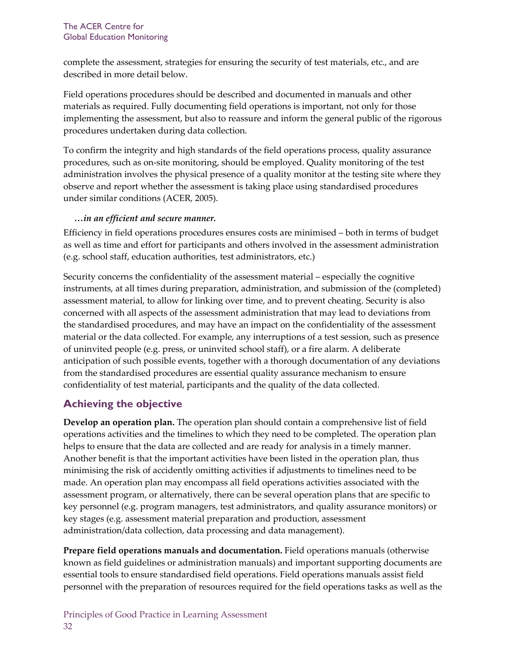complete the assessment, strategies for ensuring the security of test materials, etc., and are described in more detail below.

Field operations procedures should be described and documented in manuals and other materials as required. Fully documenting field operations is important, not only for those implementing the assessment, but also to reassure and inform the general public of the rigorous procedures undertaken during data collection.

To confirm the integrity and high standards of the field operations process, quality assurance procedures, such as on-site monitoring, should be employed. Quality monitoring of the test administration involves the physical presence of a quality monitor at the testing site where they observe and report whether the assessment is taking place using standardised procedures under similar conditions (ACER, 2005).

#### *…in an efficient and secure manner.*

Efficiency in field operations procedures ensures costs are minimised – both in terms of budget as well as time and effort for participants and others involved in the assessment administration (e.g. school staff, education authorities, test administrators, etc.)

Security concerns the confidentiality of the assessment material – especially the cognitive instruments, at all times during preparation, administration, and submission of the (completed) assessment material, to allow for linking over time, and to prevent cheating. Security is also concerned with all aspects of the assessment administration that may lead to deviations from the standardised procedures, and may have an impact on the confidentiality of the assessment material or the data collected. For example, any interruptions of a test session, such as presence of uninvited people (e.g. press, or uninvited school staff), or a fire alarm. A deliberate anticipation of such possible events, together with a thorough documentation of any deviations from the standardised procedures are essential quality assurance mechanism to ensure confidentiality of test material, participants and the quality of the data collected.

### **Achieving the objective**

**Develop an operation plan.** The operation plan should contain a comprehensive list of field operations activities and the timelines to which they need to be completed. The operation plan helps to ensure that the data are collected and are ready for analysis in a timely manner. Another benefit is that the important activities have been listed in the operation plan, thus minimising the risk of accidently omitting activities if adjustments to timelines need to be made. An operation plan may encompass all field operations activities associated with the assessment program, or alternatively, there can be several operation plans that are specific to key personnel (e.g. program managers, test administrators, and quality assurance monitors) or key stages (e.g. assessment material preparation and production, assessment administration/data collection, data processing and data management).

**Prepare field operations manuals and documentation.** Field operations manuals (otherwise known as field guidelines or administration manuals) and important supporting documents are essential tools to ensure standardised field operations. Field operations manuals assist field personnel with the preparation of resources required for the field operations tasks as well as the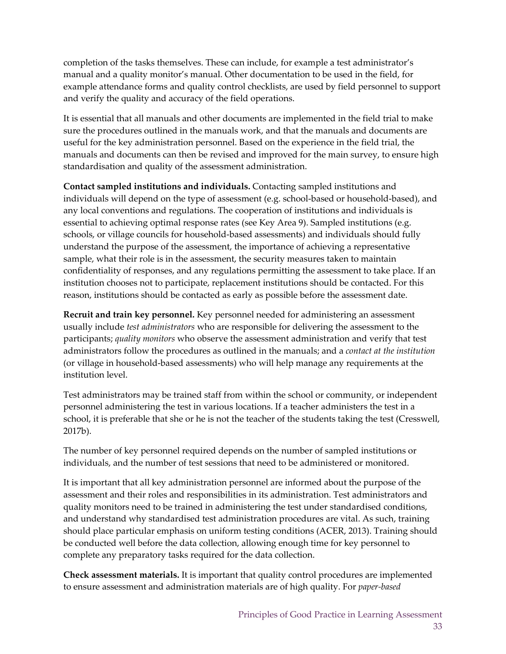completion of the tasks themselves. These can include, for example a test administrator's manual and a quality monitor's manual. Other documentation to be used in the field, for example attendance forms and quality control checklists, are used by field personnel to support and verify the quality and accuracy of the field operations.

It is essential that all manuals and other documents are implemented in the field trial to make sure the procedures outlined in the manuals work, and that the manuals and documents are useful for the key administration personnel. Based on the experience in the field trial, the manuals and documents can then be revised and improved for the main survey, to ensure high standardisation and quality of the assessment administration.

**Contact sampled institutions and individuals.** Contacting sampled institutions and individuals will depend on the type of assessment (e.g. school-based or household-based), and any local conventions and regulations. The cooperation of institutions and individuals is essential to achieving optimal response rates (see Key Area 9). Sampled institutions (e.g. schools, or village councils for household-based assessments) and individuals should fully understand the purpose of the assessment, the importance of achieving a representative sample, what their role is in the assessment, the security measures taken to maintain confidentiality of responses, and any regulations permitting the assessment to take place. If an institution chooses not to participate, replacement institutions should be contacted. For this reason, institutions should be contacted as early as possible before the assessment date.

**Recruit and train key personnel.** Key personnel needed for administering an assessment usually include *test administrators* who are responsible for delivering the assessment to the participants; *quality monitors* who observe the assessment administration and verify that test administrators follow the procedures as outlined in the manuals; and a *contact at the institution* (or village in household-based assessments) who will help manage any requirements at the institution level.

Test administrators may be trained staff from within the school or community, or independent personnel administering the test in various locations. If a teacher administers the test in a school, it is preferable that she or he is not the teacher of the students taking the test (Cresswell, 2017b).

The number of key personnel required depends on the number of sampled institutions or individuals, and the number of test sessions that need to be administered or monitored.

It is important that all key administration personnel are informed about the purpose of the assessment and their roles and responsibilities in its administration. Test administrators and quality monitors need to be trained in administering the test under standardised conditions, and understand why standardised test administration procedures are vital. As such, training should place particular emphasis on uniform testing conditions (ACER, 2013). Training should be conducted well before the data collection, allowing enough time for key personnel to complete any preparatory tasks required for the data collection.

**Check assessment materials.** It is important that quality control procedures are implemented to ensure assessment and administration materials are of high quality. For *paper-based*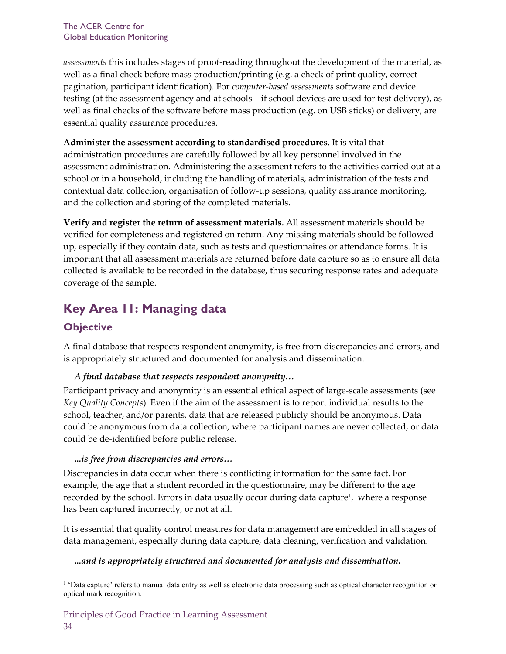*assessments* this includes stages of proof-reading throughout the development of the material, as well as a final check before mass production/printing (e.g. a check of print quality, correct pagination, participant identification). For *computer-based assessments* software and device testing (at the assessment agency and at schools – if school devices are used for test delivery), as well as final checks of the software before mass production (e.g. on USB sticks) or delivery, are essential quality assurance procedures.

**Administer the assessment according to standardised procedures.** It is vital that administration procedures are carefully followed by all key personnel involved in the assessment administration. Administering the assessment refers to the activities carried out at a school or in a household, including the handling of materials, administration of the tests and contextual data collection, organisation of follow-up sessions, quality assurance monitoring, and the collection and storing of the completed materials.

**Verify and register the return of assessment materials.** All assessment materials should be verified for completeness and registered on return. Any missing materials should be followed up, especially if they contain data, such as tests and questionnaires or attendance forms. It is important that all assessment materials are returned before data capture so as to ensure all data collected is available to be recorded in the database, thus securing response rates and adequate coverage of the sample.

# **Key Area 11: Managing data**

## **Objective**

A final database that respects respondent anonymity, is free from discrepancies and errors, and is appropriately structured and documented for analysis and dissemination.

### *A final database that respects respondent anonymity…*

Participant privacy and anonymity is an essential ethical aspect of large-scale assessments (see *Key Quality Concepts*). Even if the aim of the assessment is to report individual results to the school, teacher, and/or parents, data that are released publicly should be anonymous. Data could be anonymous from data collection, where participant names are never collected, or data could be de-identified before public release.

#### *...is free from discrepancies and errors…*

Discrepancies in data occur when there is conflicting information for the same fact. For example, the age that a student recorded in the questionnaire, may be different to the age recorded by the school. Errors in data usually occur during data capture1, where a response has been captured incorrectly, or not at all.

It is essential that quality control measures for data management are embedded in all stages of data management, especially during data capture, data cleaning, verification and validation.

#### *...and is appropriately structured and documented for analysis and dissemination.*

 $\overline{a}$ <sup>1</sup> 'Data capture' refers to manual data entry as well as electronic data processing such as optical character recognition or optical mark recognition.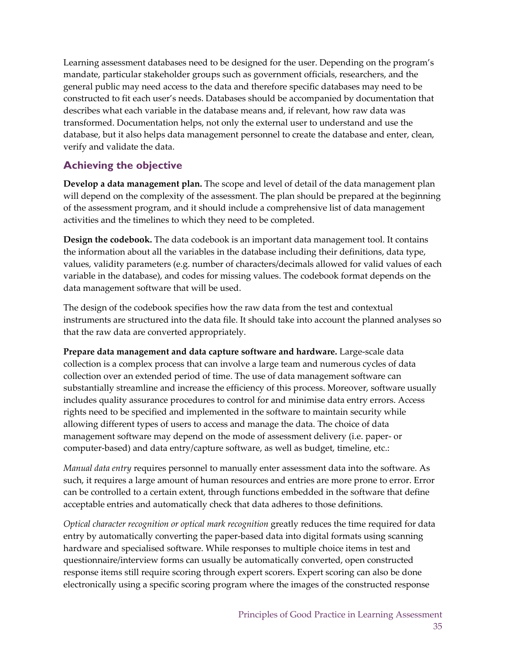Learning assessment databases need to be designed for the user. Depending on the program's mandate, particular stakeholder groups such as government officials, researchers, and the general public may need access to the data and therefore specific databases may need to be constructed to fit each user's needs. Databases should be accompanied by documentation that describes what each variable in the database means and, if relevant, how raw data was transformed. Documentation helps, not only the external user to understand and use the database, but it also helps data management personnel to create the database and enter, clean, verify and validate the data.

### **Achieving the objective**

**Develop a data management plan.** The scope and level of detail of the data management plan will depend on the complexity of the assessment. The plan should be prepared at the beginning of the assessment program, and it should include a comprehensive list of data management activities and the timelines to which they need to be completed.

**Design the codebook.** The data codebook is an important data management tool. It contains the information about all the variables in the database including their definitions, data type, values, validity parameters (e.g. number of characters/decimals allowed for valid values of each variable in the database), and codes for missing values. The codebook format depends on the data management software that will be used.

The design of the codebook specifies how the raw data from the test and contextual instruments are structured into the data file. It should take into account the planned analyses so that the raw data are converted appropriately.

**Prepare data management and data capture software and hardware.** Large-scale data collection is a complex process that can involve a large team and numerous cycles of data collection over an extended period of time. The use of data management software can substantially streamline and increase the efficiency of this process. Moreover, software usually includes quality assurance procedures to control for and minimise data entry errors. Access rights need to be specified and implemented in the software to maintain security while allowing different types of users to access and manage the data. The choice of data management software may depend on the mode of assessment delivery (i.e. paper- or computer-based) and data entry/capture software, as well as budget, timeline, etc.:

*Manual data entry* requires personnel to manually enter assessment data into the software. As such, it requires a large amount of human resources and entries are more prone to error. Error can be controlled to a certain extent, through functions embedded in the software that define acceptable entries and automatically check that data adheres to those definitions.

*Optical character recognition or optical mark recognition* greatly reduces the time required for data entry by automatically converting the paper-based data into digital formats using scanning hardware and specialised software. While responses to multiple choice items in test and questionnaire/interview forms can usually be automatically converted, open constructed response items still require scoring through expert scorers. Expert scoring can also be done electronically using a specific scoring program where the images of the constructed response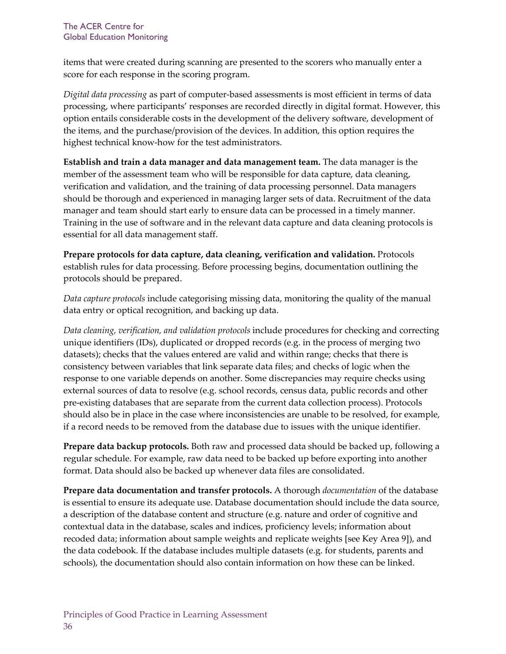items that were created during scanning are presented to the scorers who manually enter a score for each response in the scoring program.

*Digital data processing* as part of computer-based assessments is most efficient in terms of data processing, where participants' responses are recorded directly in digital format. However, this option entails considerable costs in the development of the delivery software, development of the items, and the purchase/provision of the devices. In addition, this option requires the highest technical know-how for the test administrators.

**Establish and train a data manager and data management team.** The data manager is the member of the assessment team who will be responsible for data capture, data cleaning, verification and validation, and the training of data processing personnel. Data managers should be thorough and experienced in managing larger sets of data. Recruitment of the data manager and team should start early to ensure data can be processed in a timely manner. Training in the use of software and in the relevant data capture and data cleaning protocols is essential for all data management staff.

**Prepare protocols for data capture, data cleaning, verification and validation.** Protocols establish rules for data processing. Before processing begins, documentation outlining the protocols should be prepared.

*Data capture protocols* include categorising missing data, monitoring the quality of the manual data entry or optical recognition, and backing up data.

*Data cleaning, verification, and validation protocols* include procedures for checking and correcting unique identifiers (IDs), duplicated or dropped records (e.g. in the process of merging two datasets); checks that the values entered are valid and within range; checks that there is consistency between variables that link separate data files; and checks of logic when the response to one variable depends on another. Some discrepancies may require checks using external sources of data to resolve (e.g. school records, census data, public records and other pre-existing databases that are separate from the current data collection process). Protocols should also be in place in the case where inconsistencies are unable to be resolved, for example, if a record needs to be removed from the database due to issues with the unique identifier.

**Prepare data backup protocols.** Both raw and processed data should be backed up, following a regular schedule. For example, raw data need to be backed up before exporting into another format. Data should also be backed up whenever data files are consolidated.

**Prepare data documentation and transfer protocols.** A thorough *documentation* of the database is essential to ensure its adequate use. Database documentation should include the data source, a description of the database content and structure (e.g. nature and order of cognitive and contextual data in the database, scales and indices, proficiency levels; information about recoded data; information about sample weights and replicate weights [see Key Area 9]), and the data codebook. If the database includes multiple datasets (e.g. for students, parents and schools), the documentation should also contain information on how these can be linked.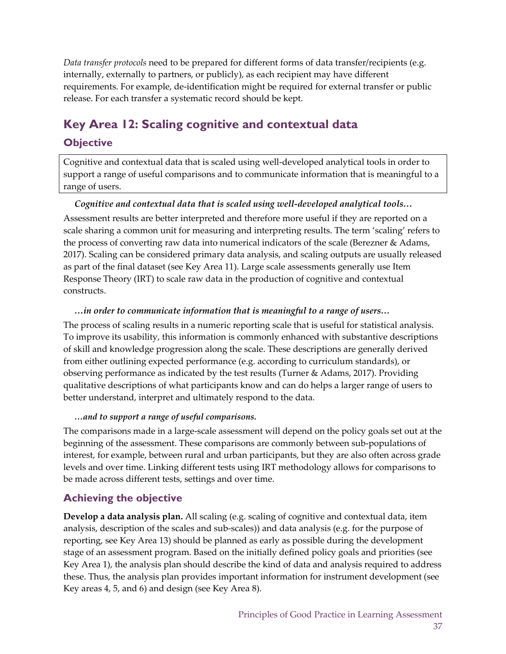*Data transfer protocols* need to be prepared for different forms of data transfer/recipients (e.g. internally, externally to partners, or publicly), as each recipient may have different requirements. For example, de-identification might be required for external transfer or public release. For each transfer a systematic record should be kept.

# **Key Area 12: Scaling cognitive and contextual data Objective**

Cognitive and contextual data that is scaled using well-developed analytical tools in order to support a range of useful comparisons and to communicate information that is meaningful to a range of users.

#### *Cognitive and contextual data that is scaled using well-developed analytical tools…*

Assessment results are better interpreted and therefore more useful if they are reported on a scale sharing a common unit for measuring and interpreting results. The term 'scaling' refers to the process of converting raw data into numerical indicators of the scale (Berezner & Adams, 2017). Scaling can be considered primary data analysis, and scaling outputs are usually released as part of the final dataset (see Key Area 11). Large scale assessments generally use Item Response Theory (IRT) to scale raw data in the production of cognitive and contextual constructs.

#### *…in order to communicate information that is meaningful to a range of users…*

The process of scaling results in a numeric reporting scale that is useful for statistical analysis. To improve its usability, this information is commonly enhanced with substantive descriptions of skill and knowledge progression along the scale. These descriptions are generally derived from either outlining expected performance (e.g. according to curriculum standards), or observing performance as indicated by the test results (Turner & Adams, 2017). Providing qualitative descriptions of what participants know and can do helps a larger range of users to better understand, interpret and ultimately respond to the data.

#### *…and to support a range of useful comparisons.*

The comparisons made in a large-scale assessment will depend on the policy goals set out at the beginning of the assessment. These comparisons are commonly between sub-populations of interest, for example, between rural and urban participants, but they are also often across grade levels and over time. Linking different tests using IRT methodology allows for comparisons to be made across different tests, settings and over time.

### **Achieving the objective**

**Develop a data analysis plan.** All scaling (e.g. scaling of cognitive and contextual data, item analysis, description of the scales and sub-scales)) and data analysis (e.g. for the purpose of reporting, see Key Area 13) should be planned as early as possible during the development stage of an assessment program. Based on the initially defined policy goals and priorities (see Key Area 1), the analysis plan should describe the kind of data and analysis required to address these. Thus, the analysis plan provides important information for instrument development (see Key areas 4, 5, and 6) and design (see Key Area 8).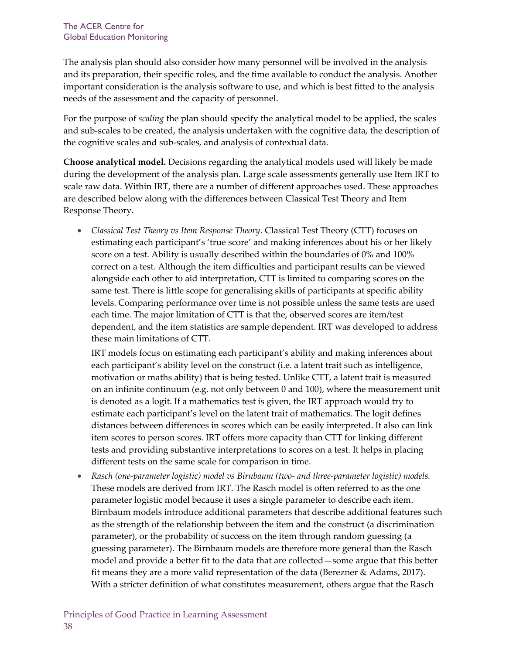The analysis plan should also consider how many personnel will be involved in the analysis and its preparation, their specific roles, and the time available to conduct the analysis. Another important consideration is the analysis software to use, and which is best fitted to the analysis needs of the assessment and the capacity of personnel.

For the purpose of *scaling* the plan should specify the analytical model to be applied, the scales and sub-scales to be created, the analysis undertaken with the cognitive data, the description of the cognitive scales and sub-scales, and analysis of contextual data.

**Choose analytical model.** Decisions regarding the analytical models used will likely be made during the development of the analysis plan. Large scale assessments generally use Item IRT to scale raw data. Within IRT, there are a number of different approaches used. These approaches are described below along with the differences between Classical Test Theory and Item Response Theory.

• *Classical Test Theory vs Item Response Theory*. Classical Test Theory (CTT) focuses on estimating each participant's 'true score' and making inferences about his or her likely score on a test. Ability is usually described within the boundaries of 0% and 100% correct on a test. Although the item difficulties and participant results can be viewed alongside each other to aid interpretation, CTT is limited to comparing scores on the same test. There is little scope for generalising skills of participants at specific ability levels. Comparing performance over time is not possible unless the same tests are used each time. The major limitation of CTT is that the, observed scores are item/test dependent, and the item statistics are sample dependent. IRT was developed to address these main limitations of CTT.

IRT models focus on estimating each participant's ability and making inferences about each participant's ability level on the construct (i.e. a latent trait such as intelligence, motivation or maths ability) that is being tested. Unlike CTT, a latent trait is measured on an infinite continuum (e.g. not only between 0 and 100), where the measurement unit is denoted as a logit. If a mathematics test is given, the IRT approach would try to estimate each participant's level on the latent trait of mathematics. The logit defines distances between differences in scores which can be easily interpreted. It also can link item scores to person scores. IRT offers more capacity than CTT for linking different tests and providing substantive interpretations to scores on a test. It helps in placing different tests on the same scale for comparison in time.

• *Rasch (one-parameter logistic) model vs Birnbaum (two- and three-parameter logistic) models.* These models are derived from IRT. The Rasch model is often referred to as the one parameter logistic model because it uses a single parameter to describe each item. Birnbaum models introduce additional parameters that describe additional features such as the strength of the relationship between the item and the construct (a discrimination parameter), or the probability of success on the item through random guessing (a guessing parameter). The Birnbaum models are therefore more general than the Rasch model and provide a better fit to the data that are collected—some argue that this better fit means they are a more valid representation of the data (Berezner & Adams, 2017). With a stricter definition of what constitutes measurement, others argue that the Rasch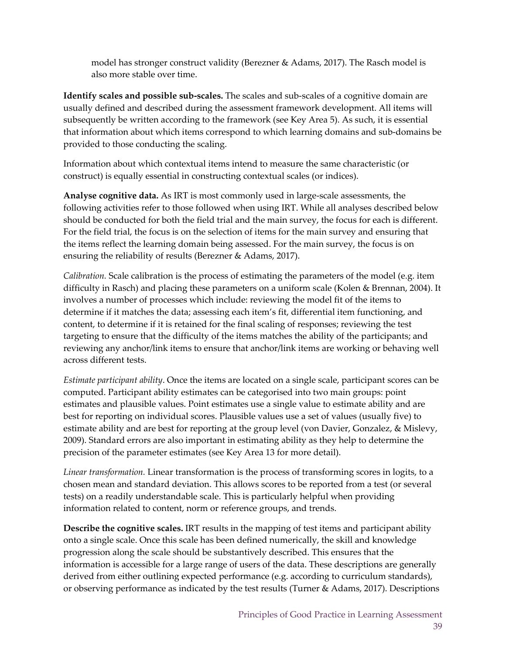model has stronger construct validity (Berezner & Adams, 2017). The Rasch model is also more stable over time.

**Identify scales and possible sub-scales.** The scales and sub-scales of a cognitive domain are usually defined and described during the assessment framework development. All items will subsequently be written according to the framework (see Key Area 5). As such, it is essential that information about which items correspond to which learning domains and sub-domains be provided to those conducting the scaling.

Information about which contextual items intend to measure the same characteristic (or construct) is equally essential in constructing contextual scales (or indices).

**Analyse cognitive data.** As IRT is most commonly used in large-scale assessments, the following activities refer to those followed when using IRT. While all analyses described below should be conducted for both the field trial and the main survey, the focus for each is different. For the field trial, the focus is on the selection of items for the main survey and ensuring that the items reflect the learning domain being assessed. For the main survey, the focus is on ensuring the reliability of results (Berezner & Adams, 2017).

*Calibration.* Scale calibration is the process of estimating the parameters of the model (e.g. item difficulty in Rasch) and placing these parameters on a uniform scale (Kolen & Brennan, 2004). It involves a number of processes which include: reviewing the model fit of the items to determine if it matches the data; assessing each item's fit, differential item functioning, and content, to determine if it is retained for the final scaling of responses; reviewing the test targeting to ensure that the difficulty of the items matches the ability of the participants; and reviewing any anchor/link items to ensure that anchor/link items are working or behaving well across different tests.

*Estimate participant ability*. Once the items are located on a single scale, participant scores can be computed. Participant ability estimates can be categorised into two main groups: point estimates and plausible values. Point estimates use a single value to estimate ability and are best for reporting on individual scores. Plausible values use a set of values (usually five) to estimate ability and are best for reporting at the group level (von Davier, Gonzalez, & Mislevy, 2009). Standard errors are also important in estimating ability as they help to determine the precision of the parameter estimates (see Key Area 13 for more detail).

*Linear transformation.* Linear transformation is the process of transforming scores in logits, to a chosen mean and standard deviation. This allows scores to be reported from a test (or several tests) on a readily understandable scale. This is particularly helpful when providing information related to content, norm or reference groups, and trends.

**Describe the cognitive scales.** IRT results in the mapping of test items and participant ability onto a single scale. Once this scale has been defined numerically, the skill and knowledge progression along the scale should be substantively described. This ensures that the information is accessible for a large range of users of the data. These descriptions are generally derived from either outlining expected performance (e.g. according to curriculum standards), or observing performance as indicated by the test results (Turner & Adams, 2017). Descriptions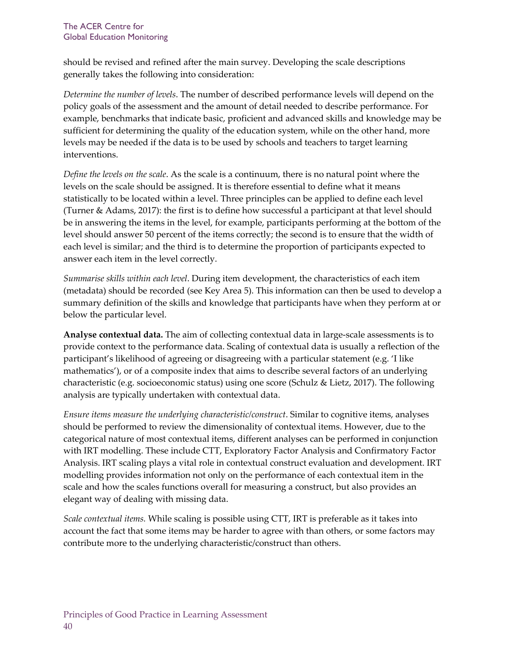should be revised and refined after the main survey. Developing the scale descriptions generally takes the following into consideration:

*Determine the number of levels*. The number of described performance levels will depend on the policy goals of the assessment and the amount of detail needed to describe performance. For example, benchmarks that indicate basic, proficient and advanced skills and knowledge may be sufficient for determining the quality of the education system, while on the other hand, more levels may be needed if the data is to be used by schools and teachers to target learning interventions.

*Define the levels on the scale*. As the scale is a continuum, there is no natural point where the levels on the scale should be assigned. It is therefore essential to define what it means statistically to be located within a level. Three principles can be applied to define each level (Turner & Adams, 2017): the first is to define how successful a participant at that level should be in answering the items in the level, for example, participants performing at the bottom of the level should answer 50 percent of the items correctly; the second is to ensure that the width of each level is similar; and the third is to determine the proportion of participants expected to answer each item in the level correctly.

*Summarise skills within each level*. During item development, the characteristics of each item (metadata) should be recorded (see Key Area 5). This information can then be used to develop a summary definition of the skills and knowledge that participants have when they perform at or below the particular level.

**Analyse contextual data.** The aim of collecting contextual data in large-scale assessments is to provide context to the performance data. Scaling of contextual data is usually a reflection of the participant's likelihood of agreeing or disagreeing with a particular statement (e.g. 'I like mathematics'), or of a composite index that aims to describe several factors of an underlying characteristic (e.g. socioeconomic status) using one score (Schulz & Lietz, 2017). The following analysis are typically undertaken with contextual data.

*Ensure items measure the underlying characteristic/construct*. Similar to cognitive items, analyses should be performed to review the dimensionality of contextual items. However, due to the categorical nature of most contextual items, different analyses can be performed in conjunction with IRT modelling. These include CTT, Exploratory Factor Analysis and Confirmatory Factor Analysis. IRT scaling plays a vital role in contextual construct evaluation and development. IRT modelling provides information not only on the performance of each contextual item in the scale and how the scales functions overall for measuring a construct, but also provides an elegant way of dealing with missing data.

*Scale contextual items.* While scaling is possible using CTT, IRT is preferable as it takes into account the fact that some items may be harder to agree with than others, or some factors may contribute more to the underlying characteristic/construct than others.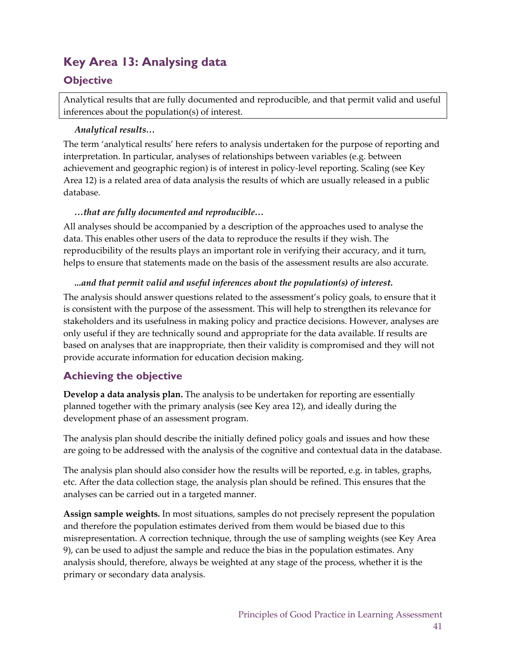# **Key Area 13: Analysing data**

## **Objective**

Analytical results that are fully documented and reproducible, and that permit valid and useful inferences about the population(s) of interest.

#### *Analytical results…*

The term 'analytical results' here refers to analysis undertaken for the purpose of reporting and interpretation. In particular, analyses of relationships between variables (e.g. between achievement and geographic region) is of interest in policy*-*level reporting. Scaling (see Key Area 12) is a related area of data analysis the results of which are usually released in a public database.

#### *…that are fully documented and reproducible…*

All analyses should be accompanied by a description of the approaches used to analyse the data. This enables other users of the data to reproduce the results if they wish. The reproducibility of the results plays an important role in verifying their accuracy, and it turn, helps to ensure that statements made on the basis of the assessment results are also accurate.

#### *...and that permit valid and useful inferences about the population(s) of interest.*

The analysis should answer questions related to the assessment's policy goals, to ensure that it is consistent with the purpose of the assessment. This will help to strengthen its relevance for stakeholders and its usefulness in making policy and practice decisions. However, analyses are only useful if they are technically sound and appropriate for the data available. If results are based on analyses that are inappropriate, then their validity is compromised and they will not provide accurate information for education decision making.

## **Achieving the objective**

**Develop a data analysis plan.** The analysis to be undertaken for reporting are essentially planned together with the primary analysis (see Key area 12), and ideally during the development phase of an assessment program.

The analysis plan should describe the initially defined policy goals and issues and how these are going to be addressed with the analysis of the cognitive and contextual data in the database.

The analysis plan should also consider how the results will be reported, e.g. in tables, graphs, etc. After the data collection stage, the analysis plan should be refined. This ensures that the analyses can be carried out in a targeted manner.

**Assign sample weights.** In most situations, samples do not precisely represent the population and therefore the population estimates derived from them would be biased due to this misrepresentation. A correction technique, through the use of sampling weights (see Key Area 9), can be used to adjust the sample and reduce the bias in the population estimates. Any analysis should, therefore, always be weighted at any stage of the process, whether it is the primary or secondary data analysis.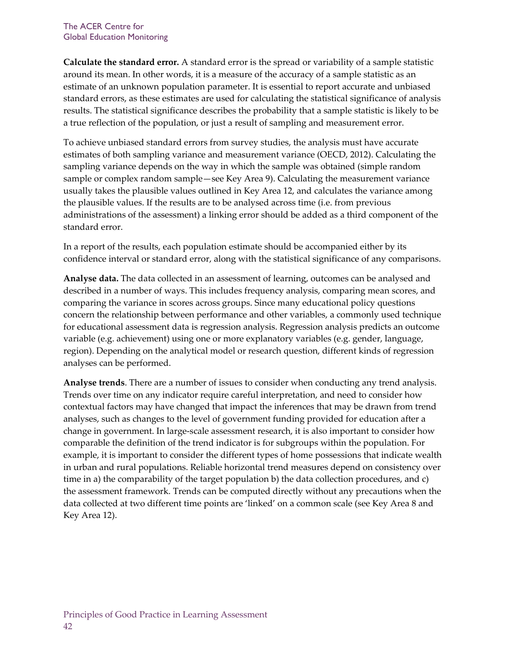**Calculate the standard error.** A standard error is the spread or variability of a sample statistic around its mean. In other words, it is a measure of the accuracy of a sample statistic as an estimate of an unknown population parameter. It is essential to report accurate and unbiased standard errors, as these estimates are used for calculating the statistical significance of analysis results. The statistical significance describes the probability that a sample statistic is likely to be a true reflection of the population, or just a result of sampling and measurement error.

To achieve unbiased standard errors from survey studies, the analysis must have accurate estimates of both sampling variance and measurement variance (OECD, 2012). Calculating the sampling variance depends on the way in which the sample was obtained (simple random sample or complex random sample—see Key Area 9). Calculating the measurement variance usually takes the plausible values outlined in Key Area 12, and calculates the variance among the plausible values. If the results are to be analysed across time (i.e. from previous administrations of the assessment) a linking error should be added as a third component of the standard error.

In a report of the results, each population estimate should be accompanied either by its confidence interval or standard error, along with the statistical significance of any comparisons.

**Analyse data.** The data collected in an assessment of learning, outcomes can be analysed and described in a number of ways. This includes frequency analysis, comparing mean scores, and comparing the variance in scores across groups. Since many educational policy questions concern the relationship between performance and other variables, a commonly used technique for educational assessment data is regression analysis. Regression analysis predicts an outcome variable (e.g. achievement) using one or more explanatory variables (e.g. gender, language, region). Depending on the analytical model or research question, different kinds of regression analyses can be performed.

**Analyse trends**. There are a number of issues to consider when conducting any trend analysis. Trends over time on any indicator require careful interpretation, and need to consider how contextual factors may have changed that impact the inferences that may be drawn from trend analyses, such as changes to the level of government funding provided for education after a change in government. In large-scale assessment research, it is also important to consider how comparable the definition of the trend indicator is for subgroups within the population. For example, it is important to consider the different types of home possessions that indicate wealth in urban and rural populations. Reliable horizontal trend measures depend on consistency over time in a) the comparability of the target population b) the data collection procedures, and c) the assessment framework. Trends can be computed directly without any precautions when the data collected at two different time points are 'linked' on a common scale (see Key Area 8 and Key Area 12).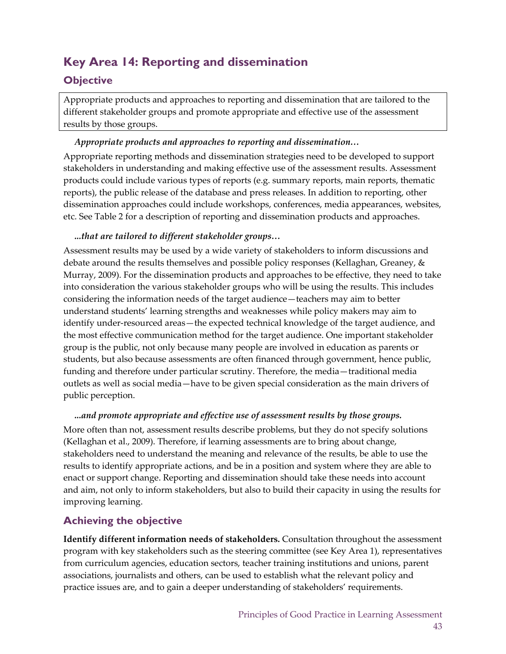# **Key Area 14: Reporting and dissemination**

## **Objective**

Appropriate products and approaches to reporting and dissemination that are tailored to the different stakeholder groups and promote appropriate and effective use of the assessment results by those groups.

#### *Appropriate products and approaches to reporting and dissemination…*

Appropriate reporting methods and dissemination strategies need to be developed to support stakeholders in understanding and making effective use of the assessment results. Assessment products could include various types of reports (e.g. summary reports, main reports, thematic reports), the public release of the database and press releases. In addition to reporting, other dissemination approaches could include workshops, conferences, media appearances, websites, etc. See Table 2 for a description of reporting and dissemination products and approaches.

#### *...that are tailored to different stakeholder groups…*

Assessment results may be used by a wide variety of stakeholders to inform discussions and debate around the results themselves and possible policy responses (Kellaghan, Greaney, & Murray, 2009). For the dissemination products and approaches to be effective, they need to take into consideration the various stakeholder groups who will be using the results. This includes considering the information needs of the target audience—teachers may aim to better understand students' learning strengths and weaknesses while policy makers may aim to identify under-resourced areas—the expected technical knowledge of the target audience, and the most effective communication method for the target audience. One important stakeholder group is the public, not only because many people are involved in education as parents or students, but also because assessments are often financed through government, hence public, funding and therefore under particular scrutiny. Therefore, the media—traditional media outlets as well as social media—have to be given special consideration as the main drivers of public perception.

### *...and promote appropriate and effective use of assessment results by those groups.*

More often than not, assessment results describe problems, but they do not specify solutions (Kellaghan et al., 2009). Therefore, if learning assessments are to bring about change, stakeholders need to understand the meaning and relevance of the results, be able to use the results to identify appropriate actions, and be in a position and system where they are able to enact or support change. Reporting and dissemination should take these needs into account and aim, not only to inform stakeholders, but also to build their capacity in using the results for improving learning.

## **Achieving the objective**

**Identify different information needs of stakeholders.** Consultation throughout the assessment program with key stakeholders such as the steering committee (see Key Area 1), representatives from curriculum agencies, education sectors, teacher training institutions and unions, parent associations, journalists and others, can be used to establish what the relevant policy and practice issues are, and to gain a deeper understanding of stakeholders' requirements.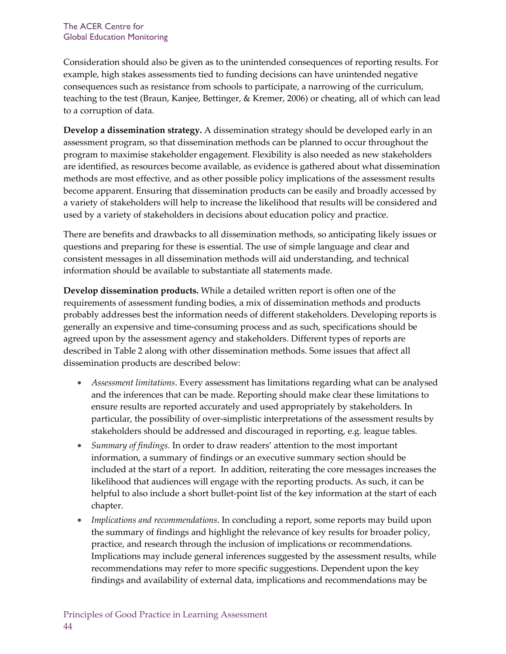Consideration should also be given as to the unintended consequences of reporting results. For example, high stakes assessments tied to funding decisions can have unintended negative consequences such as resistance from schools to participate, a narrowing of the curriculum, teaching to the test (Braun, Kanjee, Bettinger, & Kremer, 2006) or cheating, all of which can lead to a corruption of data.

**Develop a dissemination strategy.** A dissemination strategy should be developed early in an assessment program, so that dissemination methods can be planned to occur throughout the program to maximise stakeholder engagement. Flexibility is also needed as new stakeholders are identified, as resources become available, as evidence is gathered about what dissemination methods are most effective, and as other possible policy implications of the assessment results become apparent. Ensuring that dissemination products can be easily and broadly accessed by a variety of stakeholders will help to increase the likelihood that results will be considered and used by a variety of stakeholders in decisions about education policy and practice.

There are benefits and drawbacks to all dissemination methods, so anticipating likely issues or questions and preparing for these is essential. The use of simple language and clear and consistent messages in all dissemination methods will aid understanding, and technical information should be available to substantiate all statements made.

**Develop dissemination products.** While a detailed written report is often one of the requirements of assessment funding bodies, a mix of dissemination methods and products probably addresses best the information needs of different stakeholders. Developing reports is generally an expensive and time-consuming process and as such, specifications should be agreed upon by the assessment agency and stakeholders. Different types of reports are described in Table 2 along with other dissemination methods. Some issues that affect all dissemination products are described below:

- *Assessment limitations*. Every assessment has limitations regarding what can be analysed and the inferences that can be made. Reporting should make clear these limitations to ensure results are reported accurately and used appropriately by stakeholders. In particular, the possibility of over-simplistic interpretations of the assessment results by stakeholders should be addressed and discouraged in reporting, e.g. league tables.
- *Summary of findings.* In order to draw readers' attention to the most important information, a summary of findings or an executive summary section should be included at the start of a report. In addition, reiterating the core messages increases the likelihood that audiences will engage with the reporting products. As such, it can be helpful to also include a short bullet-point list of the key information at the start of each chapter.
- *Implications and recommendations*. In concluding a report, some reports may build upon the summary of findings and highlight the relevance of key results for broader policy, practice, and research through the inclusion of implications or recommendations. Implications may include general inferences suggested by the assessment results, while recommendations may refer to more specific suggestions. Dependent upon the key findings and availability of external data, implications and recommendations may be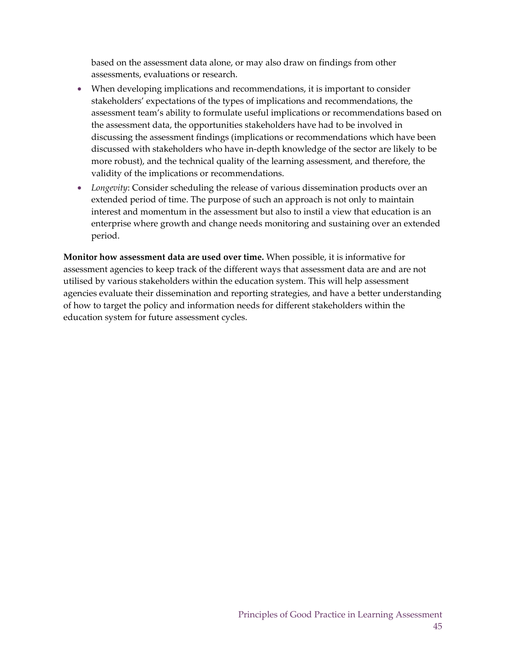based on the assessment data alone, or may also draw on findings from other assessments, evaluations or research.

- When developing implications and recommendations, it is important to consider stakeholders' expectations of the types of implications and recommendations, the assessment team's ability to formulate useful implications or recommendations based on the assessment data, the opportunities stakeholders have had to be involved in discussing the assessment findings (implications or recommendations which have been discussed with stakeholders who have in-depth knowledge of the sector are likely to be more robust), and the technical quality of the learning assessment, and therefore, the validity of the implications or recommendations.
- *Longevity*: Consider scheduling the release of various dissemination products over an extended period of time. The purpose of such an approach is not only to maintain interest and momentum in the assessment but also to instil a view that education is an enterprise where growth and change needs monitoring and sustaining over an extended period.

**Monitor how assessment data are used over time.** When possible, it is informative for assessment agencies to keep track of the different ways that assessment data are and are not utilised by various stakeholders within the education system. This will help assessment agencies evaluate their dissemination and reporting strategies, and have a better understanding of how to target the policy and information needs for different stakeholders within the education system for future assessment cycles.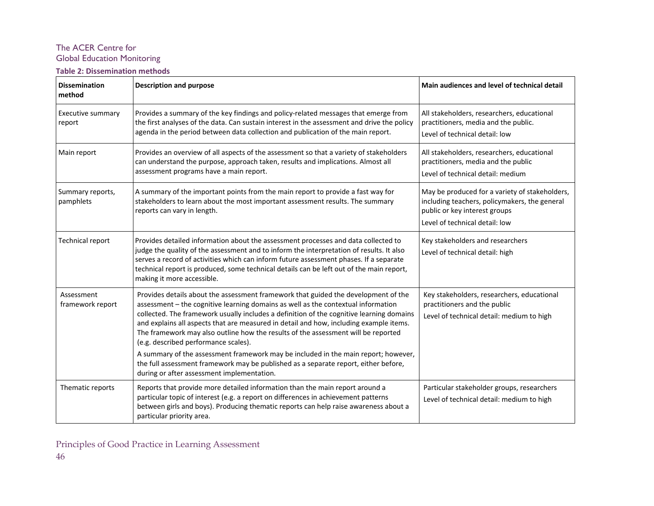#### The ACER Centre for Global Education Monitoring

**Table 2: Dissemination methods** 

| <b>Dissemination</b><br>method | <b>Description and purpose</b>                                                                                                                                                                                                                                                                                                                                                                                                                                                                                                                                                                                                                                                                                        | Main audiences and level of technical detail                                                                                                                       |
|--------------------------------|-----------------------------------------------------------------------------------------------------------------------------------------------------------------------------------------------------------------------------------------------------------------------------------------------------------------------------------------------------------------------------------------------------------------------------------------------------------------------------------------------------------------------------------------------------------------------------------------------------------------------------------------------------------------------------------------------------------------------|--------------------------------------------------------------------------------------------------------------------------------------------------------------------|
| Executive summary<br>report    | Provides a summary of the key findings and policy-related messages that emerge from<br>the first analyses of the data. Can sustain interest in the assessment and drive the policy<br>agenda in the period between data collection and publication of the main report.                                                                                                                                                                                                                                                                                                                                                                                                                                                | All stakeholders, researchers, educational<br>practitioners, media and the public.<br>Level of technical detail: low                                               |
| Main report                    | Provides an overview of all aspects of the assessment so that a variety of stakeholders<br>can understand the purpose, approach taken, results and implications. Almost all<br>assessment programs have a main report.                                                                                                                                                                                                                                                                                                                                                                                                                                                                                                | All stakeholders, researchers, educational<br>practitioners, media and the public<br>Level of technical detail: medium                                             |
| Summary reports,<br>pamphlets  | A summary of the important points from the main report to provide a fast way for<br>stakeholders to learn about the most important assessment results. The summary<br>reports can vary in length.                                                                                                                                                                                                                                                                                                                                                                                                                                                                                                                     | May be produced for a variety of stakeholders,<br>including teachers, policymakers, the general<br>public or key interest groups<br>Level of technical detail: low |
| <b>Technical report</b>        | Provides detailed information about the assessment processes and data collected to<br>judge the quality of the assessment and to inform the interpretation of results. It also<br>serves a record of activities which can inform future assessment phases. If a separate<br>technical report is produced, some technical details can be left out of the main report,<br>making it more accessible.                                                                                                                                                                                                                                                                                                                    | Key stakeholders and researchers<br>Level of technical detail: high                                                                                                |
| Assessment<br>framework report | Provides details about the assessment framework that guided the development of the<br>assessment - the cognitive learning domains as well as the contextual information<br>collected. The framework usually includes a definition of the cognitive learning domains<br>and explains all aspects that are measured in detail and how, including example items.<br>The framework may also outline how the results of the assessment will be reported<br>(e.g. described performance scales).<br>A summary of the assessment framework may be included in the main report; however,<br>the full assessment framework may be published as a separate report, either before,<br>during or after assessment implementation. | Key stakeholders, researchers, educational<br>practitioners and the public<br>Level of technical detail: medium to high                                            |
| Thematic reports               | Reports that provide more detailed information than the main report around a<br>particular topic of interest (e.g. a report on differences in achievement patterns<br>between girls and boys). Producing thematic reports can help raise awareness about a<br>particular priority area.                                                                                                                                                                                                                                                                                                                                                                                                                               | Particular stakeholder groups, researchers<br>Level of technical detail: medium to high                                                                            |

Principles of Good Practice in Learning Assessment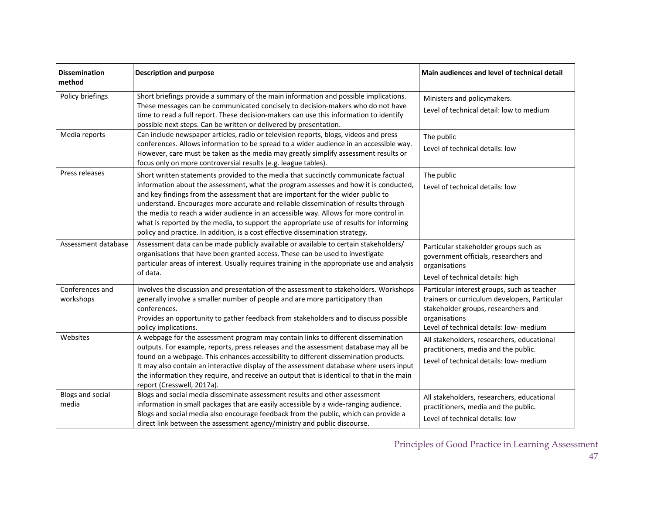| <b>Dissemination</b><br>method   | <b>Description and purpose</b>                                                                                                                                                                                                                                                                                                                                                                                                                                                                                                                                                                                         | Main audiences and level of technical detail                                                                                                                                                    |
|----------------------------------|------------------------------------------------------------------------------------------------------------------------------------------------------------------------------------------------------------------------------------------------------------------------------------------------------------------------------------------------------------------------------------------------------------------------------------------------------------------------------------------------------------------------------------------------------------------------------------------------------------------------|-------------------------------------------------------------------------------------------------------------------------------------------------------------------------------------------------|
| Policy briefings                 | Short briefings provide a summary of the main information and possible implications.<br>These messages can be communicated concisely to decision-makers who do not have<br>time to read a full report. These decision-makers can use this information to identify<br>possible next steps. Can be written or delivered by presentation.                                                                                                                                                                                                                                                                                 | Ministers and policymakers.<br>Level of technical detail: low to medium                                                                                                                         |
| Media reports                    | Can include newspaper articles, radio or television reports, blogs, videos and press<br>conferences. Allows information to be spread to a wider audience in an accessible way.<br>However, care must be taken as the media may greatly simplify assessment results or<br>focus only on more controversial results (e.g. league tables).                                                                                                                                                                                                                                                                                | The public<br>Level of technical details: low                                                                                                                                                   |
| Press releases                   | Short written statements provided to the media that succinctly communicate factual<br>information about the assessment, what the program assesses and how it is conducted,<br>and key findings from the assessment that are important for the wider public to<br>understand. Encourages more accurate and reliable dissemination of results through<br>the media to reach a wider audience in an accessible way. Allows for more control in<br>what is reported by the media, to support the appropriate use of results for informing<br>policy and practice. In addition, is a cost effective dissemination strategy. | The public<br>Level of technical details: low                                                                                                                                                   |
| Assessment database              | Assessment data can be made publicly available or available to certain stakeholders/<br>organisations that have been granted access. These can be used to investigate<br>particular areas of interest. Usually requires training in the appropriate use and analysis<br>of data.                                                                                                                                                                                                                                                                                                                                       | Particular stakeholder groups such as<br>government officials, researchers and<br>organisations<br>Level of technical details: high                                                             |
| Conferences and<br>workshops     | Involves the discussion and presentation of the assessment to stakeholders. Workshops<br>generally involve a smaller number of people and are more participatory than<br>conferences.<br>Provides an opportunity to gather feedback from stakeholders and to discuss possible<br>policy implications.                                                                                                                                                                                                                                                                                                                  | Particular interest groups, such as teacher<br>trainers or curriculum developers, Particular<br>stakeholder groups, researchers and<br>organisations<br>Level of technical details: low- medium |
| Websites                         | A webpage for the assessment program may contain links to different dissemination<br>outputs. For example, reports, press releases and the assessment database may all be<br>found on a webpage. This enhances accessibility to different dissemination products.<br>It may also contain an interactive display of the assessment database where users input<br>the information they require, and receive an output that is identical to that in the main<br>report (Cresswell, 2017a).                                                                                                                                | All stakeholders, researchers, educational<br>practitioners, media and the public.<br>Level of technical details: low- medium                                                                   |
| <b>Blogs and social</b><br>media | Blogs and social media disseminate assessment results and other assessment<br>information in small packages that are easily accessible by a wide-ranging audience.<br>Blogs and social media also encourage feedback from the public, which can provide a<br>direct link between the assessment agency/ministry and public discourse.                                                                                                                                                                                                                                                                                  | All stakeholders, researchers, educational<br>practitioners, media and the public.<br>Level of technical details: low                                                                           |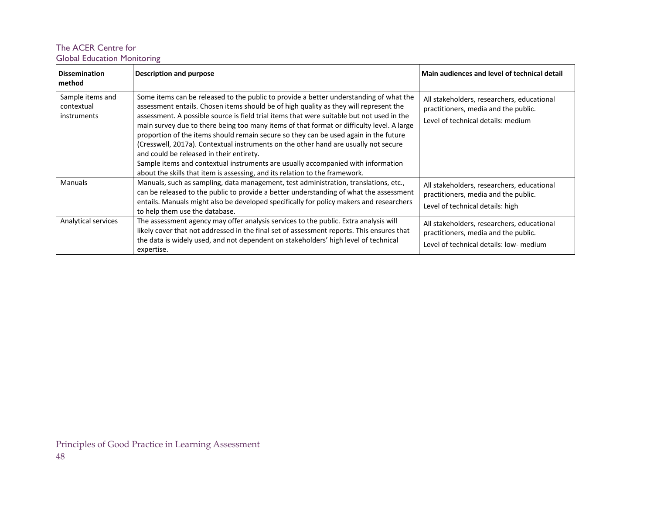#### The ACER Centre for Global Education Monitoring

| <b>Dissemination</b><br>method                | Description and purpose                                                                                                                                                                                                                                                                                                                                                                                                                                                                                                                                                                                                                                                                                                                                                 | Main audiences and level of technical detail                                                                                  |
|-----------------------------------------------|-------------------------------------------------------------------------------------------------------------------------------------------------------------------------------------------------------------------------------------------------------------------------------------------------------------------------------------------------------------------------------------------------------------------------------------------------------------------------------------------------------------------------------------------------------------------------------------------------------------------------------------------------------------------------------------------------------------------------------------------------------------------------|-------------------------------------------------------------------------------------------------------------------------------|
| Sample items and<br>contextual<br>instruments | Some items can be released to the public to provide a better understanding of what the<br>assessment entails. Chosen items should be of high quality as they will represent the<br>assessment. A possible source is field trial items that were suitable but not used in the<br>main survey due to there being too many items of that format or difficulty level. A large<br>proportion of the items should remain secure so they can be used again in the future<br>(Cresswell, 2017a). Contextual instruments on the other hand are usually not secure<br>and could be released in their entirety.<br>Sample items and contextual instruments are usually accompanied with information<br>about the skills that item is assessing, and its relation to the framework. | All stakeholders, researchers, educational<br>practitioners, media and the public.<br>Level of technical details: medium      |
| <b>Manuals</b>                                | Manuals, such as sampling, data management, test administration, translations, etc.,<br>can be released to the public to provide a better understanding of what the assessment<br>entails. Manuals might also be developed specifically for policy makers and researchers<br>to help them use the database.                                                                                                                                                                                                                                                                                                                                                                                                                                                             | All stakeholders, researchers, educational<br>practitioners, media and the public.<br>Level of technical details: high        |
| Analytical services                           | The assessment agency may offer analysis services to the public. Extra analysis will<br>likely cover that not addressed in the final set of assessment reports. This ensures that<br>the data is widely used, and not dependent on stakeholders' high level of technical<br>expertise.                                                                                                                                                                                                                                                                                                                                                                                                                                                                                  | All stakeholders, researchers, educational<br>practitioners, media and the public.<br>Level of technical details: low- medium |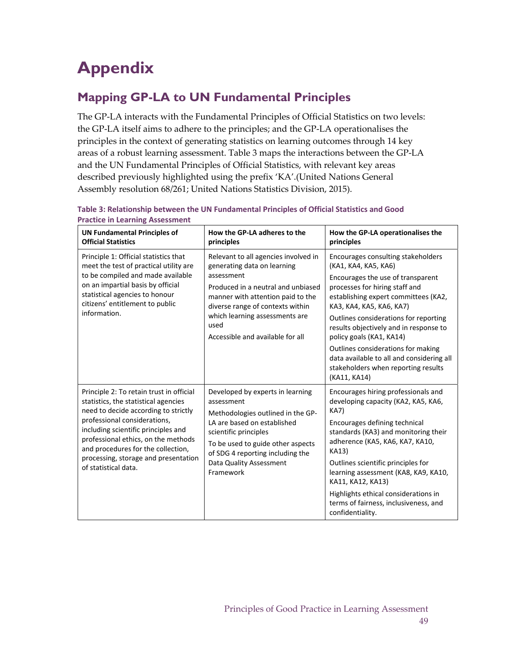# **Appendix**

# **Mapping GP-LA to UN Fundamental Principles**

The GP-LA interacts with the Fundamental Principles of Official Statistics on two levels: the GP-LA itself aims to adhere to the principles; and the GP-LA operationalises the principles in the context of generating statistics on learning outcomes through 14 key areas of a robust learning assessment. Table 3 maps the interactions between the GP-LA and the UN Fundamental Principles of Official Statistics, with relevant key areas described previously highlighted using the prefix 'KA'.(United Nations General Assembly resolution 68/261; United Nations Statistics Division, 2015).

| <b>UN Fundamental Principles of</b><br><b>Official Statistics</b>                                                                                                                                                                                                                                                                            | How the GP-LA adheres to the<br>principles                                                                                                                                                                                                                                     | How the GP-LA operationalises the<br>principles                                                                                                                                                                                                                                                                                                                                                                                                                |
|----------------------------------------------------------------------------------------------------------------------------------------------------------------------------------------------------------------------------------------------------------------------------------------------------------------------------------------------|--------------------------------------------------------------------------------------------------------------------------------------------------------------------------------------------------------------------------------------------------------------------------------|----------------------------------------------------------------------------------------------------------------------------------------------------------------------------------------------------------------------------------------------------------------------------------------------------------------------------------------------------------------------------------------------------------------------------------------------------------------|
| Principle 1: Official statistics that<br>meet the test of practical utility are<br>to be compiled and made available<br>on an impartial basis by official<br>statistical agencies to honour<br>citizens' entitlement to public<br>information.                                                                                               | Relevant to all agencies involved in<br>generating data on learning<br>assessment<br>Produced in a neutral and unbiased<br>manner with attention paid to the<br>diverse range of contexts within<br>which learning assessments are<br>used<br>Accessible and available for all | Encourages consulting stakeholders<br>(KA1, KA4, KA5, KA6)<br>Encourages the use of transparent<br>processes for hiring staff and<br>establishing expert committees (KA2,<br>KA3, KA4, KA5, KA6, KA7)<br>Outlines considerations for reporting<br>results objectively and in response to<br>policy goals (KA1, KA14)<br>Outlines considerations for making<br>data available to all and considering all<br>stakeholders when reporting results<br>(KA11, KA14) |
| Principle 2: To retain trust in official<br>statistics, the statistical agencies<br>need to decide according to strictly<br>professional considerations,<br>including scientific principles and<br>professional ethics, on the methods<br>and procedures for the collection,<br>processing, storage and presentation<br>of statistical data. | Developed by experts in learning<br>assessment<br>Methodologies outlined in the GP-<br>LA are based on established<br>scientific principles<br>To be used to guide other aspects<br>of SDG 4 reporting including the<br>Data Quality Assessment<br>Framework                   | Encourages hiring professionals and<br>developing capacity (KA2, KA5, KA6,<br><b>KA7)</b><br>Encourages defining technical<br>standards (KA3) and monitoring their<br>adherence (KA5, KA6, KA7, KA10,<br>KA13)<br>Outlines scientific principles for<br>learning assessment (KA8, KA9, KA10,<br>KA11, KA12, KA13)<br>Highlights ethical considerations in<br>terms of fairness, inclusiveness, and<br>confidentiality.                                         |

#### **Table 3: Relationship between the UN Fundamental Principles of Official Statistics and Good Practice in Learning Assessment**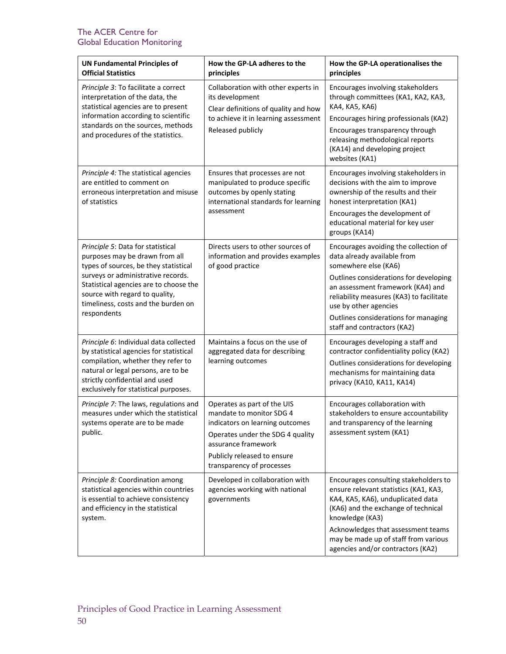| <b>UN Fundamental Principles of</b><br><b>Official Statistics</b>                                                                                                                                                                                                                    | How the GP-LA adheres to the<br>principles                                                                                                                                                                        | How the GP-LA operationalises the<br>principles                                                                                                                                                                                                                                                                         |
|--------------------------------------------------------------------------------------------------------------------------------------------------------------------------------------------------------------------------------------------------------------------------------------|-------------------------------------------------------------------------------------------------------------------------------------------------------------------------------------------------------------------|-------------------------------------------------------------------------------------------------------------------------------------------------------------------------------------------------------------------------------------------------------------------------------------------------------------------------|
| Principle 3: To facilitate a correct<br>interpretation of the data, the<br>statistical agencies are to present<br>information according to scientific<br>standards on the sources, methods<br>and procedures of the statistics.                                                      | Collaboration with other experts in<br>its development<br>Clear definitions of quality and how<br>to achieve it in learning assessment<br>Released publicly                                                       | Encourages involving stakeholders<br>through committees (KA1, KA2, KA3,<br>KA4, KA5, KA6)<br>Encourages hiring professionals (KA2)<br>Encourages transparency through<br>releasing methodological reports<br>(KA14) and developing project<br>websites (KA1)                                                            |
| Principle 4: The statistical agencies<br>are entitled to comment on<br>erroneous interpretation and misuse<br>of statistics                                                                                                                                                          | Ensures that processes are not<br>manipulated to produce specific<br>outcomes by openly stating<br>international standards for learning<br>assessment                                                             | Encourages involving stakeholders in<br>decisions with the aim to improve<br>ownership of the results and their<br>honest interpretation (KA1)<br>Encourages the development of<br>educational material for key user<br>groups (KA14)                                                                                   |
| Principle 5: Data for statistical<br>purposes may be drawn from all<br>types of sources, be they statistical<br>surveys or administrative records.<br>Statistical agencies are to choose the<br>source with regard to quality,<br>timeliness, costs and the burden on<br>respondents | Directs users to other sources of<br>information and provides examples<br>of good practice                                                                                                                        | Encourages avoiding the collection of<br>data already available from<br>somewhere else (KA6)<br>Outlines considerations for developing<br>an assessment framework (KA4) and<br>reliability measures (KA3) to facilitate<br>use by other agencies<br>Outlines considerations for managing<br>staff and contractors (KA2) |
| Principle 6: Individual data collected<br>by statistical agencies for statistical<br>compilation, whether they refer to<br>natural or legal persons, are to be<br>strictly confidential and used<br>exclusively for statistical purposes.                                            | Maintains a focus on the use of<br>aggregated data for describing<br>learning outcomes                                                                                                                            | Encourages developing a staff and<br>contractor confidentiality policy (KA2)<br>Outlines considerations for developing<br>mechanisms for maintaining data<br>privacy (KA10, KA11, KA14)                                                                                                                                 |
| Principle 7: The laws, regulations and<br>measures under which the statistical<br>systems operate are to be made<br>public.                                                                                                                                                          | Operates as part of the UIS<br>mandate to monitor SDG 4<br>indicators on learning outcomes<br>Operates under the SDG 4 quality<br>assurance framework<br>Publicly released to ensure<br>transparency of processes | Encourages collaboration with<br>stakeholders to ensure accountability<br>and transparency of the learning<br>assessment system (KA1)                                                                                                                                                                                   |
| Principle 8: Coordination among<br>statistical agencies within countries<br>is essential to achieve consistency<br>and efficiency in the statistical<br>system.                                                                                                                      | Developed in collaboration with<br>agencies working with national<br>governments                                                                                                                                  | Encourages consulting stakeholders to<br>ensure relevant statistics (KA1, KA3,<br>KA4, KA5, KA6), unduplicated data<br>(KA6) and the exchange of technical<br>knowledge (KA3)<br>Acknowledges that assessment teams<br>may be made up of staff from various<br>agencies and/or contractors (KA2)                        |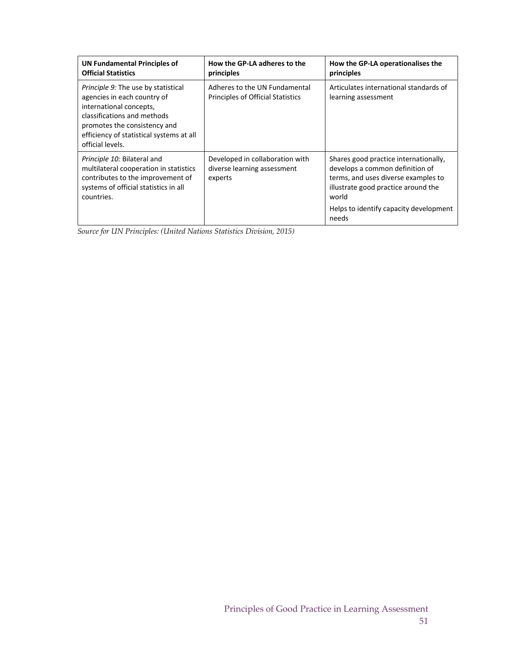| <b>UN Fundamental Principles of</b><br><b>Official Statistics</b>                                                                                                                                                            | How the GP-LA adheres to the<br>principles                                | How the GP-LA operationalises the<br>principles                                                                                                                                                                    |
|------------------------------------------------------------------------------------------------------------------------------------------------------------------------------------------------------------------------------|---------------------------------------------------------------------------|--------------------------------------------------------------------------------------------------------------------------------------------------------------------------------------------------------------------|
| Principle 9: The use by statistical<br>agencies in each country of<br>international concepts,<br>classifications and methods<br>promotes the consistency and<br>efficiency of statistical systems at all<br>official levels. | Adheres to the UN Fundamental<br>Principles of Official Statistics        | Articulates international standards of<br>learning assessment                                                                                                                                                      |
| Principle 10: Bilateral and<br>multilateral cooperation in statistics<br>contributes to the improvement of<br>systems of official statistics in all<br>countries.                                                            | Developed in collaboration with<br>diverse learning assessment<br>experts | Shares good practice internationally,<br>develops a common definition of<br>terms, and uses diverse examples to<br>illustrate good practice around the<br>world<br>Helps to identify capacity development<br>needs |

*Source for UN Principles: (United Nations Statistics Division, 2015)*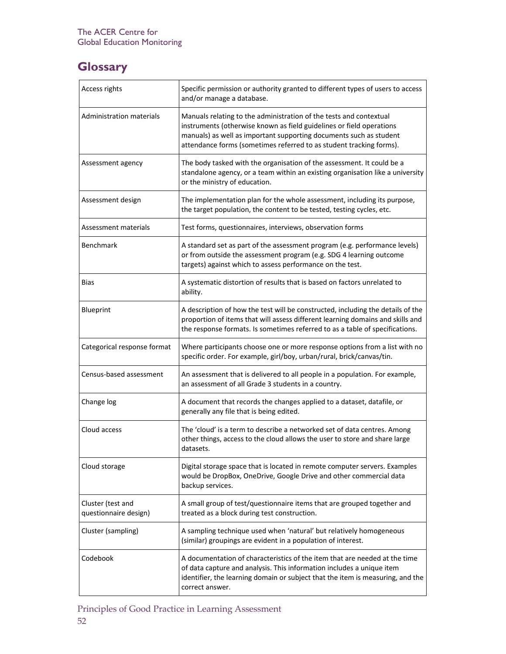# **Glossary**

| Access rights                              | Specific permission or authority granted to different types of users to access<br>and/or manage a database.                                                                                                                                                                             |
|--------------------------------------------|-----------------------------------------------------------------------------------------------------------------------------------------------------------------------------------------------------------------------------------------------------------------------------------------|
| <b>Administration materials</b>            | Manuals relating to the administration of the tests and contextual<br>instruments (otherwise known as field guidelines or field operations<br>manuals) as well as important supporting documents such as student<br>attendance forms (sometimes referred to as student tracking forms). |
| Assessment agency                          | The body tasked with the organisation of the assessment. It could be a<br>standalone agency, or a team within an existing organisation like a university<br>or the ministry of education.                                                                                               |
| Assessment design                          | The implementation plan for the whole assessment, including its purpose,<br>the target population, the content to be tested, testing cycles, etc.                                                                                                                                       |
| Assessment materials                       | Test forms, questionnaires, interviews, observation forms                                                                                                                                                                                                                               |
| <b>Benchmark</b>                           | A standard set as part of the assessment program (e.g. performance levels)<br>or from outside the assessment program (e.g. SDG 4 learning outcome<br>targets) against which to assess performance on the test.                                                                          |
| Bias                                       | A systematic distortion of results that is based on factors unrelated to<br>ability.                                                                                                                                                                                                    |
| Blueprint                                  | A description of how the test will be constructed, including the details of the<br>proportion of items that will assess different learning domains and skills and<br>the response formats. Is sometimes referred to as a table of specifications.                                       |
| Categorical response format                | Where participants choose one or more response options from a list with no<br>specific order. For example, girl/boy, urban/rural, brick/canvas/tin.                                                                                                                                     |
| Census-based assessment                    | An assessment that is delivered to all people in a population. For example,<br>an assessment of all Grade 3 students in a country.                                                                                                                                                      |
| Change log                                 | A document that records the changes applied to a dataset, datafile, or<br>generally any file that is being edited.                                                                                                                                                                      |
| Cloud access                               | The 'cloud' is a term to describe a networked set of data centres. Among<br>other things, access to the cloud allows the user to store and share large<br>datasets.                                                                                                                     |
| Cloud storage                              | Digital storage space that is located in remote computer servers. Examples<br>would be DropBox, OneDrive, Google Drive and other commercial data<br>backup services.                                                                                                                    |
| Cluster (test and<br>questionnaire design) | A small group of test/questionnaire items that are grouped together and<br>treated as a block during test construction.                                                                                                                                                                 |
| Cluster (sampling)                         | A sampling technique used when 'natural' but relatively homogeneous<br>(similar) groupings are evident in a population of interest.                                                                                                                                                     |
| Codebook                                   | A documentation of characteristics of the item that are needed at the time<br>of data capture and analysis. This information includes a unique item<br>identifier, the learning domain or subject that the item is measuring, and the<br>correct answer.                                |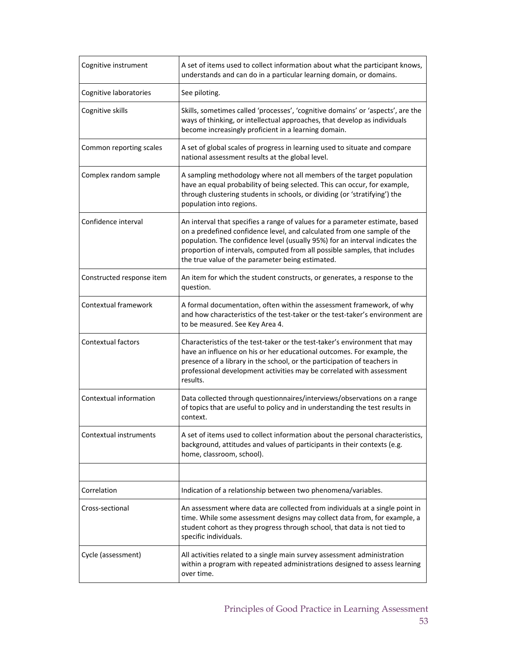| Cognitive instrument      | A set of items used to collect information about what the participant knows,<br>understands and can do in a particular learning domain, or domains.                                                                                                                                                                                                                       |
|---------------------------|---------------------------------------------------------------------------------------------------------------------------------------------------------------------------------------------------------------------------------------------------------------------------------------------------------------------------------------------------------------------------|
| Cognitive laboratories    | See piloting.                                                                                                                                                                                                                                                                                                                                                             |
| Cognitive skills          | Skills, sometimes called 'processes', 'cognitive domains' or 'aspects', are the<br>ways of thinking, or intellectual approaches, that develop as individuals<br>become increasingly proficient in a learning domain.                                                                                                                                                      |
| Common reporting scales   | A set of global scales of progress in learning used to situate and compare<br>national assessment results at the global level.                                                                                                                                                                                                                                            |
| Complex random sample     | A sampling methodology where not all members of the target population<br>have an equal probability of being selected. This can occur, for example,<br>through clustering students in schools, or dividing (or 'stratifying') the<br>population into regions.                                                                                                              |
| Confidence interval       | An interval that specifies a range of values for a parameter estimate, based<br>on a predefined confidence level, and calculated from one sample of the<br>population. The confidence level (usually 95%) for an interval indicates the<br>proportion of intervals, computed from all possible samples, that includes<br>the true value of the parameter being estimated. |
| Constructed response item | An item for which the student constructs, or generates, a response to the<br>question.                                                                                                                                                                                                                                                                                    |
| Contextual framework      | A formal documentation, often within the assessment framework, of why<br>and how characteristics of the test-taker or the test-taker's environment are<br>to be measured. See Key Area 4.                                                                                                                                                                                 |
| Contextual factors        | Characteristics of the test-taker or the test-taker's environment that may<br>have an influence on his or her educational outcomes. For example, the<br>presence of a library in the school, or the participation of teachers in<br>professional development activities may be correlated with assessment<br>results.                                                     |
| Contextual information    | Data collected through questionnaires/interviews/observations on a range<br>of topics that are useful to policy and in understanding the test results in<br>context.                                                                                                                                                                                                      |
| Contextual instruments    | A set of items used to collect information about the personal characteristics,<br>background, attitudes and values of participants in their contexts (e.g.<br>home, classroom, school).                                                                                                                                                                                   |
|                           |                                                                                                                                                                                                                                                                                                                                                                           |
| Correlation               | Indication of a relationship between two phenomena/variables.                                                                                                                                                                                                                                                                                                             |
| Cross-sectional           | An assessment where data are collected from individuals at a single point in<br>time. While some assessment designs may collect data from, for example, a<br>student cohort as they progress through school, that data is not tied to<br>specific individuals.                                                                                                            |
| Cycle (assessment)        | All activities related to a single main survey assessment administration<br>within a program with repeated administrations designed to assess learning<br>over time.                                                                                                                                                                                                      |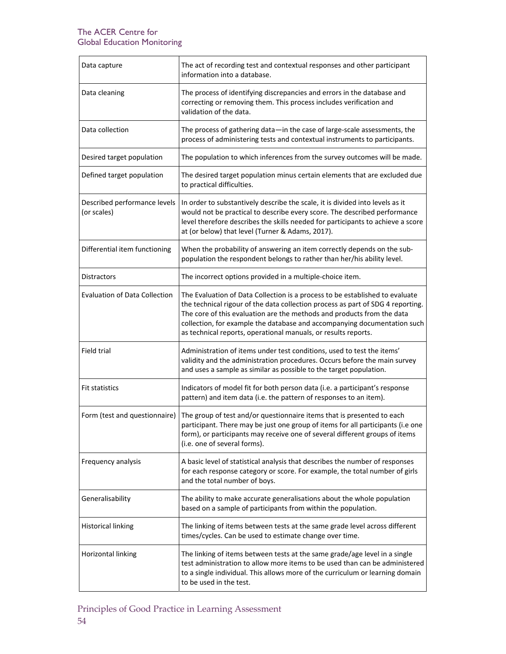| Data capture                                | The act of recording test and contextual responses and other participant<br>information into a database.                                                                                                                                                                                                                                                                                |
|---------------------------------------------|-----------------------------------------------------------------------------------------------------------------------------------------------------------------------------------------------------------------------------------------------------------------------------------------------------------------------------------------------------------------------------------------|
| Data cleaning                               | The process of identifying discrepancies and errors in the database and<br>correcting or removing them. This process includes verification and<br>validation of the data.                                                                                                                                                                                                               |
| Data collection                             | The process of gathering data-in the case of large-scale assessments, the<br>process of administering tests and contextual instruments to participants.                                                                                                                                                                                                                                 |
| Desired target population                   | The population to which inferences from the survey outcomes will be made.                                                                                                                                                                                                                                                                                                               |
| Defined target population                   | The desired target population minus certain elements that are excluded due<br>to practical difficulties.                                                                                                                                                                                                                                                                                |
| Described performance levels<br>(or scales) | In order to substantively describe the scale, it is divided into levels as it<br>would not be practical to describe every score. The described performance<br>level therefore describes the skills needed for participants to achieve a score<br>at (or below) that level (Turner & Adams, 2017).                                                                                       |
| Differential item functioning               | When the probability of answering an item correctly depends on the sub-<br>population the respondent belongs to rather than her/his ability level.                                                                                                                                                                                                                                      |
| Distractors                                 | The incorrect options provided in a multiple-choice item.                                                                                                                                                                                                                                                                                                                               |
| <b>Evaluation of Data Collection</b>        | The Evaluation of Data Collection is a process to be established to evaluate<br>the technical rigour of the data collection process as part of SDG 4 reporting.<br>The core of this evaluation are the methods and products from the data<br>collection, for example the database and accompanying documentation such<br>as technical reports, operational manuals, or results reports. |
| Field trial                                 | Administration of items under test conditions, used to test the items'<br>validity and the administration procedures. Occurs before the main survey<br>and uses a sample as similar as possible to the target population.                                                                                                                                                               |
| <b>Fit statistics</b>                       | Indicators of model fit for both person data (i.e. a participant's response<br>pattern) and item data (i.e. the pattern of responses to an item).                                                                                                                                                                                                                                       |
| Form (test and questionnaire)               | The group of test and/or questionnaire items that is presented to each<br>participant. There may be just one group of items for all participants (i.e one<br>form), or participants may receive one of several different groups of items<br>(i.e. one of several forms).                                                                                                                |
| Frequency analysis                          | A basic level of statistical analysis that describes the number of responses<br>for each response category or score. For example, the total number of girls<br>and the total number of boys.                                                                                                                                                                                            |
| Generalisability                            | The ability to make accurate generalisations about the whole population<br>based on a sample of participants from within the population.                                                                                                                                                                                                                                                |
| <b>Historical linking</b>                   | The linking of items between tests at the same grade level across different<br>times/cycles. Can be used to estimate change over time.                                                                                                                                                                                                                                                  |
| Horizontal linking                          | The linking of items between tests at the same grade/age level in a single<br>test administration to allow more items to be used than can be administered<br>to a single individual. This allows more of the curriculum or learning domain<br>to be used in the test.                                                                                                                   |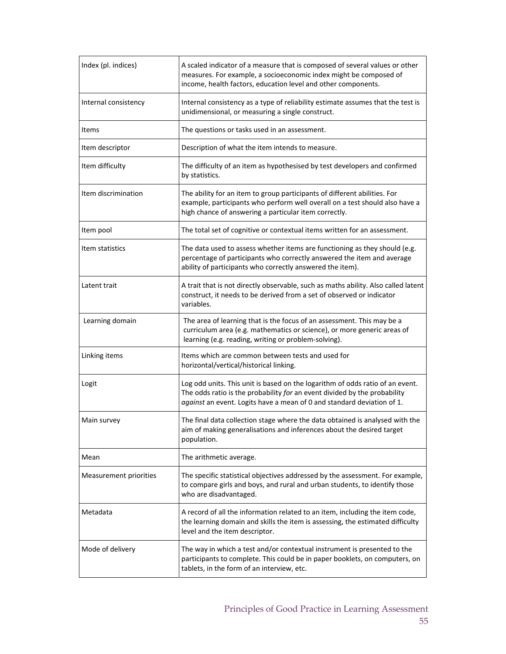| Index (pl. indices)    | A scaled indicator of a measure that is composed of several values or other<br>measures. For example, a socioeconomic index might be composed of<br>income, health factors, education level and other components.                    |
|------------------------|--------------------------------------------------------------------------------------------------------------------------------------------------------------------------------------------------------------------------------------|
| Internal consistency   | Internal consistency as a type of reliability estimate assumes that the test is<br>unidimensional, or measuring a single construct.                                                                                                  |
| <b>Items</b>           | The questions or tasks used in an assessment.                                                                                                                                                                                        |
| Item descriptor        | Description of what the item intends to measure.                                                                                                                                                                                     |
| Item difficulty        | The difficulty of an item as hypothesised by test developers and confirmed<br>by statistics.                                                                                                                                         |
| Item discrimination    | The ability for an item to group participants of different abilities. For<br>example, participants who perform well overall on a test should also have a<br>high chance of answering a particular item correctly.                    |
| Item pool              | The total set of cognitive or contextual items written for an assessment.                                                                                                                                                            |
| Item statistics        | The data used to assess whether items are functioning as they should (e.g.<br>percentage of participants who correctly answered the item and average<br>ability of participants who correctly answered the item).                    |
| Latent trait           | A trait that is not directly observable, such as maths ability. Also called latent<br>construct, it needs to be derived from a set of observed or indicator<br>variables.                                                            |
| Learning domain        | The area of learning that is the focus of an assessment. This may be a<br>curriculum area (e.g. mathematics or science), or more generic areas of<br>learning (e.g. reading, writing or problem-solving).                            |
| Linking items          | Items which are common between tests and used for<br>horizontal/vertical/historical linking.                                                                                                                                         |
| Logit                  | Log odd units. This unit is based on the logarithm of odds ratio of an event.<br>The odds ratio is the probability for an event divided by the probability<br>against an event. Logits have a mean of 0 and standard deviation of 1. |
| Main survey            | The final data collection stage where the data obtained is analysed with the<br>aim of making generalisations and inferences about the desired target<br>population.                                                                 |
| Mean                   | The arithmetic average.                                                                                                                                                                                                              |
| Measurement priorities | The specific statistical objectives addressed by the assessment. For example,<br>to compare girls and boys, and rural and urban students, to identify those<br>who are disadvantaged.                                                |
| Metadata               | A record of all the information related to an item, including the item code,<br>the learning domain and skills the item is assessing, the estimated difficulty<br>level and the item descriptor.                                     |
| Mode of delivery       | The way in which a test and/or contextual instrument is presented to the<br>participants to complete. This could be in paper booklets, on computers, on<br>tablets, in the form of an interview, etc.                                |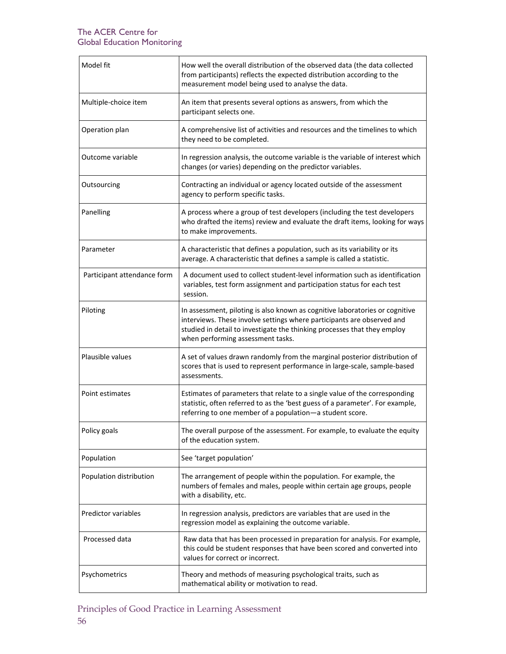| Model fit                   | How well the overall distribution of the observed data (the data collected<br>from participants) reflects the expected distribution according to the<br>measurement model being used to analyse the data.                                                               |
|-----------------------------|-------------------------------------------------------------------------------------------------------------------------------------------------------------------------------------------------------------------------------------------------------------------------|
| Multiple-choice item        | An item that presents several options as answers, from which the<br>participant selects one.                                                                                                                                                                            |
| Operation plan              | A comprehensive list of activities and resources and the timelines to which<br>they need to be completed.                                                                                                                                                               |
| Outcome variable            | In regression analysis, the outcome variable is the variable of interest which<br>changes (or varies) depending on the predictor variables.                                                                                                                             |
| Outsourcing                 | Contracting an individual or agency located outside of the assessment<br>agency to perform specific tasks.                                                                                                                                                              |
| Panelling                   | A process where a group of test developers (including the test developers<br>who drafted the items) review and evaluate the draft items, looking for ways<br>to make improvements.                                                                                      |
| Parameter                   | A characteristic that defines a population, such as its variability or its<br>average. A characteristic that defines a sample is called a statistic.                                                                                                                    |
| Participant attendance form | A document used to collect student-level information such as identification<br>variables, test form assignment and participation status for each test<br>session.                                                                                                       |
| Piloting                    | In assessment, piloting is also known as cognitive laboratories or cognitive<br>interviews. These involve settings where participants are observed and<br>studied in detail to investigate the thinking processes that they employ<br>when performing assessment tasks. |
| <b>Plausible values</b>     | A set of values drawn randomly from the marginal posterior distribution of<br>scores that is used to represent performance in large-scale, sample-based<br>assessments.                                                                                                 |
| Point estimates             | Estimates of parameters that relate to a single value of the corresponding<br>statistic, often referred to as the 'best guess of a parameter'. For example,<br>referring to one member of a population-a student score.                                                 |
| Policy goals                | The overall purpose of the assessment. For example, to evaluate the equity<br>of the education system.                                                                                                                                                                  |
| Population                  | See 'target population'                                                                                                                                                                                                                                                 |
| Population distribution     | The arrangement of people within the population. For example, the<br>numbers of females and males, people within certain age groups, people<br>with a disability, etc.                                                                                                  |
| <b>Predictor variables</b>  | In regression analysis, predictors are variables that are used in the<br>regression model as explaining the outcome variable.                                                                                                                                           |
| Processed data              | Raw data that has been processed in preparation for analysis. For example,<br>this could be student responses that have been scored and converted into<br>values for correct or incorrect.                                                                              |
| Psychometrics               | Theory and methods of measuring psychological traits, such as<br>mathematical ability or motivation to read.                                                                                                                                                            |
|                             |                                                                                                                                                                                                                                                                         |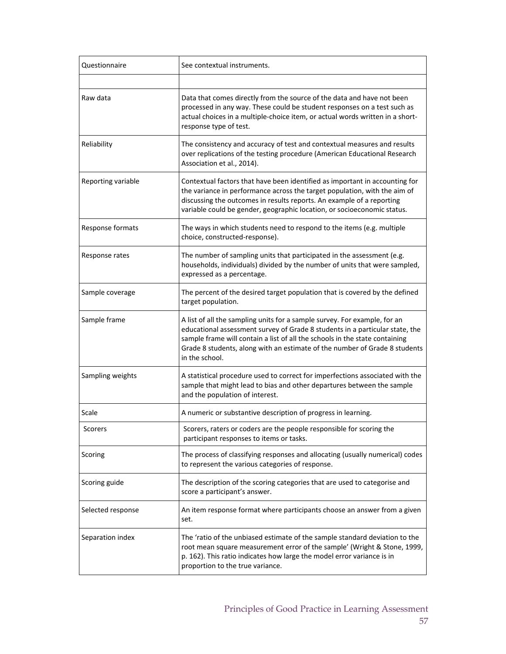| Questionnaire      | See contextual instruments.                                                                                                                                                                                                                                                                                                              |
|--------------------|------------------------------------------------------------------------------------------------------------------------------------------------------------------------------------------------------------------------------------------------------------------------------------------------------------------------------------------|
|                    |                                                                                                                                                                                                                                                                                                                                          |
| Raw data           | Data that comes directly from the source of the data and have not been<br>processed in any way. These could be student responses on a test such as<br>actual choices in a multiple-choice item, or actual words written in a short-<br>response type of test.                                                                            |
| Reliability        | The consistency and accuracy of test and contextual measures and results<br>over replications of the testing procedure (American Educational Research<br>Association et al., 2014).                                                                                                                                                      |
| Reporting variable | Contextual factors that have been identified as important in accounting for<br>the variance in performance across the target population, with the aim of<br>discussing the outcomes in results reports. An example of a reporting<br>variable could be gender, geographic location, or socioeconomic status.                             |
| Response formats   | The ways in which students need to respond to the items (e.g. multiple<br>choice, constructed-response).                                                                                                                                                                                                                                 |
| Response rates     | The number of sampling units that participated in the assessment (e.g.<br>households, individuals) divided by the number of units that were sampled,<br>expressed as a percentage.                                                                                                                                                       |
| Sample coverage    | The percent of the desired target population that is covered by the defined<br>target population.                                                                                                                                                                                                                                        |
| Sample frame       | A list of all the sampling units for a sample survey. For example, for an<br>educational assessment survey of Grade 8 students in a particular state, the<br>sample frame will contain a list of all the schools in the state containing<br>Grade 8 students, along with an estimate of the number of Grade 8 students<br>in the school. |
| Sampling weights   | A statistical procedure used to correct for imperfections associated with the<br>sample that might lead to bias and other departures between the sample<br>and the population of interest.                                                                                                                                               |
| Scale              | A numeric or substantive description of progress in learning.                                                                                                                                                                                                                                                                            |
| Scorers            | Scorers, raters or coders are the people responsible for scoring the<br>participant responses to items or tasks.                                                                                                                                                                                                                         |
| Scoring            | The process of classifying responses and allocating (usually numerical) codes<br>to represent the various categories of response.                                                                                                                                                                                                        |
| Scoring guide      | The description of the scoring categories that are used to categorise and<br>score a participant's answer.                                                                                                                                                                                                                               |
| Selected response  | An item response format where participants choose an answer from a given<br>set.                                                                                                                                                                                                                                                         |
| Separation index   | The 'ratio of the unbiased estimate of the sample standard deviation to the<br>root mean square measurement error of the sample' (Wright & Stone, 1999,<br>p. 162). This ratio indicates how large the model error variance is in<br>proportion to the true variance.                                                                    |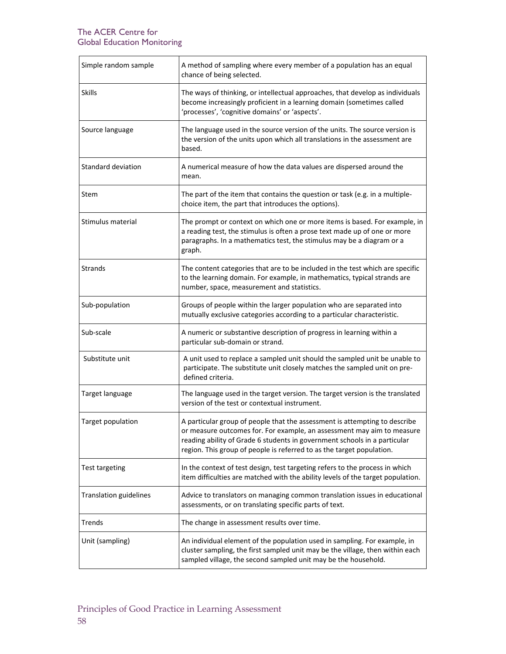| Simple random sample          | A method of sampling where every member of a population has an equal<br>chance of being selected.                                                                                                                                                                                                          |
|-------------------------------|------------------------------------------------------------------------------------------------------------------------------------------------------------------------------------------------------------------------------------------------------------------------------------------------------------|
| <b>Skills</b>                 | The ways of thinking, or intellectual approaches, that develop as individuals<br>become increasingly proficient in a learning domain (sometimes called<br>'processes', 'cognitive domains' or 'aspects'.                                                                                                   |
| Source language               | The language used in the source version of the units. The source version is<br>the version of the units upon which all translations in the assessment are<br>based.                                                                                                                                        |
| Standard deviation            | A numerical measure of how the data values are dispersed around the<br>mean.                                                                                                                                                                                                                               |
| Stem                          | The part of the item that contains the question or task (e.g. in a multiple-<br>choice item, the part that introduces the options).                                                                                                                                                                        |
| Stimulus material             | The prompt or context on which one or more items is based. For example, in<br>a reading test, the stimulus is often a prose text made up of one or more<br>paragraphs. In a mathematics test, the stimulus may be a diagram or a<br>graph.                                                                 |
| Strands                       | The content categories that are to be included in the test which are specific<br>to the learning domain. For example, in mathematics, typical strands are<br>number, space, measurement and statistics.                                                                                                    |
| Sub-population                | Groups of people within the larger population who are separated into<br>mutually exclusive categories according to a particular characteristic.                                                                                                                                                            |
| Sub-scale                     | A numeric or substantive description of progress in learning within a<br>particular sub-domain or strand.                                                                                                                                                                                                  |
| Substitute unit               | A unit used to replace a sampled unit should the sampled unit be unable to<br>participate. The substitute unit closely matches the sampled unit on pre-<br>defined criteria.                                                                                                                               |
| Target language               | The language used in the target version. The target version is the translated<br>version of the test or contextual instrument.                                                                                                                                                                             |
| Target population             | A particular group of people that the assessment is attempting to describe<br>or measure outcomes for. For example, an assessment may aim to measure<br>reading ability of Grade 6 students in government schools in a particular<br>region. This group of people is referred to as the target population. |
| <b>Test targeting</b>         | In the context of test design, test targeting refers to the process in which<br>item difficulties are matched with the ability levels of the target population.                                                                                                                                            |
| <b>Translation guidelines</b> | Advice to translators on managing common translation issues in educational<br>assessments, or on translating specific parts of text.                                                                                                                                                                       |
| <b>Trends</b>                 | The change in assessment results over time.                                                                                                                                                                                                                                                                |
| Unit (sampling)               | An individual element of the population used in sampling. For example, in<br>cluster sampling, the first sampled unit may be the village, then within each<br>sampled village, the second sampled unit may be the household.                                                                               |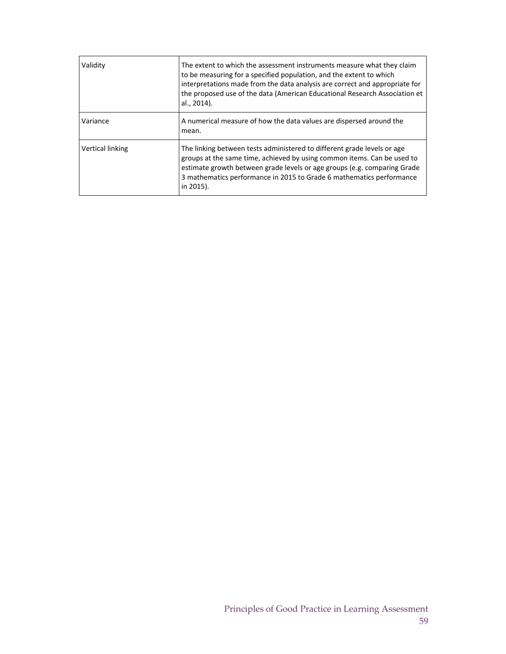| Validity         | The extent to which the assessment instruments measure what they claim<br>to be measuring for a specified population, and the extent to which<br>interpretations made from the data analysis are correct and appropriate for<br>the proposed use of the data (American Educational Research Association et<br>al., 2014). |
|------------------|---------------------------------------------------------------------------------------------------------------------------------------------------------------------------------------------------------------------------------------------------------------------------------------------------------------------------|
| Variance         | A numerical measure of how the data values are dispersed around the<br>mean.                                                                                                                                                                                                                                              |
| Vertical linking | The linking between tests administered to different grade levels or age<br>groups at the same time, achieved by using common items. Can be used to<br>estimate growth between grade levels or age groups (e.g. comparing Grade<br>3 mathematics performance in 2015 to Grade 6 mathematics performance<br>in 2015).       |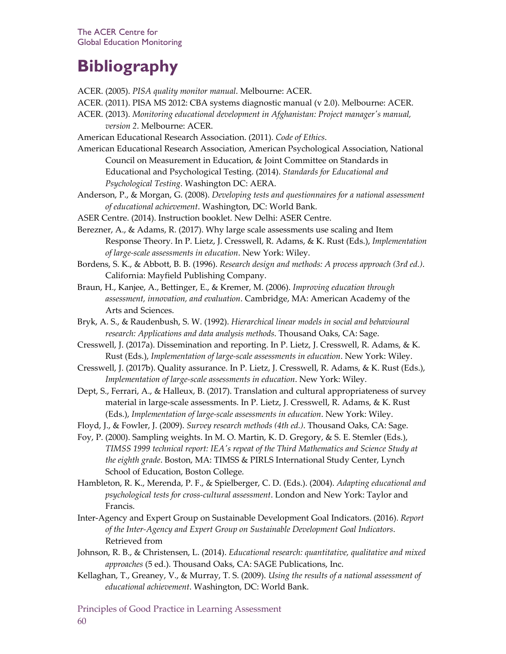# **Bibliography**

- ACER. (2005). *PISA quality monitor manual*. Melbourne: ACER.
- ACER. (2011). PISA MS 2012: CBA systems diagnostic manual (v 2.0). Melbourne: ACER.
- ACER. (2013). *Monitoring educational development in Afghanistan: Project manager's manual, version 2*. Melbourne: ACER.
- American Educational Research Association. (2011). *Code of Ethics*.
- American Educational Research Association, American Psychological Association, National Council on Measurement in Education, & Joint Committee on Standards in Educational and Psychological Testing. (2014). *Standards for Educational and Psychological Testing*. Washington DC: AERA.
- Anderson, P., & Morgan, G. (2008). *Developing tests and questionnaires for a national assessment of educational achievement*. Washington, DC: World Bank.
- ASER Centre. (2014). Instruction booklet. New Delhi: ASER Centre.
- Berezner, A., & Adams, R. (2017). Why large scale assessments use scaling and Item Response Theory. In P. Lietz, J. Cresswell, R. Adams, & K. Rust (Eds.), *Implementation of large-scale assessments in education*. New York: Wiley.
- Bordens, S. K., & Abbott, B. B. (1996). *Research design and methods: A process approach (3rd ed.)*. California: Mayfield Publishing Company.
- Braun, H., Kanjee, A., Bettinger, E., & Kremer, M. (2006). *Improving education through assessment, innovation, and evaluation*. Cambridge, MA: American Academy of the Arts and Sciences.
- Bryk, A. S., & Raudenbush, S. W. (1992). *Hierarchical linear models in social and behavioural research: Applications and data analysis methods*. Thousand Oaks, CA: Sage.
- Cresswell, J. (2017a). Dissemination and reporting. In P. Lietz, J. Cresswell, R. Adams, & K. Rust (Eds.), *Implementation of large-scale assessments in education*. New York: Wiley.
- Cresswell, J. (2017b). Quality assurance. In P. Lietz, J. Cresswell, R. Adams, & K. Rust (Eds.), *Implementation of large-scale assessments in education*. New York: Wiley.
- Dept, S., Ferrari, A., & Halleux, B. (2017). Translation and cultural appropriateness of survey material in large-scale assessments. In P. Lietz, J. Cresswell, R. Adams, & K. Rust (Eds.), *Implementation of large-scale assessments in education*. New York: Wiley.
- Floyd, J., & Fowler, J. (2009). *Survey research methods (4th ed.)*. Thousand Oaks, CA: Sage.
- Foy, P. (2000). Sampling weights. In M. O. Martin, K. D. Gregory, & S. E. Stemler (Eds.), *TIMSS 1999 technical report: IEA's repeat of the Third Mathematics and Science Study at the eighth grade*. Boston, MA: TIMSS & PIRLS International Study Center, Lynch School of Education, Boston College.
- Hambleton, R. K., Merenda, P. F., & Spielberger, C. D. (Eds.). (2004). *Adapting educational and psychological tests for cross-cultural assessment*. London and New York: Taylor and Francis.
- Inter-Agency and Expert Group on Sustainable Development Goal Indicators. (2016). *Report of the Inter-Agency and Expert Group on Sustainable Development Goal Indicators*. Retrieved from
- Johnson, R. B., & Christensen, L. (2014). *Educational research: quantitative, qualitative and mixed approaches* (5 ed.). Thousand Oaks, CA: SAGE Publications, Inc.
- Kellaghan, T., Greaney, V., & Murray, T. S. (2009). *Using the results of a national assessment of educational achievement*. Washington, DC: World Bank.

Principles of Good Practice in Learning Assessment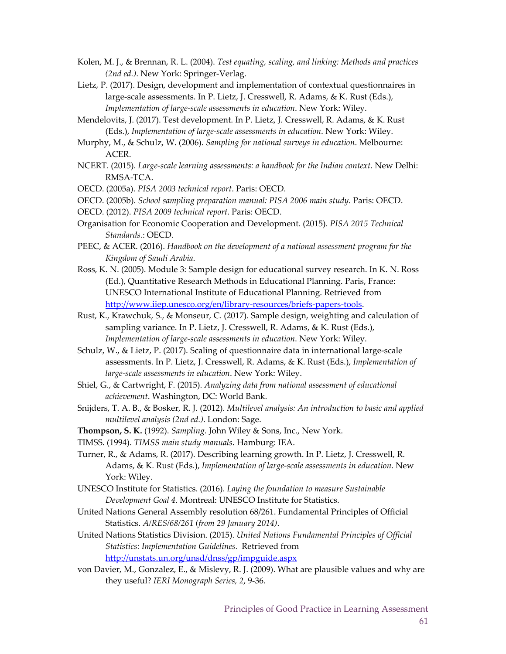- Kolen, M. J., & Brennan, R. L. (2004). *Test equating, scaling, and linking: Methods and practices (2nd ed.)*. New York: Springer-Verlag.
- Lietz, P. (2017). Design, development and implementation of contextual questionnaires in large-scale assessments. In P. Lietz, J. Cresswell, R. Adams, & K. Rust (Eds.), *Implementation of large-scale assessments in education*. New York: Wiley.
- Mendelovits, J. (2017). Test development. In P. Lietz, J. Cresswell, R. Adams, & K. Rust (Eds.), *Implementation of large-scale assessments in education*. New York: Wiley.
- Murphy, M., & Schulz, W. (2006). *Sampling for national surveys in education*. Melbourne: ACER.
- NCERT. (2015). *Large-scale learning assessments: a handbook for the Indian context*. New Delhi: RMSA-TCA.
- OECD. (2005a). *PISA 2003 technical report*. Paris: OECD.
- OECD. (2005b). *School sampling preparation manual: PISA 2006 main study*. Paris: OECD.
- OECD. (2012). *PISA 2009 technical report*. Paris: OECD.
- Organisation for Economic Cooperation and Development. (2015). *PISA 2015 Technical Standards.*: OECD.
- PEEC, & ACER. (2016). *Handbook on the development of a national assessment program for the Kingdom of Saudi Arabia*.
- Ross, K. N. (2005). Module 3: Sample design for educational survey research. In K. N. Ross (Ed.), Quantitative Research Methods in Educational Planning. Paris, France: UNESCO International Institute of Educational Planning. Retrieved from http://www.iiep.unesco.org/en/library-resources/briefs-papers-tools.
- Rust, K., Krawchuk, S., & Monseur, C. (2017). Sample design, weighting and calculation of sampling variance. In P. Lietz, J. Cresswell, R. Adams, & K. Rust (Eds.), *Implementation of large-scale assessments in education*. New York: Wiley.
- Schulz, W., & Lietz, P. (2017). Scaling of questionnaire data in international large-scale assessments. In P. Lietz, J. Cresswell, R. Adams, & K. Rust (Eds.), *Implementation of large-scale assessments in education*. New York: Wiley.
- Shiel, G., & Cartwright, F. (2015). *Analyzing data from national assessment of educational achievement*. Washington, DC: World Bank.
- Snijders, T. A. B., & Bosker, R. J. (2012). *Multilevel analysis: An introduction to basic and applied multilevel analysis (2nd ed.)*. London: Sage.
- **Thompson, S. K.** (1992). *Sampling.* John Wiley & Sons, Inc., New York.
- TIMSS. (1994). *TIMSS main study manuals*. Hamburg: IEA.
- Turner, R., & Adams, R. (2017). Describing learning growth. In P. Lietz, J. Cresswell, R. Adams, & K. Rust (Eds.), *Implementation of large-scale assessments in education*. New York: Wiley.
- UNESCO Institute for Statistics. (2016). *Laying the foundation to measure Sustainable Development Goal 4*. Montreal: UNESCO Institute for Statistics.
- United Nations General Assembly resolution 68/261. Fundamental Principles of Official Statistics. *A/RES/68/261 (from 29 January 2014)*.
- United Nations Statistics Division. (2015). *United Nations Fundamental Principles of Official Statistics: Implementation Guidelines.* Retrieved from http://unstats.un.org/unsd/dnss/gp/impguide.aspx
- von Davier, M., Gonzalez, E., & Mislevy, R. J. (2009). What are plausible values and why are they useful? *IERI Monograph Series, 2*, 9-36.